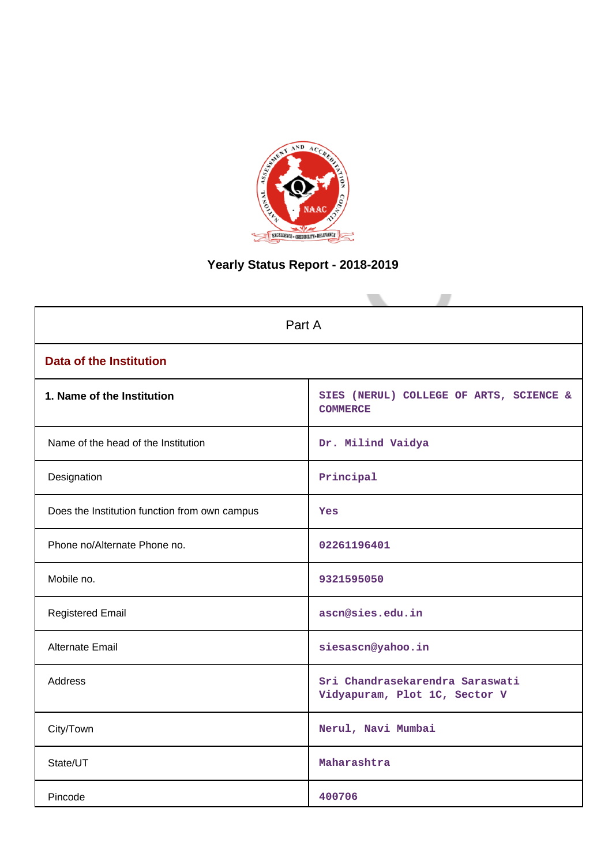

# **Yearly Status Report - 2018-2019**

| Part A                                        |                                                                  |  |  |  |
|-----------------------------------------------|------------------------------------------------------------------|--|--|--|
| <b>Data of the Institution</b>                |                                                                  |  |  |  |
| 1. Name of the Institution                    | SIES (NERUL) COLLEGE OF ARTS, SCIENCE &<br><b>COMMERCE</b>       |  |  |  |
| Name of the head of the Institution           | Dr. Milind Vaidya                                                |  |  |  |
| Designation                                   | Principal                                                        |  |  |  |
| Does the Institution function from own campus | Yes                                                              |  |  |  |
| Phone no/Alternate Phone no.                  | 02261196401                                                      |  |  |  |
| Mobile no.                                    | 9321595050                                                       |  |  |  |
| <b>Registered Email</b>                       | ascn@sies.edu.in                                                 |  |  |  |
| Alternate Email                               | siesascn@yahoo.in                                                |  |  |  |
| <b>Address</b>                                | Sri Chandrasekarendra Saraswati<br>Vidyapuram, Plot 1C, Sector V |  |  |  |
| City/Town                                     | Nerul, Navi Mumbai                                               |  |  |  |
| State/UT                                      | Maharashtra                                                      |  |  |  |
| Pincode                                       | 400706                                                           |  |  |  |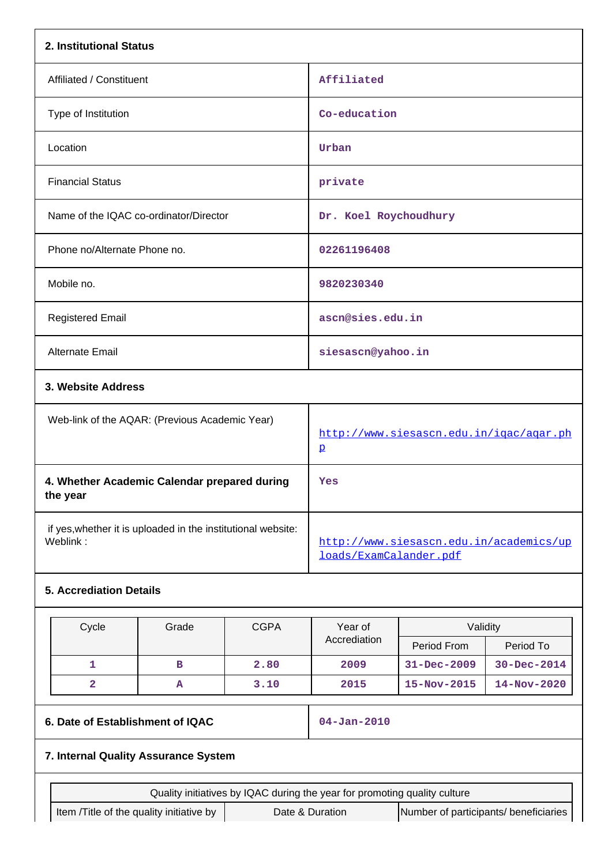| 2. Institutional Status                                                   |                                                |             |                                                                   |                                              |             |  |
|---------------------------------------------------------------------------|------------------------------------------------|-------------|-------------------------------------------------------------------|----------------------------------------------|-------------|--|
| Affiliated / Constituent                                                  |                                                |             | Affiliated                                                        |                                              |             |  |
| Type of Institution                                                       |                                                |             | Co-education                                                      |                                              |             |  |
| Location                                                                  |                                                |             | Urban                                                             |                                              |             |  |
| <b>Financial Status</b>                                                   |                                                |             | private                                                           |                                              |             |  |
| Name of the IQAC co-ordinator/Director                                    |                                                |             | Dr. Koel Roychoudhury                                             |                                              |             |  |
| Phone no/Alternate Phone no.                                              |                                                |             | 02261196408                                                       |                                              |             |  |
| Mobile no.                                                                |                                                |             | 9820230340                                                        |                                              |             |  |
| <b>Registered Email</b>                                                   |                                                |             | ascn@sies.edu.in                                                  |                                              |             |  |
| Alternate Email                                                           |                                                |             | siesascn@yahoo.in                                                 |                                              |             |  |
| 3. Website Address                                                        |                                                |             |                                                                   |                                              |             |  |
|                                                                           | Web-link of the AQAR: (Previous Academic Year) |             |                                                                   | http://www.siesascn.edu.in/igac/agar.ph<br>p |             |  |
| 4. Whether Academic Calendar prepared during<br>the year                  |                                                |             | Yes                                                               |                                              |             |  |
| if yes, whether it is uploaded in the institutional website:<br>Weblink:  |                                                |             | http://www.siesascn.edu.in/academics/up<br>loads/ExamCalander.pdf |                                              |             |  |
| <b>5. Accrediation Details</b>                                            |                                                |             |                                                                   |                                              |             |  |
| Cycle                                                                     | Grade                                          | <b>CGPA</b> | Year of                                                           | Validity                                     |             |  |
|                                                                           |                                                |             | Accrediation                                                      | Period From                                  | Period To   |  |
| 1                                                                         | в                                              | 2.80        | 2009                                                              | 31-Dec-2009                                  | 30-Dec-2014 |  |
| $\overline{\mathbf{2}}$                                                   | А                                              | 3.10        | 2015                                                              | 15-Nov-2015                                  | 14-Nov-2020 |  |
|                                                                           | 6. Date of Establishment of IQAC               |             |                                                                   | $04 - Jan - 2010$                            |             |  |
| 7. Internal Quality Assurance System                                      |                                                |             |                                                                   |                                              |             |  |
| Quality initiatives by IQAC during the year for promoting quality culture |                                                |             |                                                                   |                                              |             |  |
|                                                                           | Item /Title of the quality initiative by       |             | Date & Duration                                                   | Number of participants/ beneficiaries        |             |  |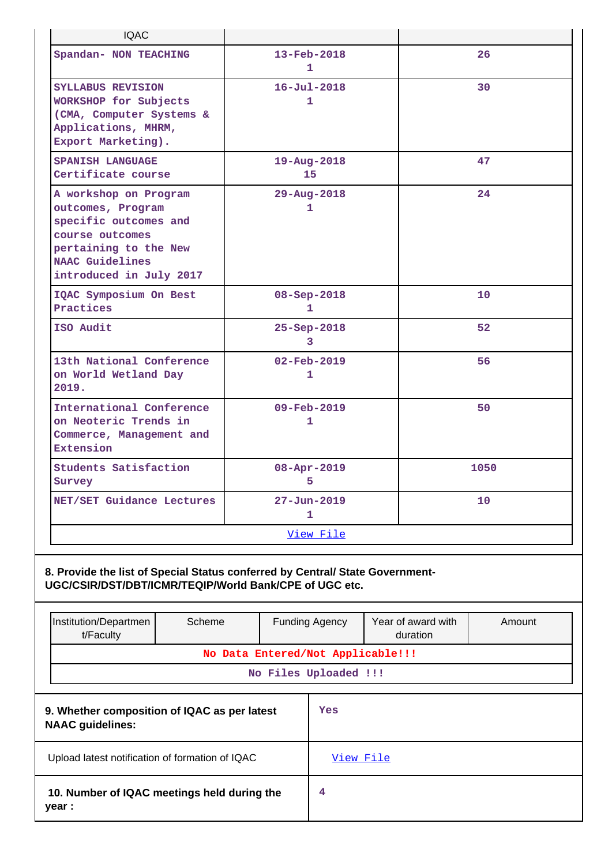| <b>IQAC</b>                                                                                                                                                          |        |                        |  |                                                            |    |                                |        |
|----------------------------------------------------------------------------------------------------------------------------------------------------------------------|--------|------------------------|--|------------------------------------------------------------|----|--------------------------------|--------|
| Spandan- NON TEACHING                                                                                                                                                |        |                        |  | $13 - \text{Feb} - 2018$<br>1                              |    |                                | 26     |
| SYLLABUS REVISION<br>WORKSHOP for Subjects<br>(CMA, Computer Systems &<br>Applications, MHRM,<br>Export Marketing).                                                  |        |                        |  | $16 - Jul - 2018$<br>1                                     |    |                                | 30     |
| <b>SPANISH LANGUAGE</b><br>Certificate course                                                                                                                        |        |                        |  | $19 - Aug - 2018$<br>15                                    |    |                                | 47     |
| A workshop on Program<br>outcomes, Program<br>specific outcomes and<br>course outcomes<br>pertaining to the New<br><b>NAAC</b> Guidelines<br>introduced in July 2017 |        |                        |  | 29-Aug-2018<br>1                                           |    |                                | 24     |
| IQAC Symposium On Best<br>Practices                                                                                                                                  |        |                        |  | 08-Sep-2018<br>1                                           |    |                                | 10     |
| ISO Audit                                                                                                                                                            |        |                        |  | 25-Sep-2018<br>3                                           |    | 52                             |        |
| 13th National Conference<br>on World Wetland Day<br>2019.                                                                                                            |        | $02 - Feb - 2019$<br>1 |  |                                                            | 56 |                                |        |
| International Conference<br>on Neoteric Trends in<br>Commerce, Management and<br>Extension                                                                           |        | 09-Feb-2019<br>1       |  |                                                            |    | 50                             |        |
| Students Satisfaction<br>Survey                                                                                                                                      |        |                        |  | 08-Apr-2019<br>5                                           |    |                                | 1050   |
| NET/SET Guidance Lectures                                                                                                                                            |        |                        |  | $27 - Jun - 2019$<br>1                                     |    |                                | 10     |
|                                                                                                                                                                      |        |                        |  | View File                                                  |    |                                |        |
| 8. Provide the list of Special Status conferred by Central/ State Government-<br>UGC/CSIR/DST/DBT/ICMR/TEQIP/World Bank/CPE of UGC etc.                              |        |                        |  |                                                            |    |                                |        |
| Institution/Departmen<br>t/Faculty                                                                                                                                   | Scheme |                        |  | <b>Funding Agency</b>                                      |    | Year of award with<br>duration | Amount |
|                                                                                                                                                                      |        |                        |  | No Data Entered/Not Applicable!!!<br>No Files Uploaded !!! |    |                                |        |
| 9. Whether composition of IQAC as per latest<br>Yes<br><b>NAAC</b> guidelines:                                                                                       |        |                        |  |                                                            |    |                                |        |
| Upload latest notification of formation of IQAC                                                                                                                      |        |                        |  | View File                                                  |    |                                |        |

**4**

| 10. Number of IQAC meetings held during the |  |
|---------------------------------------------|--|
| year :                                      |  |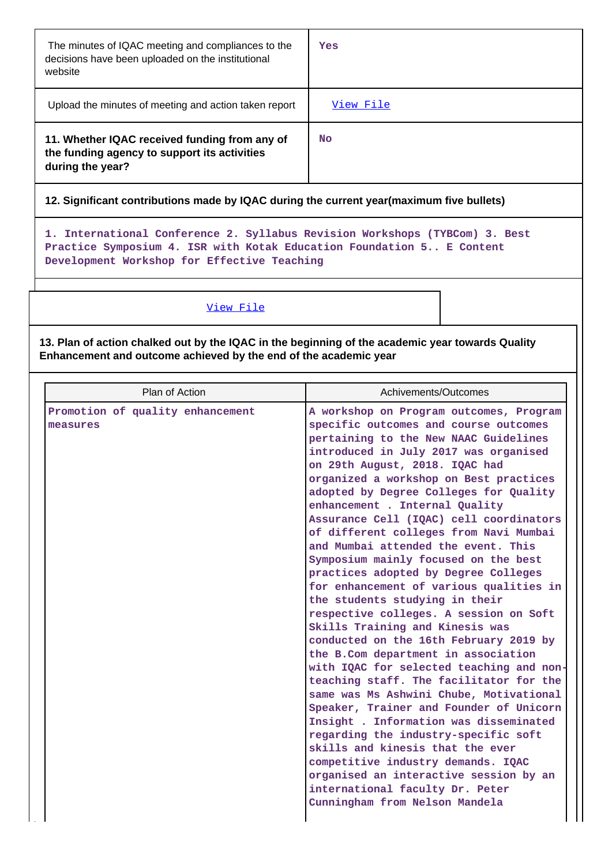| The minutes of IQAC meeting and compliances to the<br>decisions have been uploaded on the institutional<br>website | Yes       |
|--------------------------------------------------------------------------------------------------------------------|-----------|
| Upload the minutes of meeting and action taken report                                                              | View File |
| 11. Whether IQAC received funding from any of<br>the funding agency to support its activities<br>during the year?  | No        |

# **12. Significant contributions made by IQAC during the current year(maximum five bullets)**

**1. International Conference 2. Syllabus Revision Workshops (TYBCom) 3. Best Practice Symposium 4. ISR with Kotak Education Foundation 5.. E Content Development Workshop for Effective Teaching**

## [View File](https://assessmentonline.naac.gov.in/public/Postacc/Contribution/1533_Contribution.xlsx)

**13. Plan of action chalked out by the IQAC in the beginning of the academic year towards Quality Enhancement and outcome achieved by the end of the academic year**

| Plan of Action                               | Achivements/Outcomes                                                                                                                                                                                                                                                                                                                                                                                                                                                                                                                                                                                                                                                                                                                                                                                                                                                                                                                                                                                                                                                                                                                                                                                                                      |  |  |
|----------------------------------------------|-------------------------------------------------------------------------------------------------------------------------------------------------------------------------------------------------------------------------------------------------------------------------------------------------------------------------------------------------------------------------------------------------------------------------------------------------------------------------------------------------------------------------------------------------------------------------------------------------------------------------------------------------------------------------------------------------------------------------------------------------------------------------------------------------------------------------------------------------------------------------------------------------------------------------------------------------------------------------------------------------------------------------------------------------------------------------------------------------------------------------------------------------------------------------------------------------------------------------------------------|--|--|
| Promotion of quality enhancement<br>measures | A workshop on Program outcomes, Program<br>specific outcomes and course outcomes<br>pertaining to the New NAAC Guidelines<br>introduced in July 2017 was organised<br>on 29th August, 2018. IQAC had<br>organized a workshop on Best practices<br>adopted by Degree Colleges for Quality<br>enhancement . Internal Quality<br>Assurance Cell (IQAC) cell coordinators<br>of different colleges from Navi Mumbai<br>and Mumbai attended the event. This<br>Symposium mainly focused on the best<br>practices adopted by Degree Colleges<br>for enhancement of various qualities in<br>the students studying in their<br>respective colleges. A session on Soft<br>Skills Training and Kinesis was<br>conducted on the 16th February 2019 by<br>the B.Com department in association<br>with IQAC for selected teaching and non-<br>teaching staff. The facilitator for the<br>same was Ms Ashwini Chube, Motivational<br>Speaker, Trainer and Founder of Unicorn<br>Insight . Information was disseminated<br>regarding the industry-specific soft<br>skills and kinesis that the ever<br>competitive industry demands. IQAC<br>organised an interactive session by an<br>international faculty Dr. Peter<br>Cunningham from Nelson Mandela |  |  |
|                                              |                                                                                                                                                                                                                                                                                                                                                                                                                                                                                                                                                                                                                                                                                                                                                                                                                                                                                                                                                                                                                                                                                                                                                                                                                                           |  |  |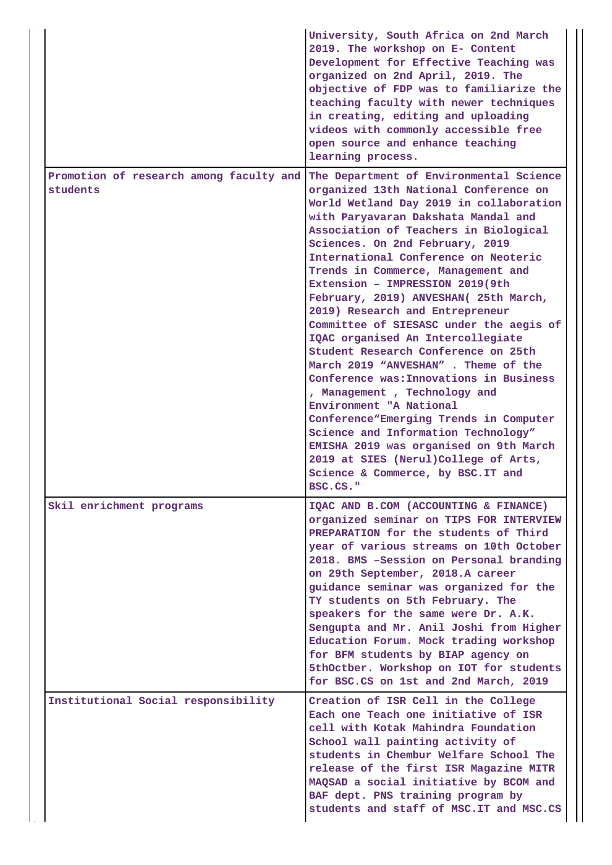|                                                     | University, South Africa on 2nd March<br>2019. The workshop on E- Content<br>Development for Effective Teaching was<br>organized on 2nd April, 2019. The<br>objective of FDP was to familiarize the<br>teaching faculty with newer techniques<br>in creating, editing and uploading<br>videos with commonly accessible free<br>open source and enhance teaching<br>learning process.                                                                                                                                                                                                                                                                                                                                                                                                                                                                                                                                                  |
|-----------------------------------------------------|---------------------------------------------------------------------------------------------------------------------------------------------------------------------------------------------------------------------------------------------------------------------------------------------------------------------------------------------------------------------------------------------------------------------------------------------------------------------------------------------------------------------------------------------------------------------------------------------------------------------------------------------------------------------------------------------------------------------------------------------------------------------------------------------------------------------------------------------------------------------------------------------------------------------------------------|
| Promotion of research among faculty and<br>students | The Department of Environmental Science<br>organized 13th National Conference on<br>World Wetland Day 2019 in collaboration<br>with Paryavaran Dakshata Mandal and<br>Association of Teachers in Biological<br>Sciences. On 2nd February, 2019<br>International Conference on Neoteric<br>Trends in Commerce, Management and<br>Extension - IMPRESSION 2019(9th<br>February, 2019) ANVESHAN( 25th March,<br>2019) Research and Entrepreneur<br>Committee of SIESASC under the aegis of<br>IQAC organised An Intercollegiate<br>Student Research Conference on 25th<br>March 2019 "ANVESHAN". Theme of the<br>Conference was: Innovations in Business<br>, Management, Technology and<br>Environment "A National<br>Conference "Emerging Trends in Computer<br>Science and Information Technology"<br>EMISHA 2019 was organised on 9th March<br>2019 at SIES (Nerul) College of Arts,<br>Science & Commerce, by BSC.IT and<br>BSC.CS." |
| Skil enrichment programs                            | IQAC AND B.COM (ACCOUNTING & FINANCE)<br>organized seminar on TIPS FOR INTERVIEW<br>PREPARATION for the students of Third<br>year of various streams on 10th October<br>2018. BMS -Session on Personal branding<br>on 29th September, 2018.A career<br>guidance seminar was organized for the<br>TY students on 5th February. The<br>speakers for the same were Dr. A.K.<br>Sengupta and Mr. Anil Joshi from Higher<br>Education Forum. Mock trading workshop<br>for BFM students by BIAP agency on<br>5thOctber. Workshop on IOT for students<br>for BSC.CS on 1st and 2nd March, 2019                                                                                                                                                                                                                                                                                                                                               |
| Institutional Social responsibility                 | Creation of ISR Cell in the College<br>Each one Teach one initiative of ISR<br>cell with Kotak Mahindra Foundation<br>School wall painting activity of<br>students in Chembur Welfare School The<br>release of the first ISR Magazine MITR<br>MAQSAD a social initiative by BCOM and<br>BAF dept. PNS training program by<br>students and staff of MSC. IT and MSC.CS                                                                                                                                                                                                                                                                                                                                                                                                                                                                                                                                                                 |

J,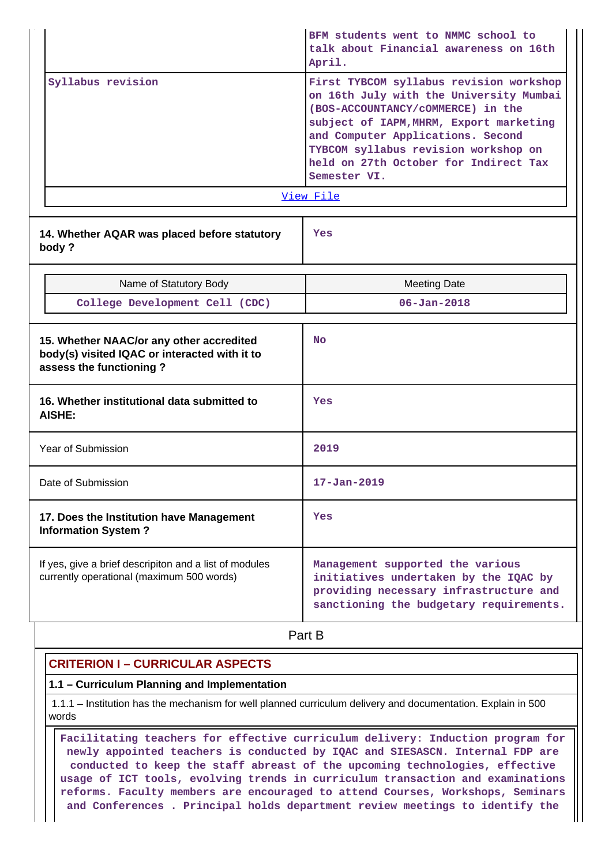|                                                                                                                      |                                                                                                     | BFM students went to NMMC school to<br>talk about Financial awareness on 16th<br>April.                                                                                                                                                                                                                  |  |
|----------------------------------------------------------------------------------------------------------------------|-----------------------------------------------------------------------------------------------------|----------------------------------------------------------------------------------------------------------------------------------------------------------------------------------------------------------------------------------------------------------------------------------------------------------|--|
|                                                                                                                      | Syllabus revision                                                                                   | First TYBCOM syllabus revision workshop<br>on 16th July with the University Mumbai<br>(BOS-ACCOUNTANCY/COMMERCE) in the<br>subject of IAPM, MHRM, Export marketing<br>and Computer Applications. Second<br>TYBCOM syllabus revision workshop on<br>held on 27th October for Indirect Tax<br>Semester VI. |  |
|                                                                                                                      |                                                                                                     | View File                                                                                                                                                                                                                                                                                                |  |
|                                                                                                                      | 14. Whether AQAR was placed before statutory<br>body?                                               | Yes                                                                                                                                                                                                                                                                                                      |  |
|                                                                                                                      | Name of Statutory Body                                                                              | <b>Meeting Date</b>                                                                                                                                                                                                                                                                                      |  |
|                                                                                                                      | College Development Cell (CDC)                                                                      | $06 - Jan - 2018$                                                                                                                                                                                                                                                                                        |  |
| 15. Whether NAAC/or any other accredited<br>body(s) visited IQAC or interacted with it to<br>assess the functioning? |                                                                                                     | <b>No</b>                                                                                                                                                                                                                                                                                                |  |
|                                                                                                                      | 16. Whether institutional data submitted to<br><b>AISHE:</b>                                        | Yes                                                                                                                                                                                                                                                                                                      |  |
|                                                                                                                      | Year of Submission                                                                                  | 2019                                                                                                                                                                                                                                                                                                     |  |
|                                                                                                                      | Date of Submission                                                                                  | $17 - Jan - 2019$                                                                                                                                                                                                                                                                                        |  |
|                                                                                                                      | 17. Does the Institution have Management<br><b>Information System?</b>                              | Yes                                                                                                                                                                                                                                                                                                      |  |
|                                                                                                                      | If yes, give a brief descripiton and a list of modules<br>currently operational (maximum 500 words) | Management supported the various<br>initiatives undertaken by the IQAC by<br>providing necessary infrastructure and<br>sanctioning the budgetary requirements.                                                                                                                                           |  |

**Part B** 

# **CRITERION I – CURRICULAR ASPECTS**

## **1.1 – Curriculum Planning and Implementation**

 1.1.1 – Institution has the mechanism for well planned curriculum delivery and documentation. Explain in 500 words

 **Facilitating teachers for effective curriculum delivery: Induction program for newly appointed teachers is conducted by IQAC and SIESASCN. Internal FDP are conducted to keep the staff abreast of the upcoming technologies, effective usage of ICT tools, evolving trends in curriculum transaction and examinations reforms. Faculty members are encouraged to attend Courses, Workshops, Seminars and Conferences . Principal holds department review meetings to identify the**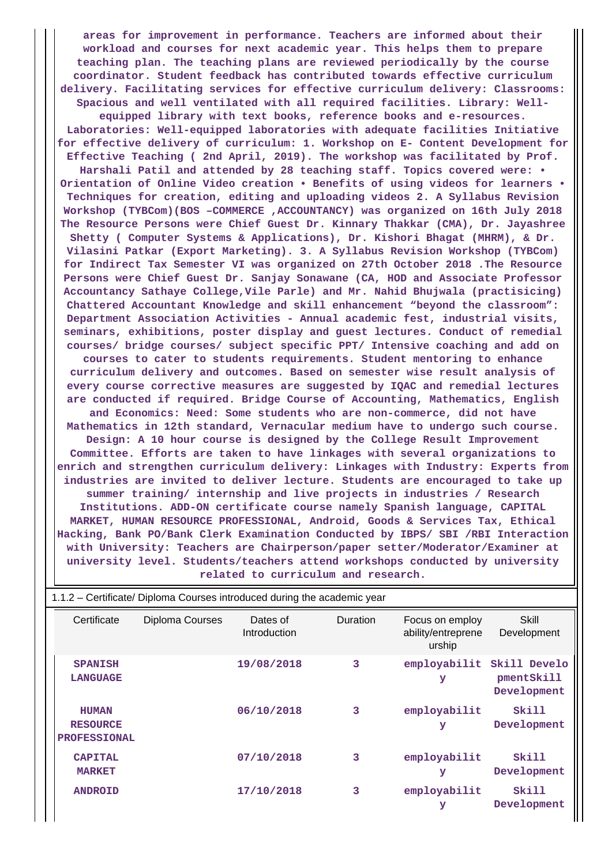**areas for improvement in performance. Teachers are informed about their workload and courses for next academic year. This helps them to prepare teaching plan. The teaching plans are reviewed periodically by the course coordinator. Student feedback has contributed towards effective curriculum delivery. Facilitating services for effective curriculum delivery: Classrooms: Spacious and well ventilated with all required facilities. Library: Wellequipped library with text books, reference books and e-resources. Laboratories: Well-equipped laboratories with adequate facilities Initiative for effective delivery of curriculum: 1. Workshop on E- Content Development for Effective Teaching ( 2nd April, 2019). The workshop was facilitated by Prof. Harshali Patil and attended by 28 teaching staff. Topics covered were: • Orientation of Online Video creation • Benefits of using videos for learners • Techniques for creation, editing and uploading videos 2. A Syllabus Revision Workshop (TYBCom)(BOS –COMMERCE ,ACCOUNTANCY) was organized on 16th July 2018 The Resource Persons were Chief Guest Dr. Kinnary Thakkar (CMA), Dr. Jayashree Shetty ( Computer Systems & Applications), Dr. Kishori Bhagat (MHRM), & Dr. Vilasini Patkar (Export Marketing). 3. A Syllabus Revision Workshop (TYBCom) for Indirect Tax Semester VI was organized on 27th October 2018 .The Resource Persons were Chief Guest Dr. Sanjay Sonawane (CA, HOD and Associate Professor Accountancy Sathaye College,Vile Parle) and Mr. Nahid Bhujwala (practisicing) Chattered Accountant Knowledge and skill enhancement "beyond the classroom": Department Association Activities - Annual academic fest, industrial visits, seminars, exhibitions, poster display and guest lectures. Conduct of remedial courses/ bridge courses/ subject specific PPT/ Intensive coaching and add on courses to cater to students requirements. Student mentoring to enhance curriculum delivery and outcomes. Based on semester wise result analysis of every course corrective measures are suggested by IQAC and remedial lectures are conducted if required. Bridge Course of Accounting, Mathematics, English and Economics: Need: Some students who are non-commerce, did not have Mathematics in 12th standard, Vernacular medium have to undergo such course. Design: A 10 hour course is designed by the College Result Improvement Committee. Efforts are taken to have linkages with several organizations to enrich and strengthen curriculum delivery: Linkages with Industry: Experts from industries are invited to deliver lecture. Students are encouraged to take up summer training/ internship and live projects in industries / Research Institutions. ADD-ON certificate course namely Spanish language, CAPITAL MARKET, HUMAN RESOURCE PROFESSIONAL, Android, Goods & Services Tax, Ethical Hacking, Bank PO/Bank Clerk Examination Conducted by IBPS/ SBI /RBI Interaction with University: Teachers are Chairperson/paper setter/Moderator/Examiner at university level. Students/teachers attend workshops conducted by university related to curriculum and research.**

| Certificate                                            | Diploma Courses | Dates of<br>Introduction | <b>Duration</b> | Focus on employ<br>ability/entreprene<br>urship | Skill<br>Development                      |
|--------------------------------------------------------|-----------------|--------------------------|-----------------|-------------------------------------------------|-------------------------------------------|
| <b>SPANISH</b><br><b>LANGUAGE</b>                      |                 | 19/08/2018               | 3               | employabilit<br>У                               | Skill Develo<br>pmentSkill<br>Development |
| <b>HUMAN</b><br><b>RESOURCE</b><br><b>PROFESSIONAL</b> |                 | 06/10/2018               | 3               | employabilit<br>У                               | Skill<br>Development                      |
| <b>CAPITAL</b><br><b>MARKET</b>                        |                 | 07/10/2018               | 3               | employabilit<br>У                               | Skill<br>Development                      |
| <b>ANDROID</b>                                         |                 | 17/10/2018               | 3               | employabilit<br>У                               | Skill<br>Development                      |

1.1.2 – Certificate/ Diploma Courses introduced during the academic year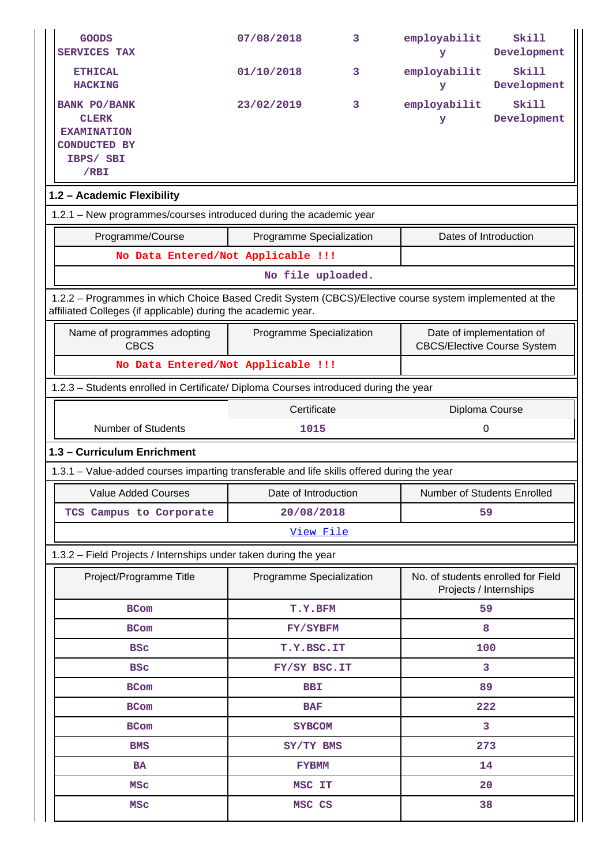| <b>GOODS</b><br><b>SERVICES TAX</b>                                                                                                                                      | 07/08/2018               | 3 | employabilit<br>У                                               | Skill<br>Development |  |  |  |
|--------------------------------------------------------------------------------------------------------------------------------------------------------------------------|--------------------------|---|-----------------------------------------------------------------|----------------------|--|--|--|
| <b>ETHICAL</b><br><b>HACKING</b>                                                                                                                                         | 01/10/2018               | 3 | employabilit<br>У                                               | Skill<br>Development |  |  |  |
| <b>BANK PO/BANK</b><br><b>CLERK</b><br><b>EXAMINATION</b><br><b>CONDUCTED BY</b><br>IBPS/ SBI<br>$/$ RBI                                                                 | 23/02/2019               | 3 | employabilit<br>У                                               | Skill<br>Development |  |  |  |
| 1.2 - Academic Flexibility                                                                                                                                               |                          |   |                                                                 |                      |  |  |  |
| 1.2.1 - New programmes/courses introduced during the academic year                                                                                                       |                          |   |                                                                 |                      |  |  |  |
| Programme/Course                                                                                                                                                         | Programme Specialization |   | Dates of Introduction                                           |                      |  |  |  |
| No Data Entered/Not Applicable !!!                                                                                                                                       |                          |   |                                                                 |                      |  |  |  |
|                                                                                                                                                                          | No file uploaded.        |   |                                                                 |                      |  |  |  |
| 1.2.2 - Programmes in which Choice Based Credit System (CBCS)/Elective course system implemented at the<br>affiliated Colleges (if applicable) during the academic year. |                          |   |                                                                 |                      |  |  |  |
| Name of programmes adopting<br><b>CBCS</b>                                                                                                                               | Programme Specialization |   | Date of implementation of<br><b>CBCS/Elective Course System</b> |                      |  |  |  |
| No Data Entered/Not Applicable !!!                                                                                                                                       |                          |   |                                                                 |                      |  |  |  |
| 1.2.3 - Students enrolled in Certificate/ Diploma Courses introduced during the year                                                                                     |                          |   |                                                                 |                      |  |  |  |
| Certificate<br>Diploma Course                                                                                                                                            |                          |   |                                                                 |                      |  |  |  |
| <b>Number of Students</b><br>1015<br>0                                                                                                                                   |                          |   |                                                                 |                      |  |  |  |
| 1.3 - Curriculum Enrichment                                                                                                                                              |                          |   |                                                                 |                      |  |  |  |
| 1.3.1 – Value-added courses imparting transferable and life skills offered during the year                                                                               |                          |   |                                                                 |                      |  |  |  |
| <b>Value Added Courses</b>                                                                                                                                               | Date of Introduction     |   | Number of Students Enrolled                                     |                      |  |  |  |
| TCS Campus to Corporate                                                                                                                                                  | 20/08/2018               |   | 59                                                              |                      |  |  |  |
|                                                                                                                                                                          | View File                |   |                                                                 |                      |  |  |  |
| 1.3.2 - Field Projects / Internships under taken during the year                                                                                                         |                          |   |                                                                 |                      |  |  |  |
| Project/Programme Title                                                                                                                                                  | Programme Specialization |   | No. of students enrolled for Field<br>Projects / Internships    |                      |  |  |  |
| <b>BCom</b>                                                                                                                                                              | T.Y.BFM                  |   | 59                                                              |                      |  |  |  |
| <b>BCom</b>                                                                                                                                                              | FY/SYBFM                 |   | 8                                                               |                      |  |  |  |
| <b>BSC</b>                                                                                                                                                               | T.Y.BSC.IT               |   | 100                                                             |                      |  |  |  |
| <b>BSC</b>                                                                                                                                                               | FY/SY BSC.IT             |   |                                                                 | 3                    |  |  |  |
| <b>BCom</b>                                                                                                                                                              | <b>BBI</b>               |   | 89                                                              |                      |  |  |  |
| <b>BCom</b>                                                                                                                                                              | <b>BAF</b>               |   | 222                                                             |                      |  |  |  |
| <b>BCom</b>                                                                                                                                                              | <b>SYBCOM</b>            |   |                                                                 | 3                    |  |  |  |
| <b>BMS</b>                                                                                                                                                               | SY/TY BMS                |   | 273                                                             |                      |  |  |  |
| <b>BA</b>                                                                                                                                                                | <b>FYBMM</b>             |   | 14                                                              |                      |  |  |  |
|                                                                                                                                                                          |                          |   |                                                                 |                      |  |  |  |
| MSC                                                                                                                                                                      | MSC IT                   |   | 20<br>38                                                        |                      |  |  |  |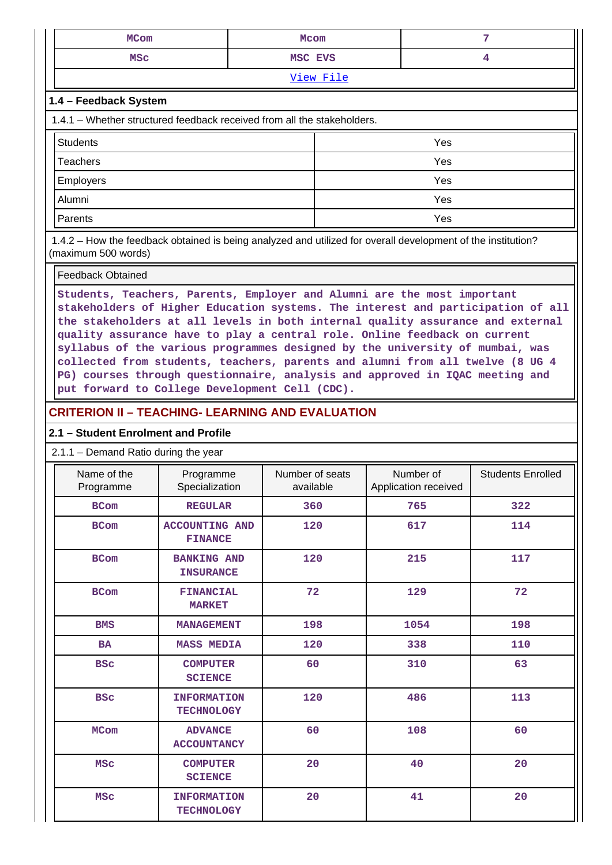| <b>MCom</b>                                                             | Mcom      | 7              |  |  |  |  |
|-------------------------------------------------------------------------|-----------|----------------|--|--|--|--|
| <b>MSC</b>                                                              | MSC EVS   | $\overline{4}$ |  |  |  |  |
|                                                                         | View File |                |  |  |  |  |
| 1.4 - Feedback System                                                   |           |                |  |  |  |  |
| 1.4.1 – Whether structured feedback received from all the stakeholders. |           |                |  |  |  |  |
| <b>Students</b>                                                         |           | Yes            |  |  |  |  |
| <b>Teachers</b>                                                         |           | Yes            |  |  |  |  |
| Employers                                                               |           | Yes            |  |  |  |  |
| Alumni                                                                  |           | Yes            |  |  |  |  |
| Parents                                                                 |           | Yes            |  |  |  |  |

 1.4.2 – How the feedback obtained is being analyzed and utilized for overall development of the institution? (maximum 500 words)

#### Feedback Obtained

**Students, Teachers, Parents, Employer and Alumni are the most important stakeholders of Higher Education systems. The interest and participation of all the stakeholders at all levels in both internal quality assurance and external quality assurance have to play a central role. Online feedback on current syllabus of the various programmes designed by the university of mumbai, was collected from students, teachers, parents and alumni from all twelve (8 UG 4 PG) courses through questionnaire, analysis and approved in IQAC meeting and put forward to College Development Cell (CDC).**

## **CRITERION II – TEACHING- LEARNING AND EVALUATION**

### **2.1 – Student Enrolment and Profile**

#### 2.1.1 – Demand Ratio during the year

| Name of the<br>Programme | Programme<br>Specialization             | Number of seats<br>available | Number of<br>Application received | <b>Students Enrolled</b> |
|--------------------------|-----------------------------------------|------------------------------|-----------------------------------|--------------------------|
| <b>BCom</b>              | <b>REGULAR</b>                          | 360                          | 765                               | 322                      |
| <b>BCom</b>              | <b>ACCOUNTING AND</b><br><b>FINANCE</b> | 120                          | 617                               | 114                      |
| <b>BCom</b>              | <b>BANKING AND</b><br><b>INSURANCE</b>  | 120                          | 215                               | 117                      |
| <b>BCom</b>              | <b>FINANCIAL</b><br><b>MARKET</b>       | 72                           | 129                               | 72                       |
| <b>BMS</b>               | <b>MANAGEMENT</b>                       | 198                          | 1054                              | 198                      |
| <b>BA</b>                | <b>MASS MEDIA</b>                       | 120                          | 338                               | 110                      |
| <b>BSC</b>               | <b>COMPUTER</b><br><b>SCIENCE</b>       | 60                           | 310                               | 63                       |
| <b>BSC</b>               | <b>INFORMATION</b><br><b>TECHNOLOGY</b> | 120                          | 486                               | 113                      |
| <b>MCom</b>              | <b>ADVANCE</b><br><b>ACCOUNTANCY</b>    | 60                           | 108                               | 60                       |
| <b>MSC</b>               | <b>COMPUTER</b><br><b>SCIENCE</b>       | 20                           | 40                                | 20                       |
| <b>MSC</b>               | <b>INFORMATION</b><br><b>TECHNOLOGY</b> | 20                           | 41                                | 20                       |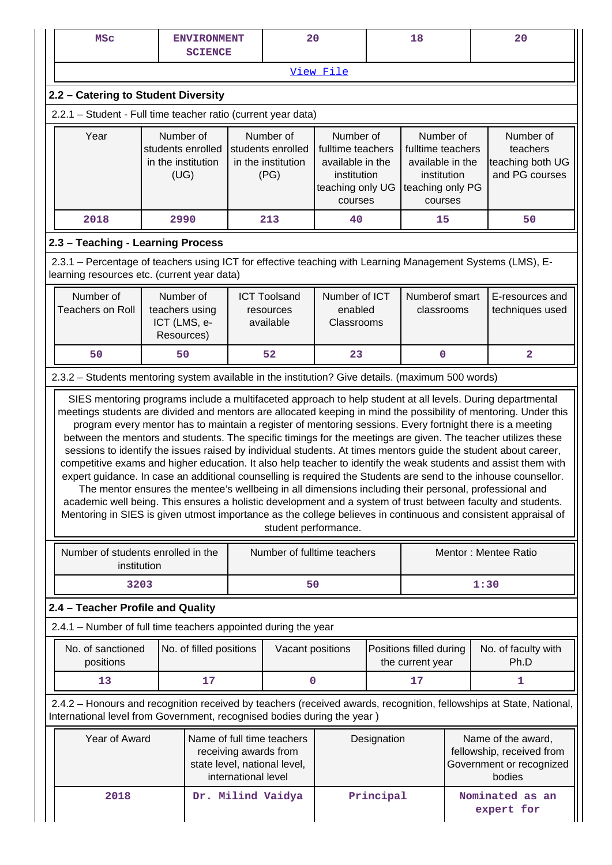| <b>MSC</b>                                                                                                                                                |                                                                                                                                                                                                                                                                                                                                                                                                                                                                                                                                                                                                                                                                                                                                                                                                                                                                                                                                                                                                                                                                                                                                                                                           | <b>ENVIRONMENT</b><br><b>SCIENCE</b> |                     | 20                                                                                  |                                                                                                  |             | 18                                          |  |                                                                                                                     |  | 20                                                          |
|-----------------------------------------------------------------------------------------------------------------------------------------------------------|-------------------------------------------------------------------------------------------------------------------------------------------------------------------------------------------------------------------------------------------------------------------------------------------------------------------------------------------------------------------------------------------------------------------------------------------------------------------------------------------------------------------------------------------------------------------------------------------------------------------------------------------------------------------------------------------------------------------------------------------------------------------------------------------------------------------------------------------------------------------------------------------------------------------------------------------------------------------------------------------------------------------------------------------------------------------------------------------------------------------------------------------------------------------------------------------|--------------------------------------|---------------------|-------------------------------------------------------------------------------------|--------------------------------------------------------------------------------------------------|-------------|---------------------------------------------|--|---------------------------------------------------------------------------------------------------------------------|--|-------------------------------------------------------------|
|                                                                                                                                                           | View File                                                                                                                                                                                                                                                                                                                                                                                                                                                                                                                                                                                                                                                                                                                                                                                                                                                                                                                                                                                                                                                                                                                                                                                 |                                      |                     |                                                                                     |                                                                                                  |             |                                             |  |                                                                                                                     |  |                                                             |
| 2.2 - Catering to Student Diversity                                                                                                                       |                                                                                                                                                                                                                                                                                                                                                                                                                                                                                                                                                                                                                                                                                                                                                                                                                                                                                                                                                                                                                                                                                                                                                                                           |                                      |                     |                                                                                     |                                                                                                  |             |                                             |  |                                                                                                                     |  |                                                             |
| 2.2.1 - Student - Full time teacher ratio (current year data)                                                                                             |                                                                                                                                                                                                                                                                                                                                                                                                                                                                                                                                                                                                                                                                                                                                                                                                                                                                                                                                                                                                                                                                                                                                                                                           |                                      |                     |                                                                                     |                                                                                                  |             |                                             |  |                                                                                                                     |  |                                                             |
| Year                                                                                                                                                      | Number of<br>students enrolled<br>in the institution<br>(UG)                                                                                                                                                                                                                                                                                                                                                                                                                                                                                                                                                                                                                                                                                                                                                                                                                                                                                                                                                                                                                                                                                                                              |                                      |                     | Number of<br>students enrolled<br>in the institution<br>(PG)                        | Number of<br>fulltime teachers<br>available in the<br>institution<br>teaching only UG<br>courses |             |                                             |  | Number of<br>fulltime teachers<br>available in the<br>institution<br>teaching only PG<br>courses                    |  | Number of<br>teachers<br>teaching both UG<br>and PG courses |
| 2018                                                                                                                                                      | 2990                                                                                                                                                                                                                                                                                                                                                                                                                                                                                                                                                                                                                                                                                                                                                                                                                                                                                                                                                                                                                                                                                                                                                                                      |                                      |                     | 213                                                                                 | 40                                                                                               |             | 15                                          |  | 50                                                                                                                  |  |                                                             |
| 2.3 - Teaching - Learning Process                                                                                                                         |                                                                                                                                                                                                                                                                                                                                                                                                                                                                                                                                                                                                                                                                                                                                                                                                                                                                                                                                                                                                                                                                                                                                                                                           |                                      |                     |                                                                                     |                                                                                                  |             |                                             |  |                                                                                                                     |  |                                                             |
| 2.3.1 – Percentage of teachers using ICT for effective teaching with Learning Management Systems (LMS), E-<br>learning resources etc. (current year data) |                                                                                                                                                                                                                                                                                                                                                                                                                                                                                                                                                                                                                                                                                                                                                                                                                                                                                                                                                                                                                                                                                                                                                                                           |                                      |                     |                                                                                     |                                                                                                  |             |                                             |  |                                                                                                                     |  |                                                             |
| Number of<br><b>Teachers on Roll</b>                                                                                                                      | Number of<br>Number of ICT<br>Numberof smart<br><b>ICT Toolsand</b><br>teachers using<br>enabled<br>classrooms<br>resources<br>ICT (LMS, e-<br>Classrooms<br>available<br>Resources)                                                                                                                                                                                                                                                                                                                                                                                                                                                                                                                                                                                                                                                                                                                                                                                                                                                                                                                                                                                                      |                                      |                     |                                                                                     | E-resources and<br>techniques used                                                               |             |                                             |  |                                                                                                                     |  |                                                             |
| 50                                                                                                                                                        | 50                                                                                                                                                                                                                                                                                                                                                                                                                                                                                                                                                                                                                                                                                                                                                                                                                                                                                                                                                                                                                                                                                                                                                                                        |                                      |                     | 52                                                                                  | 23                                                                                               |             | $\mathbf 0$                                 |  | $\overline{\mathbf{2}}$                                                                                             |  |                                                             |
| 2.3.2 - Students mentoring system available in the institution? Give details. (maximum 500 words)                                                         |                                                                                                                                                                                                                                                                                                                                                                                                                                                                                                                                                                                                                                                                                                                                                                                                                                                                                                                                                                                                                                                                                                                                                                                           |                                      |                     |                                                                                     |                                                                                                  |             |                                             |  |                                                                                                                     |  |                                                             |
|                                                                                                                                                           | SIES mentoring programs include a multifaceted approach to help student at all levels. During departmental<br>meetings students are divided and mentors are allocated keeping in mind the possibility of mentoring. Under this<br>program every mentor has to maintain a register of mentoring sessions. Every fortnight there is a meeting<br>between the mentors and students. The specific timings for the meetings are given. The teacher utilizes these<br>sessions to identify the issues raised by individual students. At times mentors guide the student about career,<br>competitive exams and higher education. It also help teacher to identify the weak students and assist them with<br>expert guidance. In case an additional counselling is required the Students are send to the inhouse counsellor.<br>The mentor ensures the mentee's wellbeing in all dimensions including their personal, professional and<br>academic well being. This ensures a holistic development and a system of trust between faculty and students.<br>Mentoring in SIES is given utmost importance as the college believes in continuous and consistent appraisal of<br>student performance. |                                      |                     |                                                                                     |                                                                                                  |             |                                             |  |                                                                                                                     |  |                                                             |
| Number of students enrolled in the                                                                                                                        | institution                                                                                                                                                                                                                                                                                                                                                                                                                                                                                                                                                                                                                                                                                                                                                                                                                                                                                                                                                                                                                                                                                                                                                                               |                                      |                     | Number of fulltime teachers                                                         |                                                                                                  |             |                                             |  | Mentor: Mentee Ratio                                                                                                |  |                                                             |
|                                                                                                                                                           | 3203                                                                                                                                                                                                                                                                                                                                                                                                                                                                                                                                                                                                                                                                                                                                                                                                                                                                                                                                                                                                                                                                                                                                                                                      |                                      |                     | 50                                                                                  |                                                                                                  |             |                                             |  | 1:30                                                                                                                |  |                                                             |
| 2.4 - Teacher Profile and Quality                                                                                                                         |                                                                                                                                                                                                                                                                                                                                                                                                                                                                                                                                                                                                                                                                                                                                                                                                                                                                                                                                                                                                                                                                                                                                                                                           |                                      |                     |                                                                                     |                                                                                                  |             |                                             |  |                                                                                                                     |  |                                                             |
| 2.4.1 - Number of full time teachers appointed during the year                                                                                            |                                                                                                                                                                                                                                                                                                                                                                                                                                                                                                                                                                                                                                                                                                                                                                                                                                                                                                                                                                                                                                                                                                                                                                                           |                                      |                     |                                                                                     |                                                                                                  |             |                                             |  |                                                                                                                     |  |                                                             |
| No. of sanctioned<br>positions                                                                                                                            |                                                                                                                                                                                                                                                                                                                                                                                                                                                                                                                                                                                                                                                                                                                                                                                                                                                                                                                                                                                                                                                                                                                                                                                           | No. of filled positions              |                     | Vacant positions                                                                    |                                                                                                  |             | Positions filled during<br>the current year |  | No. of faculty with<br>Ph.D                                                                                         |  |                                                             |
| 13                                                                                                                                                        |                                                                                                                                                                                                                                                                                                                                                                                                                                                                                                                                                                                                                                                                                                                                                                                                                                                                                                                                                                                                                                                                                                                                                                                           | 17                                   |                     | 0                                                                                   |                                                                                                  |             | 17                                          |  | 1                                                                                                                   |  |                                                             |
| International level from Government, recognised bodies during the year)                                                                                   |                                                                                                                                                                                                                                                                                                                                                                                                                                                                                                                                                                                                                                                                                                                                                                                                                                                                                                                                                                                                                                                                                                                                                                                           |                                      |                     |                                                                                     |                                                                                                  |             |                                             |  | 2.4.2 - Honours and recognition received by teachers (received awards, recognition, fellowships at State, National, |  |                                                             |
| Year of Award                                                                                                                                             |                                                                                                                                                                                                                                                                                                                                                                                                                                                                                                                                                                                                                                                                                                                                                                                                                                                                                                                                                                                                                                                                                                                                                                                           |                                      | international level | Name of full time teachers<br>receiving awards from<br>state level, national level, |                                                                                                  | Designation |                                             |  | Name of the award,<br>fellowship, received from<br>Government or recognized<br>bodies                               |  |                                                             |
| 2018                                                                                                                                                      |                                                                                                                                                                                                                                                                                                                                                                                                                                                                                                                                                                                                                                                                                                                                                                                                                                                                                                                                                                                                                                                                                                                                                                                           |                                      |                     | Dr. Milind Vaidya                                                                   |                                                                                                  | Principal   |                                             |  | Nominated as an<br>expert for                                                                                       |  |                                                             |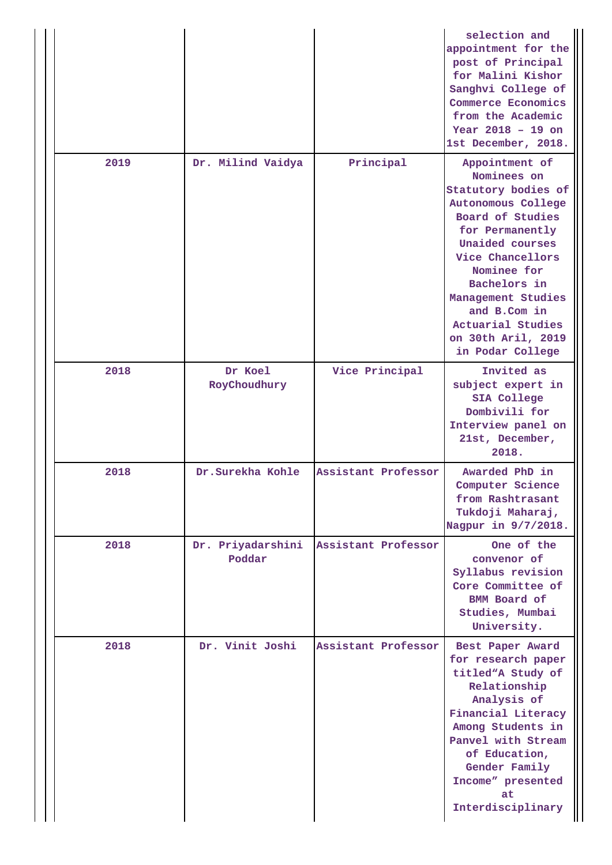|      |                             |                     | selection and<br>appointment for the<br>post of Principal<br>for Malini Kishor<br>Sanghvi College of<br>Commerce Economics<br>from the Academic<br>Year $2018 - 19$ on<br>1st December, 2018.                                                                                                |
|------|-----------------------------|---------------------|----------------------------------------------------------------------------------------------------------------------------------------------------------------------------------------------------------------------------------------------------------------------------------------------|
| 2019 | Dr. Milind Vaidya           | Principal           | Appointment of<br>Nominees on<br>Statutory bodies of<br>Autonomous College<br>Board of Studies<br>for Permanently<br>Unaided courses<br>Vice Chancellors<br>Nominee for<br>Bachelors in<br>Management Studies<br>and B.Com in<br>Actuarial Studies<br>on 30th Aril, 2019<br>in Podar College |
| 2018 | Dr Koel<br>RoyChoudhury     | Vice Principal      | Invited as<br>subject expert in<br>SIA College<br>Dombivili for<br>Interview panel on<br>21st, December,<br>2018.                                                                                                                                                                            |
| 2018 | Dr.Surekha Kohle            | Assistant Professor | Awarded PhD in<br>Computer Science<br>from Rashtrasant<br>Tukdoji Maharaj,<br>Nagpur in 9/7/2018.                                                                                                                                                                                            |
| 2018 | Dr. Priyadarshini<br>Poddar | Assistant Professor | One of the<br>convenor of<br>Syllabus revision<br>Core Committee of<br><b>BMM</b> Board of<br>Studies, Mumbai<br>University.                                                                                                                                                                 |
| 2018 | Dr. Vinit Joshi             | Assistant Professor | Best Paper Award<br>for research paper<br>titled"A Study of<br>Relationship<br>Analysis of<br>Financial Literacy<br>Among Students in<br>Panvel with Stream<br>of Education,<br>Gender Family<br>Income" presented<br>at<br>Interdisciplinary                                                |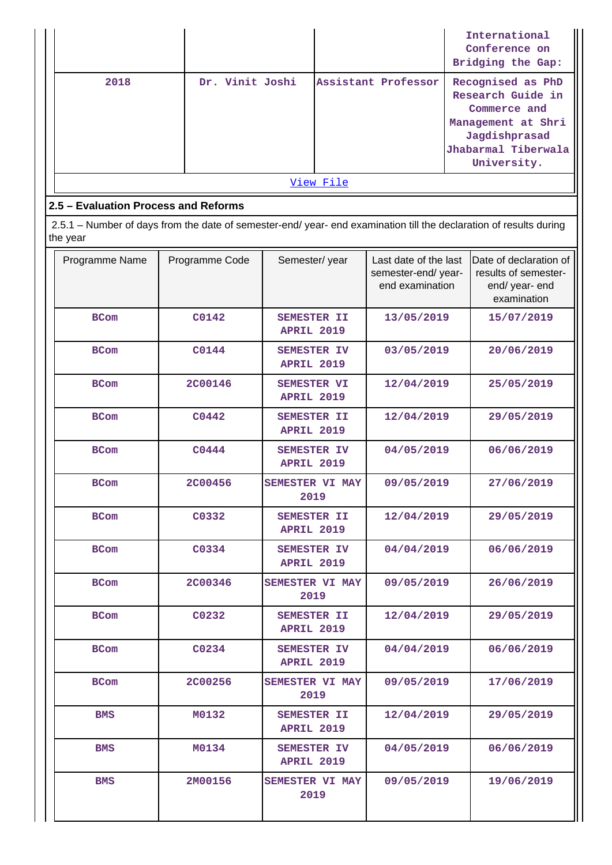|           |                 |                     | International<br>Conference on<br>Bridging the Gap:                                                                                 |  |  |  |  |  |
|-----------|-----------------|---------------------|-------------------------------------------------------------------------------------------------------------------------------------|--|--|--|--|--|
| 2018      | Dr. Vinit Joshi | Assistant Professor | Recognised as PhD<br>Research Guide in<br>Commerce and<br>Management at Shri<br>Jagdishprasad<br>Jhabarmal Tiberwala<br>University. |  |  |  |  |  |
| View File |                 |                     |                                                                                                                                     |  |  |  |  |  |

# **2.5 – Evaluation Process and Reforms**

 2.5.1 – Number of days from the date of semester-end/ year- end examination till the declaration of results during the year

| Programme Name | Programme Code | Semester/year                           | Last date of the last<br>semester-end/year-<br>end examination | Date of declaration of<br>results of semester-<br>end/ year- end<br>examination |
|----------------|----------------|-----------------------------------------|----------------------------------------------------------------|---------------------------------------------------------------------------------|
| <b>BCom</b>    | C0142          | <b>SEMESTER II</b><br><b>APRIL 2019</b> | 13/05/2019                                                     | 15/07/2019                                                                      |
| <b>BCom</b>    | C0144          | <b>SEMESTER IV</b><br><b>APRIL 2019</b> | 03/05/2019                                                     | 20/06/2019                                                                      |
| <b>BCom</b>    | <b>2C00146</b> | <b>SEMESTER VI</b><br><b>APRIL 2019</b> | 12/04/2019                                                     | 25/05/2019                                                                      |
| <b>BCom</b>    | C0442          | <b>SEMESTER II</b><br><b>APRIL 2019</b> | 12/04/2019                                                     | 29/05/2019                                                                      |
| <b>BCom</b>    | C0444          | SEMESTER IV<br><b>APRIL 2019</b>        | 04/05/2019                                                     | 06/06/2019                                                                      |
| <b>BCom</b>    | <b>2C00456</b> | <b>SEMESTER VI MAY</b><br>2019          | 09/05/2019                                                     | 27/06/2019                                                                      |
| <b>BCom</b>    | C0332          | <b>SEMESTER II</b><br><b>APRIL 2019</b> | 12/04/2019                                                     | 29/05/2019                                                                      |
| <b>BCom</b>    | C0334          | SEMESTER IV<br><b>APRIL 2019</b>        | 04/04/2019                                                     | 06/06/2019                                                                      |
| <b>BCom</b>    | <b>2C00346</b> | <b>SEMESTER VI MAY</b><br>2019          | 09/05/2019                                                     | 26/06/2019                                                                      |
| <b>BCom</b>    | C0232          | <b>SEMESTER II</b><br><b>APRIL 2019</b> | 12/04/2019                                                     | 29/05/2019                                                                      |
| <b>BCom</b>    | C0234          | SEMESTER IV<br><b>APRIL 2019</b>        | 04/04/2019                                                     | 06/06/2019                                                                      |
| <b>BCom</b>    | <b>2C00256</b> | SEMESTER VI MAY<br>2019                 | 09/05/2019                                                     | 17/06/2019                                                                      |
| BMS            | M0132          | <b>SEMESTER II</b><br><b>APRIL 2019</b> | 12/04/2019                                                     | 29/05/2019                                                                      |
| <b>BMS</b>     | <b>M0134</b>   | <b>SEMESTER IV</b><br><b>APRIL 2019</b> | 04/05/2019                                                     | 06/06/2019                                                                      |
| BMS            | 2M00156        | SEMESTER VI MAY<br>2019                 | 09/05/2019                                                     | 19/06/2019                                                                      |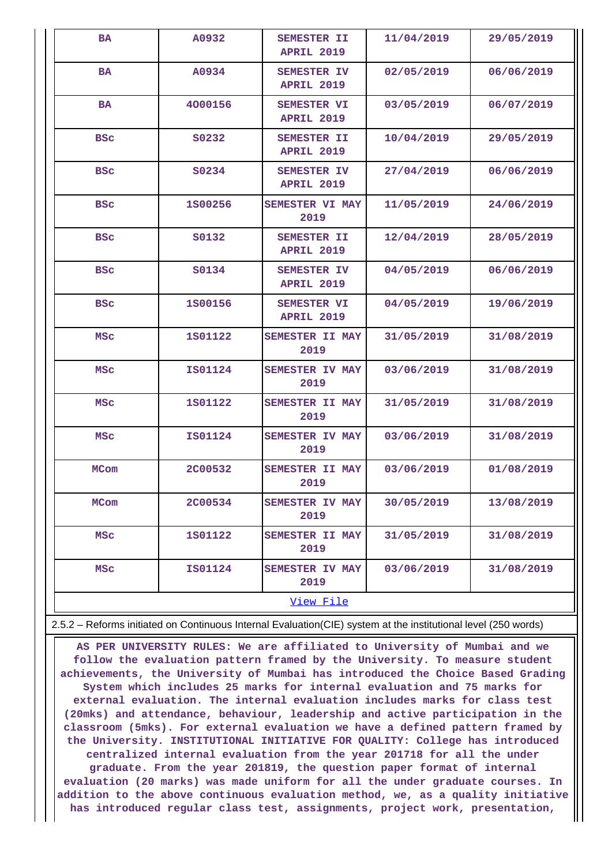| <b>BA</b>   | A0932          | <b>SEMESTER II</b><br><b>APRIL 2019</b> | 11/04/2019 | 29/05/2019 |  |  |  |  |
|-------------|----------------|-----------------------------------------|------------|------------|--|--|--|--|
| <b>BA</b>   | A0934          | SEMESTER IV<br><b>APRIL 2019</b>        | 02/05/2019 | 06/06/2019 |  |  |  |  |
| <b>BA</b>   | 4000156        | <b>SEMESTER VI</b><br><b>APRIL 2019</b> | 03/05/2019 | 06/07/2019 |  |  |  |  |
| <b>BSC</b>  | S0232          | <b>SEMESTER II</b><br><b>APRIL 2019</b> | 10/04/2019 | 29/05/2019 |  |  |  |  |
| <b>BSC</b>  | S0234          | SEMESTER IV<br><b>APRIL 2019</b>        | 27/04/2019 | 06/06/2019 |  |  |  |  |
| <b>BSC</b>  | 1800256        | SEMESTER VI MAY<br>2019                 | 11/05/2019 | 24/06/2019 |  |  |  |  |
| <b>BSC</b>  | S0132          | <b>SEMESTER II</b><br><b>APRIL 2019</b> | 12/04/2019 | 28/05/2019 |  |  |  |  |
| <b>BSC</b>  | <b>S0134</b>   | SEMESTER IV<br><b>APRIL 2019</b>        | 04/05/2019 | 06/06/2019 |  |  |  |  |
| <b>BSC</b>  | 1800156        | SEMESTER VI<br><b>APRIL 2019</b>        | 04/05/2019 | 19/06/2019 |  |  |  |  |
| <b>MSC</b>  | 1S01122        | <b>SEMESTER II MAY</b><br>2019          | 31/05/2019 | 31/08/2019 |  |  |  |  |
| <b>MSC</b>  | <b>IS01124</b> | <b>SEMESTER IV MAY</b><br>2019          | 03/06/2019 | 31/08/2019 |  |  |  |  |
| <b>MSC</b>  | 1S01122        | <b>SEMESTER II MAY</b><br>2019          | 31/05/2019 | 31/08/2019 |  |  |  |  |
| <b>MSC</b>  | <b>IS01124</b> | SEMESTER IV MAY<br>2019                 | 03/06/2019 | 31/08/2019 |  |  |  |  |
| <b>MCom</b> | <b>2C00532</b> | SEMESTER II MAY<br>2019                 | 03/06/2019 | 01/08/2019 |  |  |  |  |
| MCom        | <b>2C00534</b> | <b>SEMESTER IV MAY</b><br>2019          | 30/05/2019 | 13/08/2019 |  |  |  |  |
| <b>MSC</b>  | 1801122        | SEMESTER II MAY<br>2019                 | 31/05/2019 | 31/08/2019 |  |  |  |  |
| <b>MSC</b>  | <b>IS01124</b> | <b>SEMESTER IV MAY</b><br>2019          | 03/06/2019 | 31/08/2019 |  |  |  |  |
|             | View File      |                                         |            |            |  |  |  |  |

2.5.2 – Reforms initiated on Continuous Internal Evaluation(CIE) system at the institutional level (250 words)

 **AS PER UNIVERSITY RULES: We are affiliated to University of Mumbai and we follow the evaluation pattern framed by the University. To measure student achievements, the University of Mumbai has introduced the Choice Based Grading System which includes 25 marks for internal evaluation and 75 marks for external evaluation. The internal evaluation includes marks for class test (20mks) and attendance, behaviour, leadership and active participation in the classroom (5mks). For external evaluation we have a defined pattern framed by the University. INSTITUTIONAL INITIATIVE FOR QUALITY: College has introduced centralized internal evaluation from the year 201718 for all the under graduate. From the year 201819, the question paper format of internal evaluation (20 marks) was made uniform for all the under graduate courses. In addition to the above continuous evaluation method, we, as a quality initiative has introduced regular class test, assignments, project work, presentation,**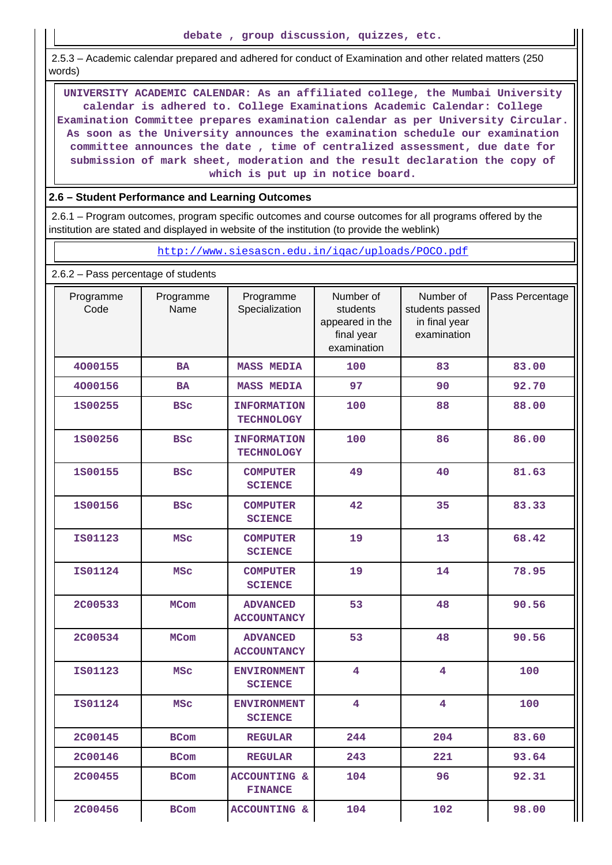2.5.3 – Academic calendar prepared and adhered for conduct of Examination and other related matters (250 words)

 **UNIVERSITY ACADEMIC CALENDAR: As an affiliated college, the Mumbai University calendar is adhered to. College Examinations Academic Calendar: College Examination Committee prepares examination calendar as per University Circular. As soon as the University announces the examination schedule our examination committee announces the date , time of centralized assessment, due date for submission of mark sheet, moderation and the result declaration the copy of which is put up in notice board.**

### **2.6 – Student Performance and Learning Outcomes**

 2.6.1 – Program outcomes, program specific outcomes and course outcomes for all programs offered by the institution are stated and displayed in website of the institution (to provide the weblink)

#### <http://www.siesascn.edu.in/iqac/uploads/POCO.pdf>

2.6.2 – Pass percentage of students

| Programme<br>Code | Programme<br>Name | Programme<br>Specialization               | Number of<br>students<br>appeared in the<br>final year<br>examination | Number of<br>students passed<br>in final year<br>examination | Pass Percentage |
|-------------------|-------------------|-------------------------------------------|-----------------------------------------------------------------------|--------------------------------------------------------------|-----------------|
| 4000155           | <b>BA</b>         | <b>MASS MEDIA</b>                         | 100                                                                   | 83                                                           | 83.00           |
| 4000156           | <b>BA</b>         | <b>MASS MEDIA</b>                         | 97                                                                    | 90                                                           | 92.70           |
| 1800255           | <b>BSC</b>        | <b>INFORMATION</b><br><b>TECHNOLOGY</b>   | 100                                                                   | 88                                                           | 88.00           |
| 1800256           | <b>BSC</b>        | <b>INFORMATION</b><br><b>TECHNOLOGY</b>   | 100                                                                   | 86                                                           | 86.00           |
| 1800155           | <b>BSC</b>        | <b>COMPUTER</b><br><b>SCIENCE</b>         | 49                                                                    | 40                                                           | 81.63           |
| 1800156           | <b>BSC</b>        | <b>COMPUTER</b><br><b>SCIENCE</b>         | 42                                                                    | 35                                                           | 83.33           |
| IS01123           | <b>MSC</b>        | <b>COMPUTER</b><br><b>SCIENCE</b>         | 19                                                                    | 13                                                           | 68.42           |
| <b>IS01124</b>    | <b>MSC</b>        | <b>COMPUTER</b><br><b>SCIENCE</b>         | 19                                                                    | 14                                                           | 78.95           |
| <b>2C00533</b>    | <b>MCom</b>       | <b>ADVANCED</b><br><b>ACCOUNTANCY</b>     | 53                                                                    | 48                                                           | 90.56           |
| <b>2C00534</b>    | <b>MCom</b>       | <b>ADVANCED</b><br><b>ACCOUNTANCY</b>     | 53                                                                    | 48                                                           | 90.56           |
| <b>IS01123</b>    | <b>MSC</b>        | <b>ENVIRONMENT</b><br><b>SCIENCE</b>      | $\overline{\mathbf{4}}$                                               | $\overline{\mathbf{4}}$                                      | 100             |
| <b>IS01124</b>    | <b>MSC</b>        | <b>ENVIRONMENT</b><br><b>SCIENCE</b>      | $\overline{\mathbf{4}}$                                               | 4                                                            | 100             |
| <b>2C00145</b>    | <b>BCom</b>       | <b>REGULAR</b>                            | 244                                                                   | 204                                                          | 83.60           |
| <b>2C00146</b>    | <b>BCom</b>       | <b>REGULAR</b>                            | 243                                                                   | 221                                                          | 93.64           |
| <b>2C00455</b>    | <b>BCom</b>       | <b>ACCOUNTING &amp;</b><br><b>FINANCE</b> | 104                                                                   | 96                                                           | 92.31           |
| <b>2C00456</b>    | <b>BCom</b>       | <b>ACCOUNTING &amp;</b>                   | 104                                                                   | 102                                                          | 98.00           |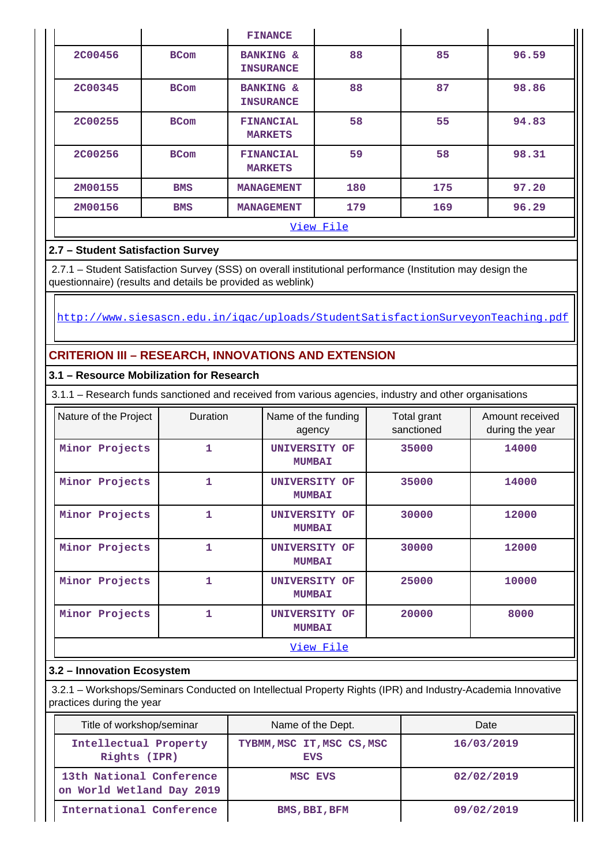|                |             | <b>FINANCE</b>                           |     |     |       |  |  |  |  |  |
|----------------|-------------|------------------------------------------|-----|-----|-------|--|--|--|--|--|
| <b>2C00456</b> | <b>BCom</b> | <b>BANKING &amp;</b><br><b>INSURANCE</b> | 88  | 85  | 96.59 |  |  |  |  |  |
| 2C00345        | <b>BCom</b> | <b>BANKING &amp;</b><br><b>INSURANCE</b> | 88  | 87  | 98.86 |  |  |  |  |  |
| <b>2C00255</b> | <b>BCom</b> | <b>FINANCIAL</b><br><b>MARKETS</b>       | 58  | 55  | 94.83 |  |  |  |  |  |
| <b>2C00256</b> | <b>BCom</b> | <b>FINANCIAL</b><br><b>MARKETS</b>       | 59  | 58  | 98.31 |  |  |  |  |  |
| 2M00155        | <b>BMS</b>  | <b>MANAGEMENT</b>                        | 180 | 175 | 97.20 |  |  |  |  |  |
| 2M00156        | <b>BMS</b>  | <b>MANAGEMENT</b>                        | 179 | 169 | 96.29 |  |  |  |  |  |
|                | View File   |                                          |     |     |       |  |  |  |  |  |

# **2.7 – Student Satisfaction Survey**

 2.7.1 – Student Satisfaction Survey (SSS) on overall institutional performance (Institution may design the questionnaire) (results and details be provided as weblink)

<http://www.siesascn.edu.in/iqac/uploads/StudentSatisfactionSurveyonTeaching.pdf>

# **CRITERION III – RESEARCH, INNOVATIONS AND EXTENSION**

# **3.1 – Resource Mobilization for Research**

3.1.1 – Research funds sanctioned and received from various agencies, industry and other organisations

| Nature of the Project | <b>Duration</b> | Name of the funding<br>agency         | Total grant<br>sanctioned | Amount received<br>during the year |
|-----------------------|-----------------|---------------------------------------|---------------------------|------------------------------------|
| Minor Projects        | 1               | UNIVERSITY OF<br><b>MUMBAI</b>        | 35000                     | 14000                              |
| Minor Projects        | $\mathbf{1}$    | UNIVERSITY OF<br><b>MUMBAI</b>        | 35000                     | 14000                              |
| Minor Projects        | 1               | UNIVERSITY OF<br><b>MUMBAI</b>        | 30000                     | 12000                              |
| Minor Projects        | 1               | UNIVERSITY OF<br><b>MUMBAI</b>        | 30000                     | 12000                              |
| Minor Projects        | 1               | UNIVERSITY OF<br><b>MUMBAI</b>        | 25000                     | 10000                              |
| Minor Projects        | 1               | <b>UNIVERSITY OF</b><br><b>MUMBAI</b> | 20000                     | 8000                               |
|                       |                 | View File                             |                           |                                    |

# **3.2 – Innovation Ecosystem**

 3.2.1 – Workshops/Seminars Conducted on Intellectual Property Rights (IPR) and Industry-Academia Innovative practices during the year

| Title of workshop/seminar                             | Name of the Dept.                        | Date       |
|-------------------------------------------------------|------------------------------------------|------------|
| Intellectual Property<br>Rights (IPR)                 | TYBMM, MSC IT, MSC CS, MSC<br><b>EVS</b> | 16/03/2019 |
| 13th National Conference<br>on World Wetland Day 2019 | MSC EVS                                  | 02/02/2019 |
| International Conference                              | BMS, BBI, BFM                            | 09/02/2019 |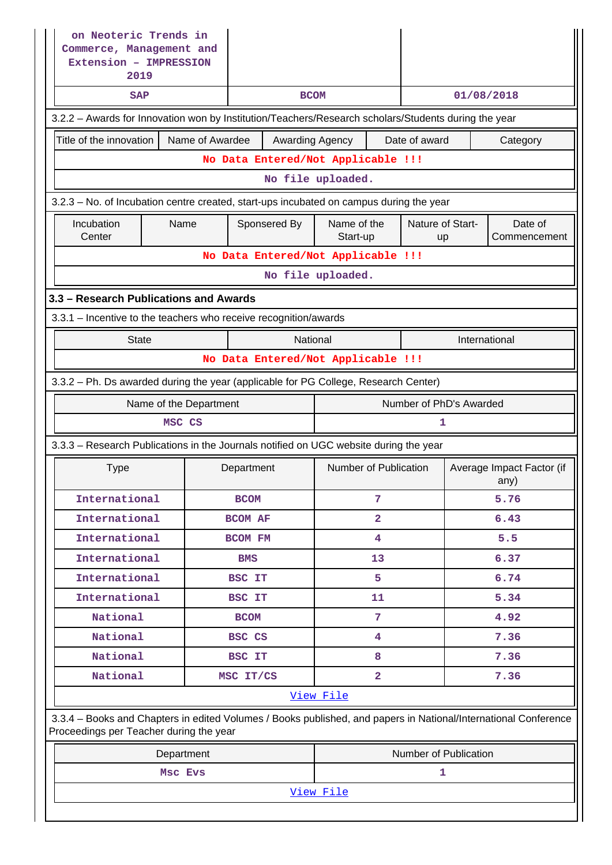| on Neoteric Trends in<br>Commerce, Management and<br>Extension - IMPRESSION<br>2019                                                                        |                                    |                |                   |                                    |                         |               |                                   |  |  |
|------------------------------------------------------------------------------------------------------------------------------------------------------------|------------------------------------|----------------|-------------------|------------------------------------|-------------------------|---------------|-----------------------------------|--|--|
| <b>SAP</b>                                                                                                                                                 |                                    |                | <b>BCOM</b>       |                                    |                         | 01/08/2018    |                                   |  |  |
| 3.2.2 - Awards for Innovation won by Institution/Teachers/Research scholars/Students during the year                                                       |                                    |                |                   |                                    |                         |               |                                   |  |  |
| Title of the innovation                                                                                                                                    | Name of Awardee                    |                | Awarding Agency   |                                    | Date of award           |               | Category                          |  |  |
|                                                                                                                                                            |                                    |                |                   | No Data Entered/Not Applicable !!! |                         |               |                                   |  |  |
|                                                                                                                                                            | No file uploaded.                  |                |                   |                                    |                         |               |                                   |  |  |
| 3.2.3 - No. of Incubation centre created, start-ups incubated on campus during the year                                                                    |                                    |                |                   |                                    |                         |               |                                   |  |  |
| Incubation<br>Center                                                                                                                                       | Name                               | Sponsered By   |                   | Name of the<br>Start-up            | Nature of Start-<br>up  |               | Date of<br>Commencement           |  |  |
|                                                                                                                                                            |                                    |                |                   | No Data Entered/Not Applicable !!! |                         |               |                                   |  |  |
|                                                                                                                                                            |                                    |                | No file uploaded. |                                    |                         |               |                                   |  |  |
| 3.3 - Research Publications and Awards                                                                                                                     |                                    |                |                   |                                    |                         |               |                                   |  |  |
| 3.3.1 - Incentive to the teachers who receive recognition/awards                                                                                           |                                    |                |                   |                                    |                         |               |                                   |  |  |
| <b>State</b>                                                                                                                                               |                                    |                | National          |                                    |                         | International |                                   |  |  |
|                                                                                                                                                            | No Data Entered/Not Applicable !!! |                |                   |                                    |                         |               |                                   |  |  |
| 3.3.2 - Ph. Ds awarded during the year (applicable for PG College, Research Center)                                                                        |                                    |                |                   |                                    |                         |               |                                   |  |  |
| Name of the Department                                                                                                                                     |                                    |                |                   |                                    | Number of PhD's Awarded |               |                                   |  |  |
| MSC CS                                                                                                                                                     |                                    |                |                   |                                    | 1                       |               |                                   |  |  |
| 3.3.3 - Research Publications in the Journals notified on UGC website during the year                                                                      |                                    |                |                   |                                    |                         |               |                                   |  |  |
| <b>Type</b>                                                                                                                                                |                                    | Department     |                   | Number of Publication              |                         |               | Average Impact Factor (if<br>any) |  |  |
| International                                                                                                                                              |                                    | <b>BCOM</b>    |                   | 7                                  |                         |               | 5.76                              |  |  |
| International                                                                                                                                              |                                    | <b>BCOM AF</b> |                   | $\overline{\mathbf{2}}$            |                         |               | 6.43                              |  |  |
| International                                                                                                                                              |                                    | <b>BCOM FM</b> |                   | $\overline{4}$                     |                         |               | 5.5                               |  |  |
| International                                                                                                                                              |                                    | <b>BMS</b>     |                   | 13                                 |                         |               | 6.37                              |  |  |
| International                                                                                                                                              |                                    | BSC IT         |                   | 5                                  |                         |               | 6.74                              |  |  |
| International                                                                                                                                              |                                    | <b>BSC IT</b>  |                   | 11                                 |                         |               | 5.34                              |  |  |
| National                                                                                                                                                   |                                    | <b>BCOM</b>    |                   | 7                                  |                         |               | 4.92                              |  |  |
| National                                                                                                                                                   |                                    | BSC CS         |                   | 4                                  |                         |               | 7.36                              |  |  |
| National                                                                                                                                                   |                                    | BSC IT         |                   | 8                                  |                         |               | 7.36                              |  |  |
| National                                                                                                                                                   |                                    |                |                   |                                    | $\overline{2}$<br>7.36  |               |                                   |  |  |
| View File                                                                                                                                                  |                                    |                |                   |                                    |                         |               |                                   |  |  |
|                                                                                                                                                            |                                    | MSC IT/CS      |                   |                                    |                         |               |                                   |  |  |
| 3.3.4 - Books and Chapters in edited Volumes / Books published, and papers in National/International Conference<br>Proceedings per Teacher during the year |                                    |                |                   |                                    |                         |               |                                   |  |  |
|                                                                                                                                                            | Department                         |                |                   |                                    | Number of Publication   |               |                                   |  |  |
|                                                                                                                                                            | Msc Evs                            |                |                   |                                    | $\mathbf{1}$            |               |                                   |  |  |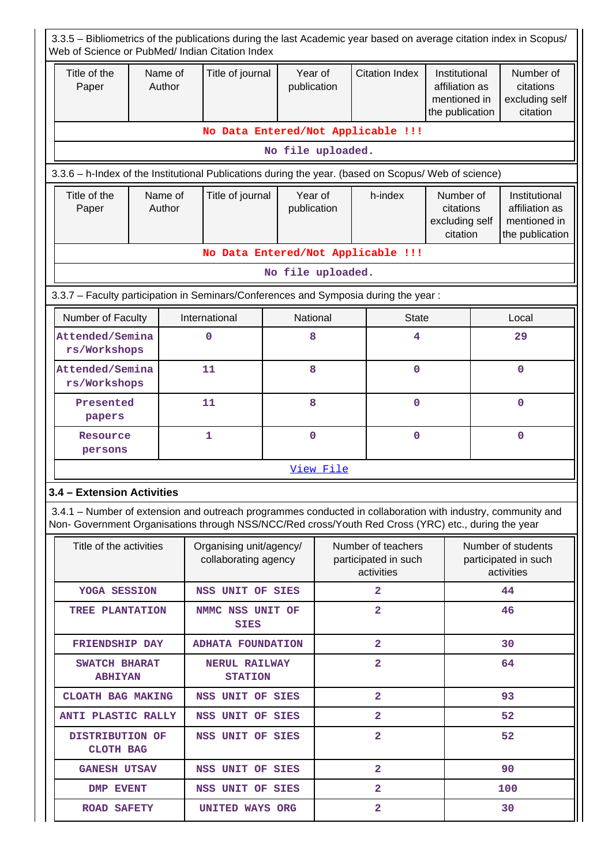| 3.3.5 - Bibliometrics of the publications during the last Academic year based on average citation index in Scopus/<br>Web of Science or PubMed/ Indian Citation Index                                              |                   |                   |                                                 |                        |                                                          |                                    |                                                                    |                                                          |                                                                    |  |
|--------------------------------------------------------------------------------------------------------------------------------------------------------------------------------------------------------------------|-------------------|-------------------|-------------------------------------------------|------------------------|----------------------------------------------------------|------------------------------------|--------------------------------------------------------------------|----------------------------------------------------------|--------------------------------------------------------------------|--|
| Title of the<br>Paper                                                                                                                                                                                              |                   | Name of<br>Author | Title of journal                                | Year of<br>publication |                                                          | <b>Citation Index</b>              | Institutional<br>affiliation as<br>mentioned in<br>the publication |                                                          | Number of<br>citations<br>excluding self<br>citation               |  |
| No Data Entered/Not Applicable !!!                                                                                                                                                                                 |                   |                   |                                                 |                        |                                                          |                                    |                                                                    |                                                          |                                                                    |  |
|                                                                                                                                                                                                                    |                   |                   |                                                 | No file uploaded.      |                                                          |                                    |                                                                    |                                                          |                                                                    |  |
| 3.3.6 - h-Index of the Institutional Publications during the year. (based on Scopus/ Web of science)                                                                                                               |                   |                   |                                                 |                        |                                                          |                                    |                                                                    |                                                          |                                                                    |  |
| Title of the<br>Paper                                                                                                                                                                                              | Name of<br>Author |                   | Title of journal                                |                        | Year of<br>h-index<br>publication                        |                                    | Number of<br>citations<br>excluding self<br>citation               |                                                          | Institutional<br>affiliation as<br>mentioned in<br>the publication |  |
|                                                                                                                                                                                                                    |                   |                   |                                                 |                        |                                                          | No Data Entered/Not Applicable !!! |                                                                    |                                                          |                                                                    |  |
|                                                                                                                                                                                                                    |                   |                   |                                                 | No file uploaded.      |                                                          |                                    |                                                                    |                                                          |                                                                    |  |
| 3.3.7 - Faculty participation in Seminars/Conferences and Symposia during the year:                                                                                                                                |                   |                   |                                                 |                        |                                                          |                                    |                                                                    |                                                          |                                                                    |  |
| Number of Faculty                                                                                                                                                                                                  |                   |                   | International                                   | National               |                                                          | <b>State</b>                       |                                                                    |                                                          | Local                                                              |  |
| Attended/Semina<br>rs/Workshops                                                                                                                                                                                    |                   |                   | 0                                               | 8                      |                                                          | 4                                  |                                                                    |                                                          | 29                                                                 |  |
| Attended/Semina<br>rs/Workshops                                                                                                                                                                                    |                   |                   | 11                                              | 8                      |                                                          | $\mathbf 0$                        |                                                                    |                                                          | 0                                                                  |  |
| Presented<br>papers                                                                                                                                                                                                |                   |                   | 11                                              | 8                      |                                                          | $\mathbf 0$                        |                                                                    | $\Omega$                                                 |                                                                    |  |
| Resource<br>persons                                                                                                                                                                                                |                   |                   | 1                                               | $\mathbf 0$            |                                                          | $\mathbf 0$                        |                                                                    |                                                          | $\mathbf 0$                                                        |  |
|                                                                                                                                                                                                                    |                   |                   |                                                 |                        | View File                                                |                                    |                                                                    |                                                          |                                                                    |  |
| 3.4 - Extension Activities                                                                                                                                                                                         |                   |                   |                                                 |                        |                                                          |                                    |                                                                    |                                                          |                                                                    |  |
| 3.4.1 – Number of extension and outreach programmes conducted in collaboration with industry, community and<br>Non- Government Organisations through NSS/NCC/Red cross/Youth Red Cross (YRC) etc., during the year |                   |                   |                                                 |                        |                                                          |                                    |                                                                    |                                                          |                                                                    |  |
| Title of the activities                                                                                                                                                                                            |                   |                   | Organising unit/agency/<br>collaborating agency |                        | Number of teachers<br>participated in such<br>activities |                                    |                                                                    | Number of students<br>participated in such<br>activities |                                                                    |  |
| YOGA SESSION                                                                                                                                                                                                       |                   |                   | NSS UNIT OF SIES                                |                        |                                                          | $\overline{a}$                     |                                                                    | 44                                                       |                                                                    |  |
| TREE PLANTATION                                                                                                                                                                                                    |                   |                   | NMMC NSS UNIT OF<br><b>SIES</b>                 |                        |                                                          | $\overline{a}$                     |                                                                    |                                                          | 46                                                                 |  |
| <b>FRIENDSHIP DAY</b>                                                                                                                                                                                              |                   |                   | <b>ADHATA FOUNDATION</b>                        |                        |                                                          | $\overline{2}$                     |                                                                    |                                                          | 30                                                                 |  |
| SWATCH BHARAT<br><b>ABHIYAN</b>                                                                                                                                                                                    |                   |                   | <b>NERUL RAILWAY</b><br><b>STATION</b>          |                        |                                                          | 2                                  |                                                                    | 64                                                       |                                                                    |  |
| CLOATH BAG MAKING                                                                                                                                                                                                  |                   |                   | NSS UNIT OF SIES                                |                        |                                                          | $\overline{\mathbf{2}}$            |                                                                    |                                                          | 93                                                                 |  |
| <b>ANTI PLASTIC RALLY</b>                                                                                                                                                                                          |                   |                   | NSS UNIT OF SIES                                |                        |                                                          | $\overline{2}$                     |                                                                    |                                                          | 52                                                                 |  |
| DISTRIBUTION OF<br><b>CLOTH BAG</b>                                                                                                                                                                                |                   |                   | NSS UNIT OF SIES                                |                        |                                                          | $\overline{\mathbf{2}}$            |                                                                    |                                                          | 52                                                                 |  |
| <b>GANESH UTSAV</b>                                                                                                                                                                                                |                   |                   | NSS UNIT OF SIES                                |                        |                                                          | $\overline{a}$                     |                                                                    |                                                          | 90                                                                 |  |
| DMP EVENT                                                                                                                                                                                                          |                   |                   | NSS UNIT OF SIES                                |                        |                                                          | $\overline{a}$                     |                                                                    |                                                          | 100                                                                |  |
| <b>ROAD SAFETY</b>                                                                                                                                                                                                 |                   |                   | <b>UNITED WAYS ORG</b>                          |                        |                                                          | 2                                  |                                                                    |                                                          | 30                                                                 |  |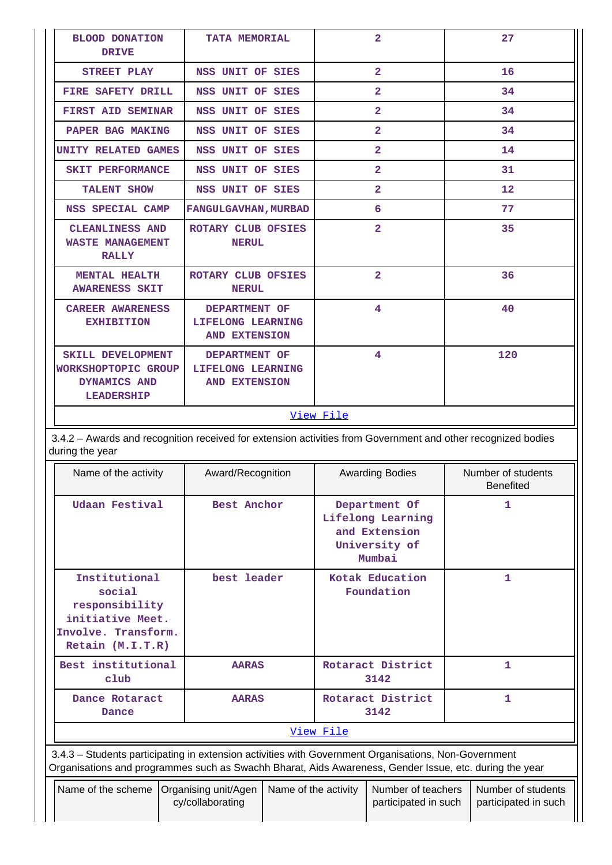| <b>BLOOD DONATION</b><br><b>DRIVE</b>                                                                                           | <b>TATA MEMORIAL</b>                                       | $\overline{2}$ | 27                |  |  |  |  |
|---------------------------------------------------------------------------------------------------------------------------------|------------------------------------------------------------|----------------|-------------------|--|--|--|--|
| STREET PLAY                                                                                                                     | NSS UNIT OF SIES                                           | $\overline{2}$ | 16                |  |  |  |  |
| FIRE SAFETY DRILL                                                                                                               | NSS UNIT OF SIES                                           | $\overline{2}$ | 34                |  |  |  |  |
| <b>FIRST AID SEMINAR</b>                                                                                                        | NSS UNIT OF SIES                                           | $\overline{2}$ | 34                |  |  |  |  |
| PAPER BAG MAKING                                                                                                                | NSS UNIT OF SIES                                           | $\overline{2}$ | 34                |  |  |  |  |
| <b>UNITY RELATED GAMES</b>                                                                                                      | NSS UNIT OF SIES                                           | $\overline{2}$ | 14                |  |  |  |  |
| <b>SKIT PERFORMANCE</b>                                                                                                         | NSS UNIT OF SIES                                           | $\overline{2}$ | 31                |  |  |  |  |
| <b>TALENT SHOW</b>                                                                                                              | NSS UNIT OF SIES                                           | $\overline{2}$ | $12 \overline{ }$ |  |  |  |  |
| NSS SPECIAL CAMP                                                                                                                | <b>FANGULGAVHAN, MURBAD</b>                                | 6              | 77                |  |  |  |  |
| <b>CLEANLINESS AND</b><br><b>WASTE MANAGEMENT</b><br><b>RALLY</b>                                                               | ROTARY CLUB OFSIES<br><b>NERUL</b>                         | $\overline{2}$ | 35                |  |  |  |  |
| MENTAL HEALTH<br><b>AWARENESS SKIT</b>                                                                                          | ROTARY CLUB OFSIES<br><b>NERUL</b>                         | $\overline{2}$ | 36                |  |  |  |  |
| <b>CAREER AWARENESS</b><br><b>EXHIBITION</b>                                                                                    | DEPARTMENT OF<br>LIFELONG LEARNING<br>AND EXTENSION        | 4              | 40                |  |  |  |  |
| SKILL DEVELOPMENT<br>WORKSHOPTOPIC GROUP<br>DYNAMICS AND<br><b>LEADERSHIP</b>                                                   | DEPARTMENT OF<br>LIFELONG LEARNING<br><b>AND EXTENSION</b> | 4              | 120               |  |  |  |  |
|                                                                                                                                 |                                                            | View File      |                   |  |  |  |  |
| 3.4.2 - Awards and recognition received for extension activities from Government and other recognized bodies<br>during the year |                                                            |                |                   |  |  |  |  |

| Name of the activity |                                                                                                                                                                                                                | Award/Recognition |                                          |                      | <b>Awarding Bodies</b>        |                                                                                | Number of students<br><b>Benefited</b> |                                            |
|----------------------|----------------------------------------------------------------------------------------------------------------------------------------------------------------------------------------------------------------|-------------------|------------------------------------------|----------------------|-------------------------------|--------------------------------------------------------------------------------|----------------------------------------|--------------------------------------------|
|                      | Udaan Festival                                                                                                                                                                                                 |                   | Best Anchor                              |                      |                               | Department Of<br>Lifelong Learning<br>and Extension<br>University of<br>Mumbai |                                        | 1                                          |
|                      | Institutional<br>social<br>responsibility<br>initiative Meet.<br>Involve. Transform.<br>Retain (M.I.T.R)                                                                                                       |                   | best leader                              |                      | Kotak Education<br>Foundation |                                                                                |                                        | 1                                          |
|                      | Best institutional<br>club                                                                                                                                                                                     |                   | <b>AARAS</b>                             |                      | Rotaract District<br>3142     |                                                                                | 1                                      |                                            |
|                      | Dance Rotaract<br>Dance                                                                                                                                                                                        |                   | <b>AARAS</b>                             |                      | Rotaract District<br>3142     |                                                                                | $\mathbf{1}$                           |                                            |
|                      | View File                                                                                                                                                                                                      |                   |                                          |                      |                               |                                                                                |                                        |                                            |
|                      | 3.4.3 - Students participating in extension activities with Government Organisations, Non-Government<br>Organisations and programmes such as Swachh Bharat, Aids Awareness, Gender Issue, etc. during the year |                   |                                          |                      |                               |                                                                                |                                        |                                            |
|                      | Name of the scheme                                                                                                                                                                                             |                   | Organising unit/Agen<br>cy/collaborating | Name of the activity |                               | Number of teachers<br>participated in such                                     |                                        | Number of students<br>participated in such |

T

|| |

 $\mathbf{I}$ 

 $\mathbf l$ 

 $\mathbf{I}$ 

 $\overline{\phantom{a}}$ 

П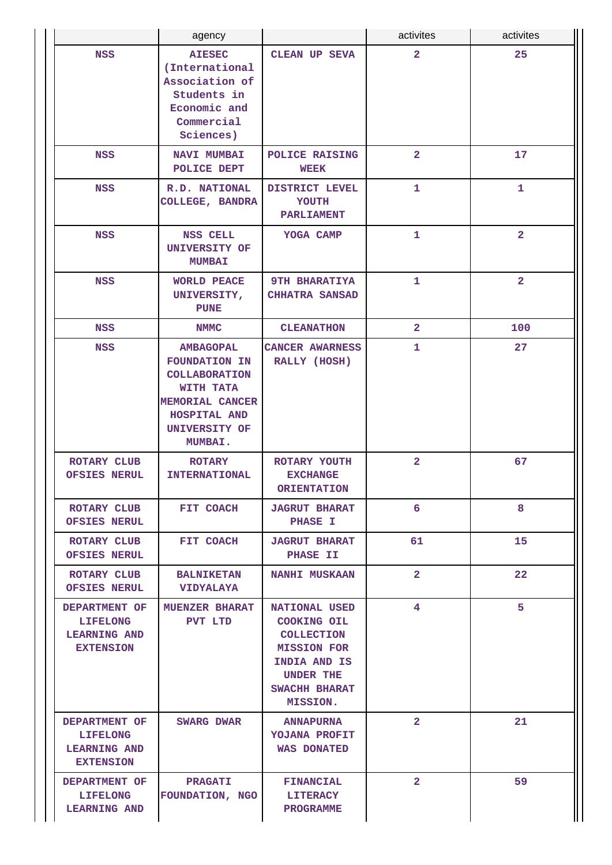|                                                                             | agency                                                                                                                                                     |                                                                                                                                                 | activites               | activites         |
|-----------------------------------------------------------------------------|------------------------------------------------------------------------------------------------------------------------------------------------------------|-------------------------------------------------------------------------------------------------------------------------------------------------|-------------------------|-------------------|
| <b>NSS</b>                                                                  | <b>AIESEC</b><br>(International<br>Association of<br>Students in<br>Economic and<br>Commercial<br>Sciences)                                                | <b>CLEAN UP SEVA</b>                                                                                                                            | $\overline{\mathbf{2}}$ | 25                |
| NSS                                                                         | <b>NAVI MUMBAI</b><br>POLICE DEPT                                                                                                                          | POLICE RAISING<br><b>WEEK</b>                                                                                                                   | $\overline{2}$          | 17                |
| <b>NSS</b>                                                                  | R.D. NATIONAL<br>COLLEGE, BANDRA                                                                                                                           | DISTRICT LEVEL<br>YOUTH<br><b>PARLIAMENT</b>                                                                                                    | $\mathbf{1}$            | $\mathbf{1}$      |
| <b>NSS</b>                                                                  | <b>NSS CELL</b><br>UNIVERSITY OF<br><b>MUMBAI</b>                                                                                                          | YOGA CAMP                                                                                                                                       | 1                       | $\overline{2}$    |
| <b>NSS</b>                                                                  | <b>WORLD PEACE</b><br>UNIVERSITY,<br><b>PUNE</b>                                                                                                           | <b>9TH BHARATIYA</b><br><b>CHHATRA SANSAD</b>                                                                                                   | $\mathbf{1}$            | $\overline{2}$    |
| <b>NSS</b>                                                                  | <b>NMMC</b>                                                                                                                                                | <b>CLEANATHON</b>                                                                                                                               | $\overline{2}$          | 100               |
| <b>NSS</b>                                                                  | <b>AMBAGOPAL</b><br><b>FOUNDATION IN</b><br><b>COLLABORATION</b><br>WITH TATA<br><b>MEMORIAL CANCER</b><br>HOSPITAL AND<br><b>UNIVERSITY OF</b><br>MUMBAI. | CANCER AWARNESS<br>RALLY (HOSH)                                                                                                                 | 1                       | 27                |
| <b>ROTARY CLUB</b><br><b>OFSIES NERUL</b>                                   | <b>ROTARY</b><br><b>INTERNATIONAL</b>                                                                                                                      | ROTARY YOUTH<br><b>EXCHANGE</b><br><b>ORIENTATION</b>                                                                                           | $\overline{\mathbf{2}}$ | 67                |
| ROTARY CLUB<br><b>OFSIES NERUL</b>                                          | FIT COACH                                                                                                                                                  | <b>JAGRUT BHARAT</b><br><b>PHASE I</b>                                                                                                          | 6                       | 8                 |
| ROTARY CLUB<br><b>OFSIES NERUL</b>                                          | <b>FIT COACH</b>                                                                                                                                           | <b>JAGRUT BHARAT</b><br><b>PHASE II</b>                                                                                                         | 61                      | 15                |
| ROTARY CLUB<br><b>OFSIES NERUL</b>                                          | <b>BALNIKETAN</b><br><b>VIDYALAYA</b>                                                                                                                      | <b>NANHI MUSKAAN</b>                                                                                                                            | $\overline{2}$          | $22 \overline{)}$ |
| DEPARTMENT OF<br><b>LIFELONG</b><br><b>LEARNING AND</b><br><b>EXTENSION</b> | <b>MUENZER BHARAT</b><br>PVT LTD                                                                                                                           | NATIONAL USED<br>COOKING OIL<br><b>COLLECTION</b><br><b>MISSION FOR</b><br>INDIA AND IS<br><b>UNDER THE</b><br>SWACHH BHARAT<br><b>MISSION.</b> | 4                       | 5                 |
| DEPARTMENT OF<br><b>LIFELONG</b><br><b>LEARNING AND</b><br><b>EXTENSION</b> | SWARG DWAR                                                                                                                                                 | <b>ANNAPURNA</b><br>YOJANA PROFIT<br><b>WAS DONATED</b>                                                                                         | $\mathbf{2}$            | 21                |
| DEPARTMENT OF<br><b>LIFELONG</b><br><b>LEARNING AND</b>                     | <b>PRAGATI</b><br>FOUNDATION, NGO                                                                                                                          | <b>FINANCIAL</b><br><b>LITERACY</b><br><b>PROGRAMME</b>                                                                                         | $\mathbf{2}$            | 59                |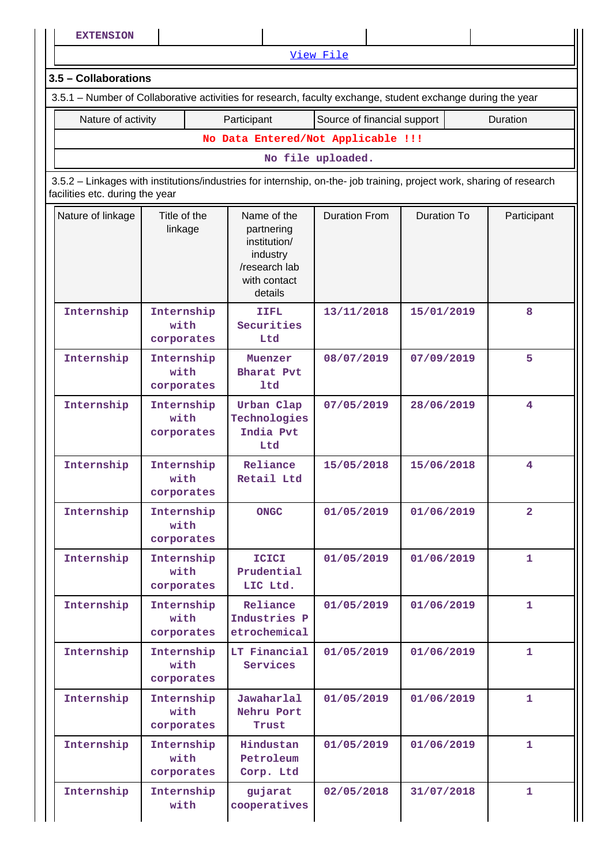**EXTENSION** [View File](https://assessmentonline.naac.gov.in/public/Postacc/Students_in_extension/1533_Students_in_extension_1577353089.xlsx) **3.5 – Collaborations** 3.5.1 – Number of Collaborative activities for research, faculty exchange, student exchange during the year Nature of activity **Participant** Source of financial support | Duration **No Data Entered/Not Applicable !!! No file uploaded.** 3.5.2 – Linkages with institutions/industries for internship, on-the- job training, project work, sharing of research facilities etc. during the year Nature of linkage  $\parallel$  Title of the linkage Name of the partnering institution/ industry /research lab with contact details Duration From | Duration To | Participant **Internship Internship with corporates IIFL Securities Ltd 13/11/2018 15/01/2019 8 Internship Internship with corporates Muenzer Bharat Pvt ltd 08/07/2019 07/09/2019 5 Internship Internship with corporates Urban Clap Technologies India Pvt Ltd 07/05/2019 28/06/2019 4 Internship Internship with corporates Reliance Retail Ltd 15/05/2018 15/06/2018 4 Internship Internship with corporates ONGC 01/05/2019 01/06/2019 2 Internship Internship with corporates ICICI Prudential LIC Ltd. 01/05/2019 01/06/2019 1 Internship Internship with corporates Reliance Industries P etrochemical 01/05/2019 01/06/2019 1 Internship Internship with corporates LT Financial Services 01/05/2019 01/06/2019 1 Internship Internship with corporates Jawaharlal Nehru Port Trust 01/05/2019 01/06/2019 1 Internship Internship with corporates Hindustan Petroleum Corp. Ltd 01/05/2019 01/06/2019 1 Internship Internship with gujarat cooperatives 02/05/2018 31/07/2018 1**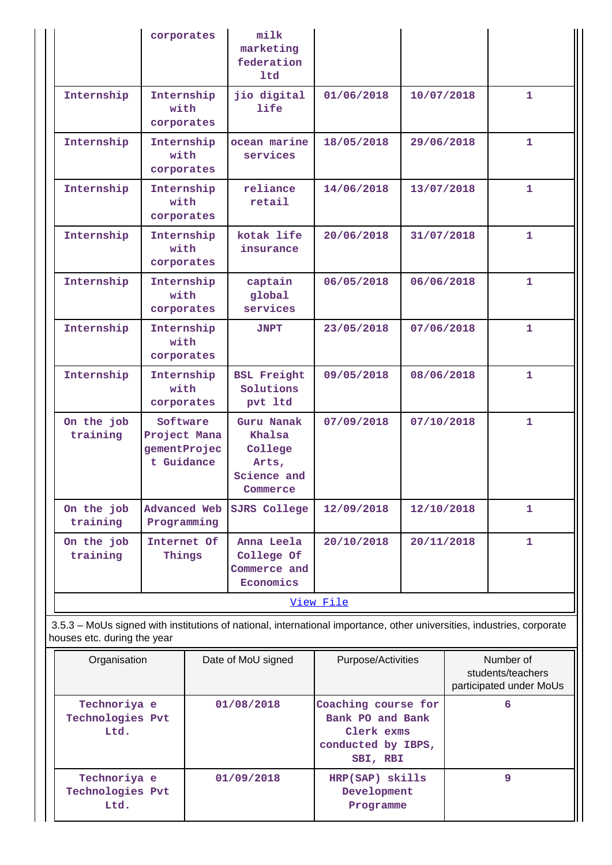|                                                                                                                        | corporates                                             | milk<br>marketing<br>federation<br>1td                              |            |            |              |  |  |
|------------------------------------------------------------------------------------------------------------------------|--------------------------------------------------------|---------------------------------------------------------------------|------------|------------|--------------|--|--|
| Internship                                                                                                             | Internship<br>with<br>corporates                       | jio digital<br><b>life</b>                                          | 01/06/2018 | 10/07/2018 | 1            |  |  |
| Internship                                                                                                             | Internship<br>with<br>corporates                       | ocean marine<br>services                                            | 18/05/2018 | 29/06/2018 | 1            |  |  |
| Internship                                                                                                             | Internship<br>with<br>corporates                       | reliance<br>retail                                                  | 14/06/2018 | 13/07/2018 | $\mathbf{1}$ |  |  |
| Internship                                                                                                             | Internship<br>with<br>corporates                       | kotak life<br>insurance                                             | 20/06/2018 | 31/07/2018 | $\mathbf{1}$ |  |  |
| Internship                                                                                                             | Internship<br>with<br>corporates                       | captain<br>global<br>services                                       | 06/05/2018 | 06/06/2018 | $\mathbf{1}$ |  |  |
| Internship                                                                                                             | Internship<br>with<br>corporates                       | <b>JNPT</b>                                                         | 23/05/2018 | 07/06/2018 | 1            |  |  |
| Internship                                                                                                             | Internship<br>with<br>corporates                       | <b>BSL Freight</b><br>Solutions<br>pvt ltd                          | 09/05/2018 | 08/06/2018 | 1            |  |  |
| On the job<br>training                                                                                                 | Software<br>Project Mana<br>gementProjec<br>t Guidance | Guru Nanak<br>Khalsa<br>College<br>Arts,<br>Science and<br>Commerce | 07/09/2018 | 07/10/2018 | 1            |  |  |
| On the job<br>training                                                                                                 | <b>Advanced Web</b><br>Programming                     | SJRS College                                                        | 12/09/2018 | 12/10/2018 | 1            |  |  |
| On the job<br>training                                                                                                 | Internet Of<br>Things                                  | Anna Leela<br>College Of<br>Commerce and<br>Economics               | 20/10/2018 | 20/11/2018 | $\mathbf{1}$ |  |  |
|                                                                                                                        |                                                        |                                                                     | View File  |            |              |  |  |
| 3.5.3 - MoUs signed with institutions of national, international importance, other universities, industries, corporate |                                                        |                                                                     |            |            |              |  |  |

houses etc. during the year

| Organisation                             | Date of MoU signed | Purpose/Activities                                                                      | Number of<br>students/teachers<br>participated under MoUs |
|------------------------------------------|--------------------|-----------------------------------------------------------------------------------------|-----------------------------------------------------------|
| Technoriya e<br>Technologies Pvt<br>Ltd. | 01/08/2018         | Coaching course for<br>Bank PO and Bank<br>Clerk exms<br>conducted by IBPS,<br>SBI, RBI | 6                                                         |
| Technoriya e<br>Technologies Pvt<br>Ltd. | 01/09/2018         | HRP(SAP) skills<br>Development<br>Programme                                             | 9                                                         |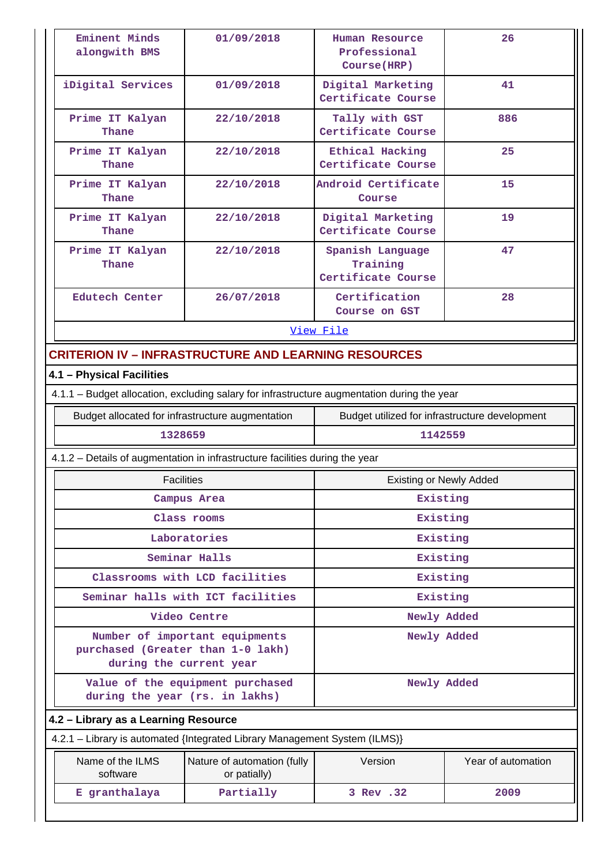| Eminent Minds<br>alongwith BMS                                                              | 01/09/2018                                                  | Human Resource<br>Professional<br>Course (HRP)     | 26                 |  |  |  |  |
|---------------------------------------------------------------------------------------------|-------------------------------------------------------------|----------------------------------------------------|--------------------|--|--|--|--|
| iDigital Services<br>01/09/2018                                                             |                                                             | Digital Marketing<br>Certificate Course            | 41                 |  |  |  |  |
| Prime IT Kalyan<br>Thane                                                                    | 22/10/2018                                                  | Tally with GST<br>Certificate Course               | 886                |  |  |  |  |
| Prime IT Kalyan<br>Thane                                                                    | 22/10/2018                                                  | <b>Ethical Hacking</b><br>Certificate Course       | 25                 |  |  |  |  |
| Prime IT Kalyan<br>Thane                                                                    | 22/10/2018                                                  | Android Certificate<br>Course                      | 15                 |  |  |  |  |
| Prime IT Kalyan<br>Thane                                                                    | 22/10/2018                                                  | Digital Marketing<br>Certificate Course            | 19                 |  |  |  |  |
| Prime IT Kalyan<br>Thane                                                                    | 22/10/2018                                                  | Spanish Language<br>Training<br>Certificate Course | 47                 |  |  |  |  |
| <b>Edutech Center</b>                                                                       | 26/07/2018                                                  | Certification<br>Course on GST                     | 28                 |  |  |  |  |
|                                                                                             |                                                             | View File                                          |                    |  |  |  |  |
|                                                                                             | <b>CRITERION IV – INFRASTRUCTURE AND LEARNING RESOURCES</b> |                                                    |                    |  |  |  |  |
| 4.1 - Physical Facilities                                                                   |                                                             |                                                    |                    |  |  |  |  |
| 4.1.1 – Budget allocation, excluding salary for infrastructure augmentation during the year |                                                             |                                                    |                    |  |  |  |  |
| Budget allocated for infrastructure augmentation                                            |                                                             | Budget utilized for infrastructure development     |                    |  |  |  |  |
| 1328659                                                                                     |                                                             | 1142559                                            |                    |  |  |  |  |
| 4.1.2 – Details of augmentation in infrastructure facilities during the year                |                                                             |                                                    |                    |  |  |  |  |
| <b>Facilities</b>                                                                           |                                                             | <b>Existing or Newly Added</b>                     |                    |  |  |  |  |
|                                                                                             | Campus Area                                                 | Existing                                           |                    |  |  |  |  |
|                                                                                             | Class rooms                                                 | Existing                                           |                    |  |  |  |  |
|                                                                                             | Laboratories                                                | Existing                                           |                    |  |  |  |  |
|                                                                                             | Seminar Halls                                               | Existing                                           |                    |  |  |  |  |
|                                                                                             | Classrooms with LCD facilities                              | Existing                                           |                    |  |  |  |  |
|                                                                                             | Seminar halls with ICT facilities                           | Existing                                           |                    |  |  |  |  |
|                                                                                             | Video Centre                                                | Newly Added                                        |                    |  |  |  |  |
| purchased (Greater than 1-0 lakh)<br>during the current year                                | Number of important equipments                              | Newly Added                                        |                    |  |  |  |  |
| during the year (rs. in lakhs)                                                              | Value of the equipment purchased                            | Newly Added                                        |                    |  |  |  |  |
| 4.2 - Library as a Learning Resource                                                        |                                                             |                                                    |                    |  |  |  |  |
| 4.2.1 - Library is automated {Integrated Library Management System (ILMS)}                  |                                                             |                                                    |                    |  |  |  |  |
| Name of the ILMS<br>software                                                                |                                                             | Version                                            | Year of automation |  |  |  |  |
|                                                                                             | Nature of automation (fully<br>or patially)                 |                                                    |                    |  |  |  |  |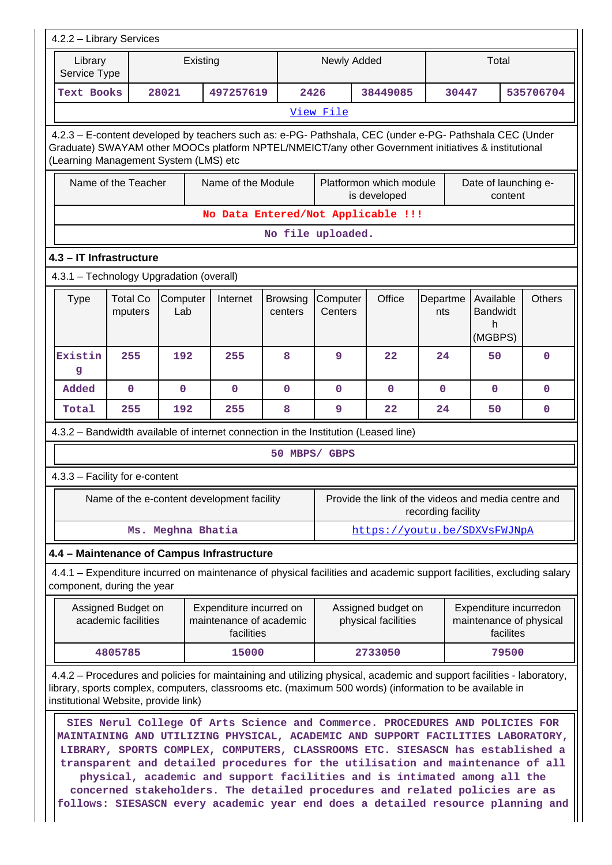| 4.2.2 - Library Services                                                                                                                                                                                                                                                 |                                                                                                                                                                                                                                                                                                                                                                                                                                                                                                                                                                                   |                   |                                                                  |                            |                     |                                           |                    |                                                                |               |
|--------------------------------------------------------------------------------------------------------------------------------------------------------------------------------------------------------------------------------------------------------------------------|-----------------------------------------------------------------------------------------------------------------------------------------------------------------------------------------------------------------------------------------------------------------------------------------------------------------------------------------------------------------------------------------------------------------------------------------------------------------------------------------------------------------------------------------------------------------------------------|-------------------|------------------------------------------------------------------|----------------------------|---------------------|-------------------------------------------|--------------------|----------------------------------------------------------------|---------------|
| Library<br>Existing<br>Service Type                                                                                                                                                                                                                                      |                                                                                                                                                                                                                                                                                                                                                                                                                                                                                                                                                                                   |                   |                                                                  |                            |                     | Newly Added                               |                    | Total                                                          |               |
| <b>Text Books</b>                                                                                                                                                                                                                                                        |                                                                                                                                                                                                                                                                                                                                                                                                                                                                                                                                                                                   | 28021             | 497257619                                                        |                            | 2426                | 38449085                                  | 30447              |                                                                | 535706704     |
|                                                                                                                                                                                                                                                                          |                                                                                                                                                                                                                                                                                                                                                                                                                                                                                                                                                                                   |                   |                                                                  |                            | View File           |                                           |                    |                                                                |               |
| 4.2.3 – E-content developed by teachers such as: e-PG- Pathshala, CEC (under e-PG- Pathshala CEC (Under<br>Graduate) SWAYAM other MOOCs platform NPTEL/NMEICT/any other Government initiatives & institutional<br>(Learning Management System (LMS) etc                  |                                                                                                                                                                                                                                                                                                                                                                                                                                                                                                                                                                                   |                   |                                                                  |                            |                     |                                           |                    |                                                                |               |
|                                                                                                                                                                                                                                                                          | Name of the Module<br>Name of the Teacher<br>Platformon which module<br>Date of launching e-<br>is developed<br>content                                                                                                                                                                                                                                                                                                                                                                                                                                                           |                   |                                                                  |                            |                     |                                           |                    |                                                                |               |
|                                                                                                                                                                                                                                                                          |                                                                                                                                                                                                                                                                                                                                                                                                                                                                                                                                                                                   |                   | No Data Entered/Not Applicable !!!                               |                            | No file uploaded.   |                                           |                    |                                                                |               |
| 4.3 - IT Infrastructure                                                                                                                                                                                                                                                  |                                                                                                                                                                                                                                                                                                                                                                                                                                                                                                                                                                                   |                   |                                                                  |                            |                     |                                           |                    |                                                                |               |
| 4.3.1 - Technology Upgradation (overall)                                                                                                                                                                                                                                 |                                                                                                                                                                                                                                                                                                                                                                                                                                                                                                                                                                                   |                   |                                                                  |                            |                     |                                           |                    |                                                                |               |
| <b>Type</b>                                                                                                                                                                                                                                                              | <b>Total Co</b><br>mputers                                                                                                                                                                                                                                                                                                                                                                                                                                                                                                                                                        | Computer<br>Lab   | Internet                                                         | <b>Browsing</b><br>centers | Computer<br>Centers | Office                                    | Departme<br>nts    | Available<br><b>Bandwidt</b><br>h<br>(MGBPS)                   | <b>Others</b> |
| Existin<br>g                                                                                                                                                                                                                                                             | 255                                                                                                                                                                                                                                                                                                                                                                                                                                                                                                                                                                               | 192               | 255                                                              | 8                          | 9                   | 22                                        | 24                 | 50                                                             | 0             |
| Added                                                                                                                                                                                                                                                                    | $\mathbf 0$                                                                                                                                                                                                                                                                                                                                                                                                                                                                                                                                                                       | $\mathbf 0$       | $\mathbf 0$                                                      | $\mathbf 0$                | 0                   | $\mathbf 0$                               | $\mathbf{0}$       | $\mathbf 0$                                                    | 0             |
| Total                                                                                                                                                                                                                                                                    | 255                                                                                                                                                                                                                                                                                                                                                                                                                                                                                                                                                                               | 192               | 255                                                              | 8                          | 9                   | 22                                        | 24                 | 50                                                             | 0             |
| 4.3.2 - Bandwidth available of internet connection in the Institution (Leased line)                                                                                                                                                                                      |                                                                                                                                                                                                                                                                                                                                                                                                                                                                                                                                                                                   |                   |                                                                  |                            |                     |                                           |                    |                                                                |               |
|                                                                                                                                                                                                                                                                          |                                                                                                                                                                                                                                                                                                                                                                                                                                                                                                                                                                                   |                   |                                                                  |                            | 50 MBPS/ GBPS       |                                           |                    |                                                                |               |
| 4.3.3 - Facility for e-content                                                                                                                                                                                                                                           |                                                                                                                                                                                                                                                                                                                                                                                                                                                                                                                                                                                   |                   |                                                                  |                            |                     |                                           |                    |                                                                |               |
|                                                                                                                                                                                                                                                                          |                                                                                                                                                                                                                                                                                                                                                                                                                                                                                                                                                                                   |                   | Name of the e-content development facility                       |                            |                     |                                           | recording facility | Provide the link of the videos and media centre and            |               |
|                                                                                                                                                                                                                                                                          |                                                                                                                                                                                                                                                                                                                                                                                                                                                                                                                                                                                   | Ms. Meghna Bhatia |                                                                  |                            |                     |                                           |                    | https://youtu.be/SDXVsFWJNpA                                   |               |
| 4.4 - Maintenance of Campus Infrastructure                                                                                                                                                                                                                               |                                                                                                                                                                                                                                                                                                                                                                                                                                                                                                                                                                                   |                   |                                                                  |                            |                     |                                           |                    |                                                                |               |
| 4.4.1 – Expenditure incurred on maintenance of physical facilities and academic support facilities, excluding salary<br>component, during the year                                                                                                                       |                                                                                                                                                                                                                                                                                                                                                                                                                                                                                                                                                                                   |                   |                                                                  |                            |                     |                                           |                    |                                                                |               |
|                                                                                                                                                                                                                                                                          | Assigned Budget on<br>academic facilities                                                                                                                                                                                                                                                                                                                                                                                                                                                                                                                                         |                   | Expenditure incurred on<br>maintenance of academic<br>facilities |                            |                     | Assigned budget on<br>physical facilities |                    | Expenditure incurredon<br>maintenance of physical<br>facilites |               |
|                                                                                                                                                                                                                                                                          | 4805785                                                                                                                                                                                                                                                                                                                                                                                                                                                                                                                                                                           |                   | 15000                                                            |                            |                     | 2733050                                   |                    | 79500                                                          |               |
| 4.4.2 – Procedures and policies for maintaining and utilizing physical, academic and support facilities - laboratory,<br>library, sports complex, computers, classrooms etc. (maximum 500 words) (information to be available in<br>institutional Website, provide link) |                                                                                                                                                                                                                                                                                                                                                                                                                                                                                                                                                                                   |                   |                                                                  |                            |                     |                                           |                    |                                                                |               |
|                                                                                                                                                                                                                                                                          | SIES Nerul College Of Arts Science and Commerce. PROCEDURES AND POLICIES FOR<br>MAINTAINING AND UTILIZING PHYSICAL, ACADEMIC AND SUPPORT FACILITIES LABORATORY,<br>LIBRARY, SPORTS COMPLEX, COMPUTERS, CLASSROOMS ETC. SIESASCN has established a<br>transparent and detailed procedures for the utilisation and maintenance of all<br>physical, academic and support facilities and is intimated among all the<br>concerned stakeholders. The detailed procedures and related policies are as<br>follows: SIESASCN every academic year end does a detailed resource planning and |                   |                                                                  |                            |                     |                                           |                    |                                                                |               |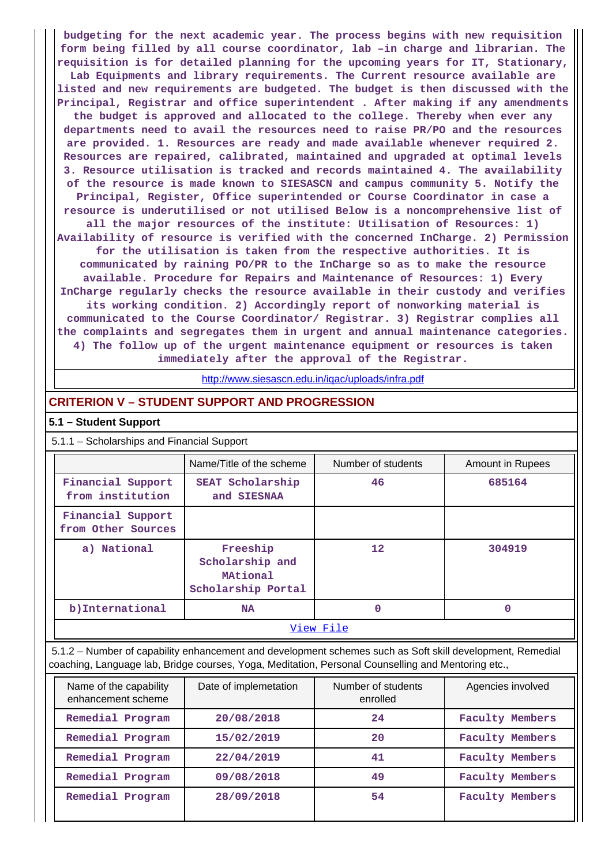**budgeting for the next academic year. The process begins with new requisition form being filled by all course coordinator, lab –in charge and librarian. The requisition is for detailed planning for the upcoming years for IT, Stationary, Lab Equipments and library requirements. The Current resource available are listed and new requirements are budgeted. The budget is then discussed with the Principal, Registrar and office superintendent . After making if any amendments the budget is approved and allocated to the college. Thereby when ever any departments need to avail the resources need to raise PR/PO and the resources are provided. 1. Resources are ready and made available whenever required 2. Resources are repaired, calibrated, maintained and upgraded at optimal levels 3. Resource utilisation is tracked and records maintained 4. The availability of the resource is made known to SIESASCN and campus community 5. Notify the Principal, Register, Office superintended or Course Coordinator in case a resource is underutilised or not utilised Below is a noncomprehensive list of all the major resources of the institute: Utilisation of Resources: 1) Availability of resource is verified with the concerned InCharge. 2) Permission for the utilisation is taken from the respective authorities. It is communicated by raining PO/PR to the InCharge so as to make the resource available. Procedure for Repairs and Maintenance of Resources: 1) Every InCharge regularly checks the resource available in their custody and verifies its working condition. 2) Accordingly report of nonworking material is communicated to the Course Coordinator/ Registrar. 3) Registrar complies all the complaints and segregates them in urgent and annual maintenance categories. 4) The follow up of the urgent maintenance equipment or resources is taken immediately after the approval of the Registrar.**

<http://www.siesascn.edu.in/iqac/uploads/infra.pdf>

## **CRITERION V – STUDENT SUPPORT AND PROGRESSION**

#### **5.1 – Student Support**

5.1.1 – Scholarships and Financial Support

|                                         | Name/Title of the scheme                                      | Number of students | Amount in Rupees |  |  |
|-----------------------------------------|---------------------------------------------------------------|--------------------|------------------|--|--|
| Financial Support<br>from institution   | SEAT Scholarship<br>and SIESNAA                               | 46                 | 685164           |  |  |
| Financial Support<br>from Other Sources |                                                               |                    |                  |  |  |
| a) National                             | Freeship<br>Scholarship and<br>MAtional<br>Scholarship Portal | 12                 | 304919           |  |  |
| b)International                         | <b>NA</b>                                                     | $\Omega$           | O                |  |  |
| View File                               |                                                               |                    |                  |  |  |

 5.1.2 – Number of capability enhancement and development schemes such as Soft skill development, Remedial coaching, Language lab, Bridge courses, Yoga, Meditation, Personal Counselling and Mentoring etc.,

| Name of the capability<br>enhancement scheme | Date of implemetation | Number of students<br>enrolled | Agencies involved      |
|----------------------------------------------|-----------------------|--------------------------------|------------------------|
| Remedial Program                             | 20/08/2018            | 24                             | <b>Faculty Members</b> |
| Remedial Program                             | 15/02/2019            | 20                             | <b>Faculty Members</b> |
| Remedial Program                             | 22/04/2019            | 41                             | <b>Faculty Members</b> |
| Remedial Program                             | 09/08/2018            | 49                             | <b>Faculty Members</b> |
| Remedial Program                             | 28/09/2018            | 54                             | <b>Faculty Members</b> |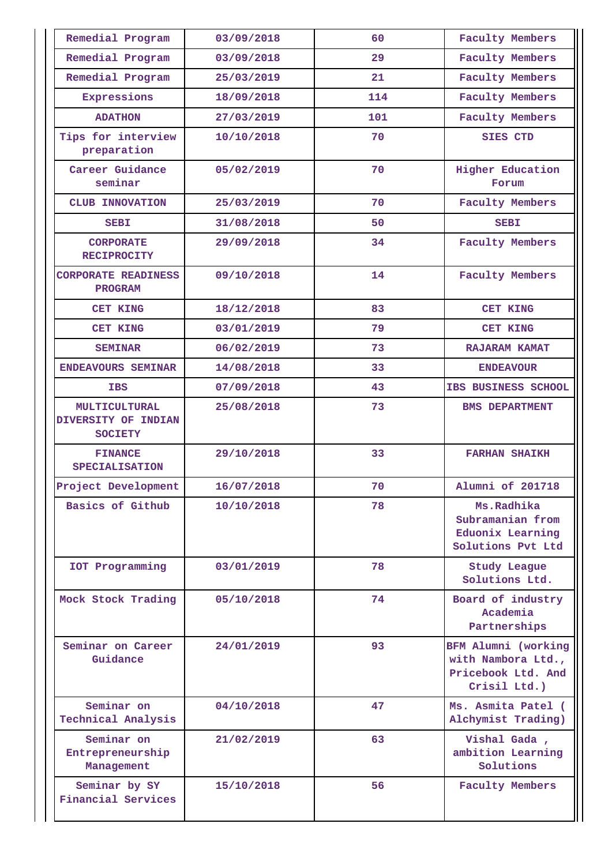| Remedial Program                                              | 03/09/2018 | 60  | <b>Faculty Members</b>                                                          |
|---------------------------------------------------------------|------------|-----|---------------------------------------------------------------------------------|
| Remedial Program                                              | 03/09/2018 | 29  | <b>Faculty Members</b>                                                          |
| Remedial Program                                              | 25/03/2019 | 21  | <b>Faculty Members</b>                                                          |
| Expressions                                                   | 18/09/2018 | 114 | <b>Faculty Members</b>                                                          |
| <b>ADATHON</b>                                                | 27/03/2019 | 101 | <b>Faculty Members</b>                                                          |
| Tips for interview<br>preparation                             | 10/10/2018 | 70  | <b>SIES CTD</b>                                                                 |
| Career Guidance<br>seminar                                    | 05/02/2019 | 70  | <b>Higher Education</b><br>Forum                                                |
| <b>CLUB INNOVATION</b>                                        | 25/03/2019 | 70  | <b>Faculty Members</b>                                                          |
| <b>SEBI</b>                                                   | 31/08/2018 | 50  | <b>SEBI</b>                                                                     |
| <b>CORPORATE</b><br><b>RECIPROCITY</b>                        | 29/09/2018 | 34  | <b>Faculty Members</b>                                                          |
| <b>CORPORATE READINESS</b><br><b>PROGRAM</b>                  | 09/10/2018 | 14  | <b>Faculty Members</b>                                                          |
| <b>CET KING</b>                                               | 18/12/2018 | 83  | <b>CET KING</b>                                                                 |
| <b>CET KING</b>                                               | 03/01/2019 | 79  | <b>CET KING</b>                                                                 |
| <b>SEMINAR</b>                                                | 06/02/2019 | 73  | RAJARAM KAMAT                                                                   |
| ENDEAVOURS SEMINAR                                            | 14/08/2018 | 33  | <b>ENDEAVOUR</b>                                                                |
| <b>IBS</b>                                                    | 07/09/2018 | 43  | IBS BUSINESS SCHOOL                                                             |
| <b>MULTICULTURAL</b><br>DIVERSITY OF INDIAN<br><b>SOCIETY</b> | 25/08/2018 | 73  | <b>BMS DEPARTMENT</b>                                                           |
| <b>FINANCE</b><br><b>SPECIALISATION</b>                       | 29/10/2018 | 33  | <b>FARHAN SHAIKH</b>                                                            |
| Project Development                                           | 16/07/2018 | 70  | Alumni of 201718                                                                |
| Basics of Github                                              | 10/10/2018 | 78  | Ms.Radhika<br>Subramanian from<br>Eduonix Learning<br>Solutions Pvt Ltd         |
| IOT Programming                                               | 03/01/2019 | 78  | <b>Study League</b><br>Solutions Ltd.                                           |
| Mock Stock Trading                                            | 05/10/2018 | 74  | Board of industry<br>Academia<br>Partnerships                                   |
| Seminar on Career<br>Guidance                                 | 24/01/2019 | 93  | BFM Alumni (working<br>with Nambora Ltd.,<br>Pricebook Ltd. And<br>Crisil Ltd.) |
| Seminar on<br>Technical Analysis                              | 04/10/2018 | 47  | Ms. Asmita Patel (<br>Alchymist Trading)                                        |
| Seminar on<br>Entrepreneurship<br>Management                  | 21/02/2019 | 63  | Vishal Gada,<br>ambition Learning<br>Solutions                                  |
| Seminar by SY<br><b>Financial Services</b>                    | 15/10/2018 | 56  | <b>Faculty Members</b>                                                          |
|                                                               |            |     |                                                                                 |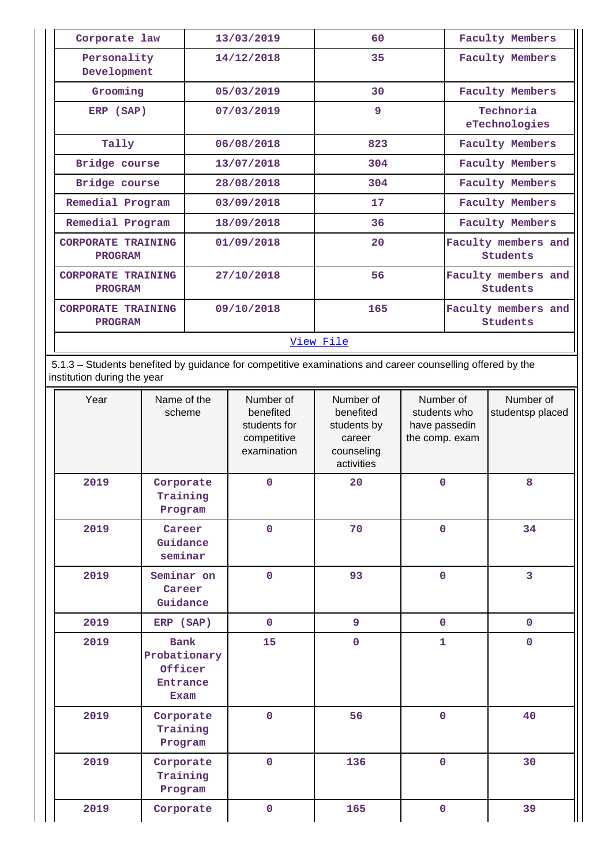| Corporate law                               | 13/03/2019 | 60  | <b>Faculty Members</b>          |  |  |  |
|---------------------------------------------|------------|-----|---------------------------------|--|--|--|
| Personality<br>Development                  | 14/12/2018 | 35  | <b>Faculty Members</b>          |  |  |  |
| Grooming                                    | 05/03/2019 | 30  | <b>Faculty Members</b>          |  |  |  |
| ERP (SAP)                                   | 07/03/2019 | 9   | Technoria<br>eTechnologies      |  |  |  |
| Tally                                       | 06/08/2018 | 823 | <b>Faculty Members</b>          |  |  |  |
| Bridge course                               | 13/07/2018 | 304 | <b>Faculty Members</b>          |  |  |  |
| Bridge course                               | 28/08/2018 | 304 | <b>Faculty Members</b>          |  |  |  |
| Remedial Program                            | 03/09/2018 | 17  | <b>Faculty Members</b>          |  |  |  |
| Remedial Program                            | 18/09/2018 | 36  | <b>Faculty Members</b>          |  |  |  |
| <b>CORPORATE TRAINING</b><br><b>PROGRAM</b> | 01/09/2018 | 20  | Faculty members and<br>Students |  |  |  |
| <b>CORPORATE TRAINING</b><br><b>PROGRAM</b> | 27/10/2018 | 56  | Faculty members and<br>Students |  |  |  |
| <b>CORPORATE TRAINING</b><br><b>PROGRAM</b> | 09/10/2018 | 165 | Faculty members and<br>Students |  |  |  |
| View File                                   |            |     |                                 |  |  |  |

 5.1.3 – Students benefited by guidance for competitive examinations and career counselling offered by the institution during the year

| Year | Name of the<br>scheme                                                    | Number of<br>benefited<br>students for<br>competitive<br>examination | Number of<br>benefited<br>students by<br>career<br>counseling<br>activities | Number of<br>students who<br>have passedin<br>the comp. exam | Number of<br>studentsp placed |
|------|--------------------------------------------------------------------------|----------------------------------------------------------------------|-----------------------------------------------------------------------------|--------------------------------------------------------------|-------------------------------|
| 2019 | Corporate<br>Training<br>Program                                         | $\mathbf 0$                                                          | 20                                                                          | $\mathbf 0$                                                  | 8                             |
| 2019 | Career<br>Guidance<br>seminar                                            | $\mathbf 0$                                                          | 70                                                                          | $\mathbf 0$                                                  | 34                            |
| 2019 | Seminar on<br>Career<br>Guidance                                         | $\mathbf 0$                                                          | 93                                                                          | $\mathbf 0$                                                  | $\overline{3}$                |
| 2019 | ERP (SAP)                                                                | $\mathbf 0$                                                          | 9                                                                           | $\mathbf 0$                                                  | $\mathbf 0$                   |
| 2019 | <b>Bank</b><br>Probationary<br>Officer<br><b>Entrance</b><br><b>Exam</b> | 15                                                                   | $\mathbf 0$                                                                 | $\mathbf{1}$                                                 | $\mathbf 0$                   |
| 2019 | Corporate<br>Training<br>Program                                         | $\mathbf 0$                                                          | 56                                                                          | $\mathbf 0$                                                  | 40                            |
| 2019 | Corporate<br>Training<br>Program                                         | $\mathbf 0$                                                          | 136                                                                         | $\mathbf 0$                                                  | 30                            |
| 2019 | Corporate                                                                | $\mathbf 0$                                                          | 165                                                                         | $\mathbf 0$                                                  | 39                            |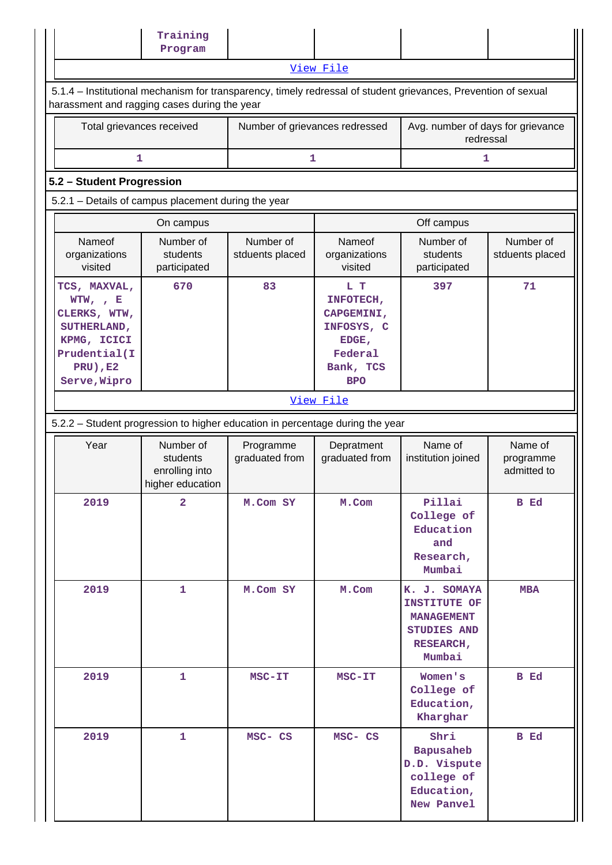|                                                                                                                                                                | Training                                                    |                                |                                                                                             |                                                                                                |                                     |  |  |  |  |  |
|----------------------------------------------------------------------------------------------------------------------------------------------------------------|-------------------------------------------------------------|--------------------------------|---------------------------------------------------------------------------------------------|------------------------------------------------------------------------------------------------|-------------------------------------|--|--|--|--|--|
|                                                                                                                                                                | Program                                                     |                                |                                                                                             |                                                                                                |                                     |  |  |  |  |  |
|                                                                                                                                                                |                                                             |                                | View File                                                                                   |                                                                                                |                                     |  |  |  |  |  |
| 5.1.4 - Institutional mechanism for transparency, timely redressal of student grievances, Prevention of sexual<br>harassment and ragging cases during the year |                                                             |                                |                                                                                             |                                                                                                |                                     |  |  |  |  |  |
| Total grievances received                                                                                                                                      |                                                             | Number of grievances redressed |                                                                                             | Avg. number of days for grievance<br>redressal                                                 |                                     |  |  |  |  |  |
| 1                                                                                                                                                              |                                                             | 1                              |                                                                                             | 1                                                                                              |                                     |  |  |  |  |  |
|                                                                                                                                                                | 5.2 - Student Progression                                   |                                |                                                                                             |                                                                                                |                                     |  |  |  |  |  |
|                                                                                                                                                                | 5.2.1 - Details of campus placement during the year         |                                |                                                                                             |                                                                                                |                                     |  |  |  |  |  |
|                                                                                                                                                                | On campus                                                   |                                |                                                                                             | Off campus                                                                                     |                                     |  |  |  |  |  |
| Nameof<br>organizations<br>visited                                                                                                                             | Number of<br>students<br>participated                       | Number of<br>stduents placed   | Nameof<br>organizations<br>visited                                                          | Number of<br>students<br>participated                                                          | Number of<br>stduents placed        |  |  |  |  |  |
| TCS, MAXVAL,<br>WTW, , E<br>CLERKS, WTW,<br>SUTHERLAND,<br>KPMG, ICICI<br>Prudential(I<br><b>PRU), E2</b><br>Serve, Wipro                                      | 670                                                         | 83                             | L T<br>INFOTECH,<br>CAPGEMINI,<br>INFOSYS, C<br>EDGE,<br>Federal<br>Bank, TCS<br><b>BPO</b> | 397                                                                                            | 71                                  |  |  |  |  |  |
|                                                                                                                                                                |                                                             |                                | View File                                                                                   |                                                                                                |                                     |  |  |  |  |  |
| 5.2.2 - Student progression to higher education in percentage during the year                                                                                  |                                                             |                                |                                                                                             |                                                                                                |                                     |  |  |  |  |  |
| Year                                                                                                                                                           | Number of<br>students<br>enrolling into<br>higher education | Programme<br>graduated from    | Depratment<br>graduated from                                                                | Name of<br>institution joined                                                                  | Name of<br>programme<br>admitted to |  |  |  |  |  |
| 2019                                                                                                                                                           | $\overline{\mathbf{2}}$                                     | M.Com SY                       | M.Com                                                                                       | Pillai<br>College of<br>Education<br>and<br>Research,<br>Mumbai                                | B Ed                                |  |  |  |  |  |
| 2019                                                                                                                                                           | 1                                                           | M.Com SY                       | M.Com                                                                                       | K. J. SOMAYA<br>INSTITUTE OF<br><b>MANAGEMENT</b><br><b>STUDIES AND</b><br>RESEARCH,<br>Mumbai | <b>MBA</b>                          |  |  |  |  |  |
| 2019                                                                                                                                                           | $\mathbf{1}$                                                | $MSC-TT$                       | MSC-IT                                                                                      | Women's<br>College of<br>Education,<br>Kharghar                                                | B Ed                                |  |  |  |  |  |
| 2019                                                                                                                                                           | $\mathbf{1}$                                                | MSC- CS                        | MSC- CS                                                                                     | Shri<br>Bapusaheb<br>D.D. Vispute<br>college of<br>Education,<br>New Panvel                    | B Ed                                |  |  |  |  |  |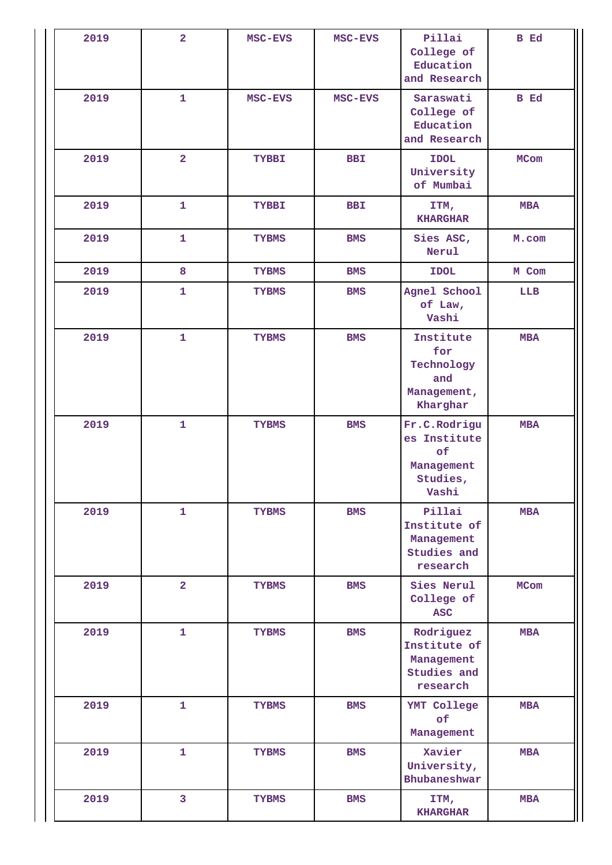| 2019 | $\overline{2}$          | MSC-EVS      | MSC-EVS    | Pillai<br>College of<br>Education<br>and Research                     | <b>B</b> Ed |
|------|-------------------------|--------------|------------|-----------------------------------------------------------------------|-------------|
| 2019 | $\mathbf{1}$            | MSC-EVS      | MSC-EVS    | Saraswati<br>College of<br>Education<br>and Research                  | B Ed        |
| 2019 | $\overline{\mathbf{2}}$ | <b>TYBBI</b> | <b>BBI</b> | <b>IDOL</b><br>University<br>of Mumbai                                | MCom        |
| 2019 | $\mathbf{1}$            | <b>TYBBI</b> | <b>BBI</b> | ITM,<br><b>KHARGHAR</b>                                               | <b>MBA</b>  |
| 2019 | $\mathbf{1}$            | <b>TYBMS</b> | <b>BMS</b> | Sies ASC,<br>Nerul                                                    | M.com       |
| 2019 | 8                       | <b>TYBMS</b> | <b>BMS</b> | <b>IDOL</b>                                                           | M Com       |
| 2019 | $\mathbf{1}$            | <b>TYBMS</b> | <b>BMS</b> | Agnel School<br>of Law,<br>Vashi                                      | LLB         |
| 2019 | $\mathbf{1}$            | <b>TYBMS</b> | <b>BMS</b> | Institute<br>for<br>Technology<br>and<br>Management,<br>Kharghar      | <b>MBA</b>  |
| 2019 | $\mathbf{1}$            | <b>TYBMS</b> | <b>BMS</b> | Fr.C.Rodrigu<br>es Institute<br>of<br>Management<br>Studies,<br>Vashi | <b>MBA</b>  |
| 2019 | $\mathbf{1}$            | <b>TYBMS</b> | <b>BMS</b> | Pillai<br>Institute of<br>Management<br>Studies and<br>research       | <b>MBA</b>  |
| 2019 | $\overline{2}$          | <b>TYBMS</b> | <b>BMS</b> | Sies Nerul<br>College of<br><b>ASC</b>                                | MCom        |
| 2019 | $\mathbf{1}$            | <b>TYBMS</b> | <b>BMS</b> | Rodriguez<br>Institute of<br>Management<br>Studies and<br>research    | <b>MBA</b>  |
| 2019 | $\mathbf{1}$            | <b>TYBMS</b> | <b>BMS</b> | YMT College<br>of<br>Management                                       | <b>MBA</b>  |
| 2019 | $\mathbf{1}$            | <b>TYBMS</b> | <b>BMS</b> | Xavier<br>University,<br>Bhubaneshwar                                 | <b>MBA</b>  |
| 2019 | $\overline{\mathbf{3}}$ | <b>TYBMS</b> | <b>BMS</b> | ITM,<br><b>KHARGHAR</b>                                               | <b>MBA</b>  |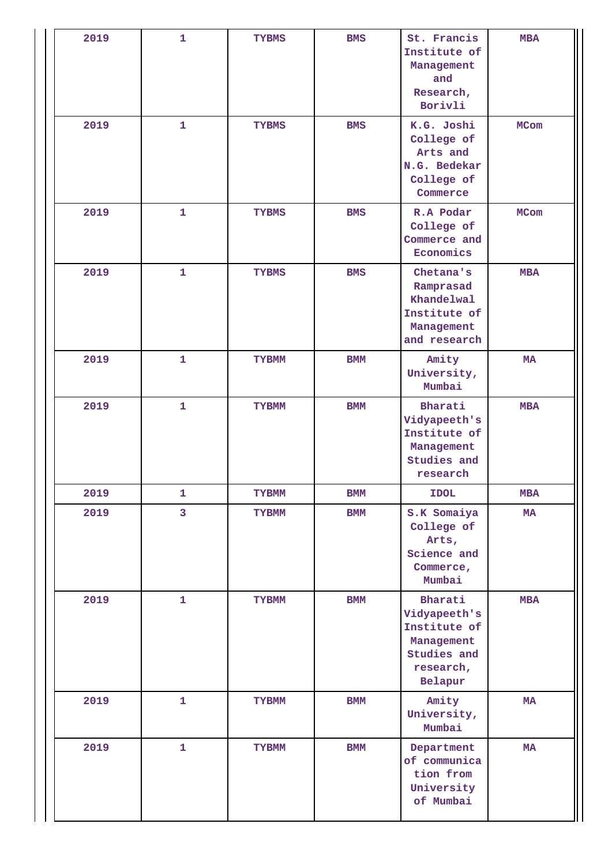| 2019 | $\mathbf{1}$            | <b>TYBMS</b> | <b>BMS</b> | St. Francis<br>Institute of<br>Management<br>and<br>Research,<br>Borivli                     | <b>MBA</b>  |
|------|-------------------------|--------------|------------|----------------------------------------------------------------------------------------------|-------------|
| 2019 | 1                       | <b>TYBMS</b> | <b>BMS</b> | K.G. Joshi<br>College of<br>Arts and<br>N.G. Bedekar<br>College of<br>Commerce               | <b>MCom</b> |
| 2019 | $\mathbf{1}$            | <b>TYBMS</b> | <b>BMS</b> | R.A Podar<br>College of<br>Commerce and<br>Economics                                         | <b>MCom</b> |
| 2019 | $\mathbf{1}$            | <b>TYBMS</b> | <b>BMS</b> | Chetana's<br>Ramprasad<br>Khandelwal<br>Institute of<br>Management<br>and research           | <b>MBA</b>  |
| 2019 | $\mathbf{1}$            | <b>TYBMM</b> | <b>BMM</b> | Amity<br>University,<br>Mumbai                                                               | <b>MA</b>   |
| 2019 | $\mathbf{1}$            | <b>TYBMM</b> | <b>BMM</b> | Bharati<br>Vidyapeeth's<br>Institute of<br>Management<br>Studies and<br>research             | <b>MBA</b>  |
| 2019 | 1                       | <b>TYBMM</b> | <b>BMM</b> | <b>IDOL</b>                                                                                  | <b>MBA</b>  |
| 2019 | $\overline{\mathbf{3}}$ | <b>TYBMM</b> | <b>BMM</b> | S.K Somaiya<br>College of<br>Arts,<br>Science and<br>Commerce,<br>Mumbai                     | MA          |
| 2019 | $\mathbf{1}$            | <b>TYBMM</b> | <b>BMM</b> | Bharati<br>Vidyapeeth's<br>Institute of<br>Management<br>Studies and<br>research,<br>Belapur | <b>MBA</b>  |
| 2019 | $\mathbf{1}$            | <b>TYBMM</b> | <b>BMM</b> | Amity<br>University,<br>Mumbai                                                               | MA          |
| 2019 | $\mathbf{1}$            | <b>TYBMM</b> | <b>BMM</b> | Department<br>of communica<br>tion from<br>University<br>of Mumbai                           | MA          |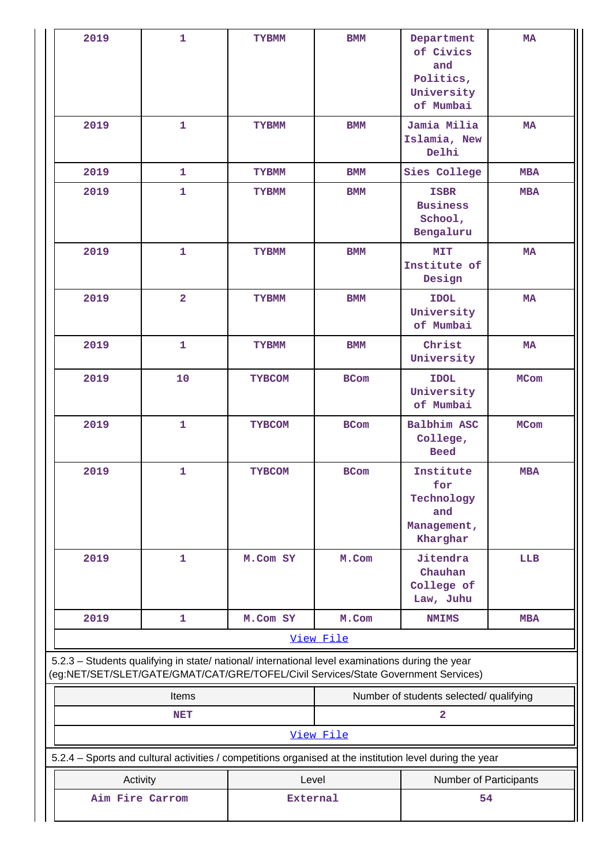| 2019                                                                                                                                                                                   | $\mathbf{1}$   | <b>TYBMM</b>    | <b>BMM</b>  | Department<br>of Civics<br>and<br>Politics,<br>University<br>of Mumbai | <b>MA</b>   |
|----------------------------------------------------------------------------------------------------------------------------------------------------------------------------------------|----------------|-----------------|-------------|------------------------------------------------------------------------|-------------|
| 2019                                                                                                                                                                                   | $\mathbf{1}$   | <b>TYBMM</b>    | <b>BMM</b>  | Jamia Milia<br>Islamia, New<br>Delhi                                   | <b>MA</b>   |
| 2019                                                                                                                                                                                   | $\mathbf{1}$   | <b>TYBMM</b>    | <b>BMM</b>  | Sies College                                                           | <b>MBA</b>  |
| 2019                                                                                                                                                                                   | $\mathbf{1}$   | <b>TYBMM</b>    | <b>BMM</b>  | <b>ISBR</b><br><b>Business</b><br>School,<br>Bengaluru                 | <b>MBA</b>  |
| 2019                                                                                                                                                                                   | $\mathbf{1}$   | <b>TYBMM</b>    | <b>BMM</b>  | MIT<br>Institute of<br>Design                                          | <b>MA</b>   |
| 2019                                                                                                                                                                                   | $\overline{2}$ | <b>TYBMM</b>    | <b>BMM</b>  | <b>IDOL</b><br>University<br>of Mumbai                                 | <b>MA</b>   |
| 2019                                                                                                                                                                                   | 1              | <b>TYBMM</b>    | <b>BMM</b>  | Christ<br>University                                                   | <b>MA</b>   |
| 2019                                                                                                                                                                                   | 10             | <b>TYBCOM</b>   | <b>BCom</b> | <b>IDOL</b><br>University<br>of Mumbai                                 | <b>MCom</b> |
| 2019                                                                                                                                                                                   | $\mathbf{1}$   | <b>TYBCOM</b>   | <b>BCom</b> | Balbhim ASC<br>College,<br><b>Beed</b>                                 | <b>MCom</b> |
| 2019                                                                                                                                                                                   | 1              | <b>TYBCOM</b>   | <b>BCom</b> | Institute<br>for<br>Technology<br>and<br>Management,<br>Kharghar       | <b>MBA</b>  |
| 2019                                                                                                                                                                                   | $\mathbf{1}$   | M.Com SY        | M.Com       | Jitendra<br>Chauhan<br>College of<br>Law, Juhu                         | <b>LLB</b>  |
| 2019                                                                                                                                                                                   | 1              | M.Com SY        | M.Com       | <b>NMIMS</b>                                                           | <b>MBA</b>  |
|                                                                                                                                                                                        |                |                 | View File   |                                                                        |             |
| 5.2.3 - Students qualifying in state/ national/ international level examinations during the year<br>(eg:NET/SET/SLET/GATE/GMAT/CAT/GRE/TOFEL/Civil Services/State Government Services) |                |                 |             |                                                                        |             |
|                                                                                                                                                                                        | Items          |                 |             | Number of students selected/ qualifying                                |             |
|                                                                                                                                                                                        | <b>NET</b>     |                 |             | $\overline{a}$                                                         |             |
|                                                                                                                                                                                        |                |                 | View File   |                                                                        |             |
| 5.2.4 - Sports and cultural activities / competitions organised at the institution level during the year                                                                               |                |                 |             |                                                                        |             |
| Activity                                                                                                                                                                               |                | Level           |             | Number of Participants                                                 |             |
| Aim Fire Carrom                                                                                                                                                                        |                | <b>External</b> |             | 54                                                                     |             |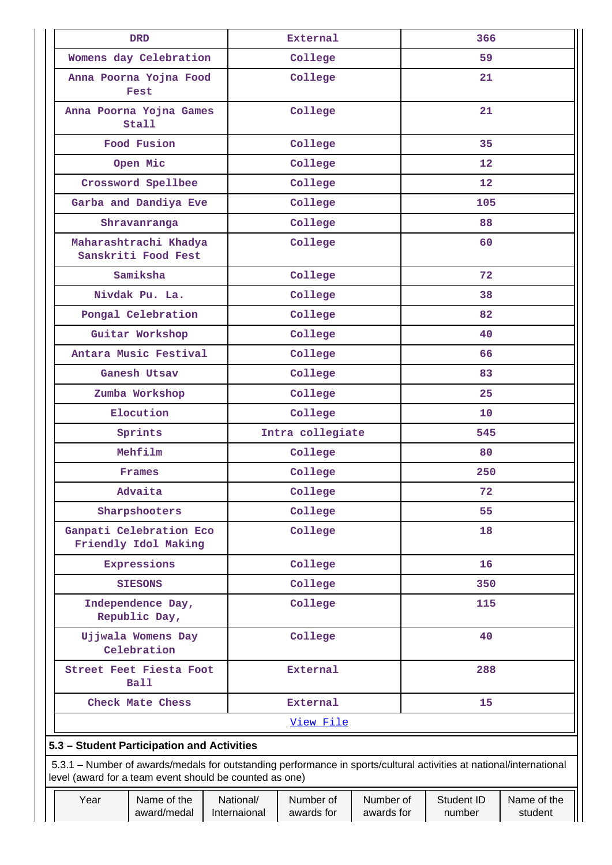|           |                                            | <b>DRD</b>                                                                                                                                                                     |  |                           | <b>External</b>         |                         |     | 366                  |                        |  |
|-----------|--------------------------------------------|--------------------------------------------------------------------------------------------------------------------------------------------------------------------------------|--|---------------------------|-------------------------|-------------------------|-----|----------------------|------------------------|--|
|           |                                            | Womens day Celebration                                                                                                                                                         |  |                           | College                 |                         |     | 59                   |                        |  |
|           |                                            | Anna Poorna Yojna Food<br>Fest                                                                                                                                                 |  |                           | College                 |                         |     | 21                   |                        |  |
|           |                                            | Anna Poorna Yojna Games<br><b>Stall</b>                                                                                                                                        |  | College                   |                         |                         | 21  |                      |                        |  |
|           |                                            | Food Fusion                                                                                                                                                                    |  |                           | College                 |                         |     | 35                   |                        |  |
|           |                                            | Open Mic                                                                                                                                                                       |  |                           | College                 |                         |     | 12                   |                        |  |
|           |                                            | Crossword Spellbee                                                                                                                                                             |  |                           | College                 |                         |     | 12                   |                        |  |
|           |                                            | Garba and Dandiya Eve                                                                                                                                                          |  |                           | College                 |                         |     | 105                  |                        |  |
|           |                                            | Shravanranga                                                                                                                                                                   |  |                           | College                 |                         |     | 88                   |                        |  |
|           |                                            | Maharashtrachi Khadya<br>Sanskriti Food Fest                                                                                                                                   |  |                           | College                 |                         |     | 60                   |                        |  |
|           |                                            | Samiksha                                                                                                                                                                       |  |                           | College                 |                         |     | 72                   |                        |  |
|           |                                            | Nivdak Pu. La.                                                                                                                                                                 |  |                           | College                 |                         |     | 38                   |                        |  |
|           |                                            | Pongal Celebration                                                                                                                                                             |  |                           | College                 |                         |     | 82                   |                        |  |
|           |                                            | Guitar Workshop                                                                                                                                                                |  |                           | College                 |                         |     | 40                   |                        |  |
|           | Antara Music Festival                      |                                                                                                                                                                                |  | College                   |                         |                         | 66  |                      |                        |  |
|           |                                            | Ganesh Utsav                                                                                                                                                                   |  | College                   |                         |                         | 83  |                      |                        |  |
|           | Zumba Workshop                             |                                                                                                                                                                                |  | College                   |                         |                         | 25  |                      |                        |  |
| Elocution |                                            |                                                                                                                                                                                |  | College                   |                         | 10                      |     |                      |                        |  |
|           |                                            | Sprints                                                                                                                                                                        |  | Intra collegiate          |                         |                         | 545 |                      |                        |  |
|           |                                            | Mehfilm                                                                                                                                                                        |  | College                   |                         |                         |     | 80                   |                        |  |
|           |                                            | Frames                                                                                                                                                                         |  | College                   |                         |                         |     | 250                  |                        |  |
|           |                                            | Advaita                                                                                                                                                                        |  |                           | College                 |                         |     | 72                   |                        |  |
|           |                                            | Sharpshooters                                                                                                                                                                  |  |                           | College                 |                         |     | 55                   |                        |  |
|           |                                            | Ganpati Celebration Eco<br>Friendly Idol Making                                                                                                                                |  | College                   |                         | 18                      |     |                      |                        |  |
|           |                                            | Expressions                                                                                                                                                                    |  | College                   |                         | 16                      |     |                      |                        |  |
|           |                                            | <b>SIESONS</b>                                                                                                                                                                 |  | College                   |                         | 350                     |     |                      |                        |  |
|           |                                            | Independence Day,<br>Republic Day,                                                                                                                                             |  | College                   |                         | 115                     |     |                      |                        |  |
|           |                                            | Ujjwala Womens Day<br>Celebration                                                                                                                                              |  |                           | College                 |                         | 40  |                      |                        |  |
|           | Street Feet Fiesta Foot<br>Ball            |                                                                                                                                                                                |  |                           | External                |                         | 288 |                      |                        |  |
|           |                                            | Check Mate Chess                                                                                                                                                               |  |                           | External                |                         |     | 15                   |                        |  |
|           | View File                                  |                                                                                                                                                                                |  |                           |                         |                         |     |                      |                        |  |
|           | 5.3 - Student Participation and Activities |                                                                                                                                                                                |  |                           |                         |                         |     |                      |                        |  |
|           |                                            | 5.3.1 – Number of awards/medals for outstanding performance in sports/cultural activities at national/international<br>level (award for a team event should be counted as one) |  |                           |                         |                         |     |                      |                        |  |
|           | Year                                       | Name of the<br>award/medal                                                                                                                                                     |  | National/<br>Internaional | Number of<br>awards for | Number of<br>awards for |     | Student ID<br>number | Name of the<br>student |  |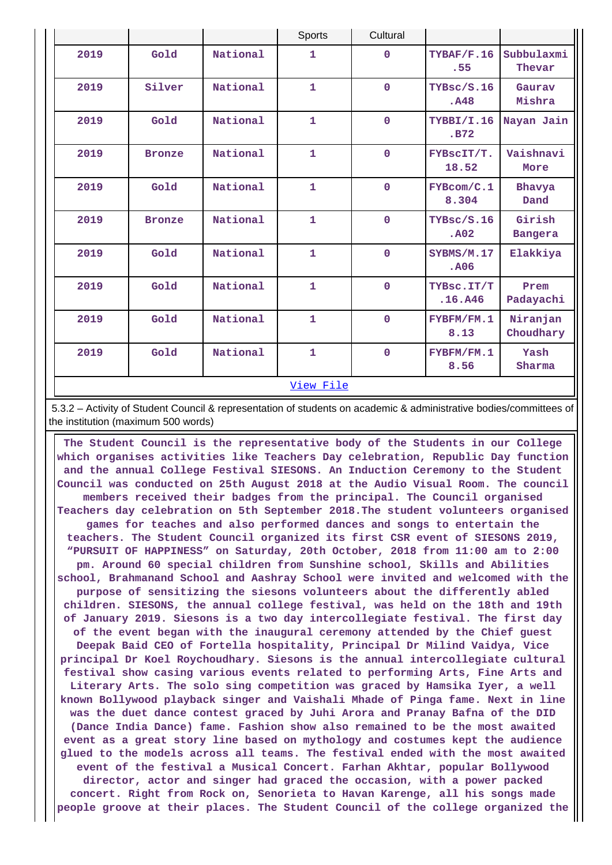|      |               |          | Sports                                            | Cultural                           |                                 |                          |  |  |  |
|------|---------------|----------|---------------------------------------------------|------------------------------------|---------------------------------|--------------------------|--|--|--|
| 2019 | Gold          | National | $\mathbf{1}$                                      | $\mathbf 0$                        | TYBAF/F.16<br>.55               | Subbulaxmi<br>Thevar     |  |  |  |
| 2019 | Silver        | National | $\overline{1}$                                    | $\mathbf 0$<br>TYBsc/S.16<br>. A48 |                                 | Gauray<br>Mishra         |  |  |  |
| 2019 | Gold          | National | $\mathbf{1}$<br>$\mathbf 0$<br>TYBBI/I.16<br>.B72 |                                    | Nayan Jain                      |                          |  |  |  |
| 2019 | <b>Bronze</b> | National | $\mathbf{1}$                                      | $\mathbf 0$                        | FYBSCIT/T.<br>18.52             | Vaishnavi<br>More        |  |  |  |
| 2019 | Gold          | National | $\overline{1}$                                    | $\mathbf 0$                        | FYBcom/C.1<br>8.304             | Bhavya<br>Dand           |  |  |  |
| 2019 | <b>Bronze</b> | National | $\mathbf{1}$                                      | $\mathbf 0$                        | TYBsc/S.16<br>. A <sub>02</sub> | Girish<br><b>Bangera</b> |  |  |  |
| 2019 | Gold          | National | $\mathbf{1}$                                      | $\mathbf 0$                        | SYBMS/M.17<br>. A06             | Elakkiya                 |  |  |  |
| 2019 | Gold          | National | $\overline{1}$                                    | $\mathbf 0$                        | TYBsc.IT/T<br>.16. A46          | Prem<br>Padayachi        |  |  |  |
| 2019 | Gold          | National | $\overline{1}$                                    | $\mathbf 0$                        | FYBFM/FM.1<br>8.13              | Niranjan<br>Choudhary    |  |  |  |
| 2019 | Gold          | National | $\overline{1}$                                    | $\mathbf 0$                        | FYBFM/FM.1<br>8.56              | Yash<br>Sharma           |  |  |  |
|      | View File     |          |                                                   |                                    |                                 |                          |  |  |  |

 5.3.2 – Activity of Student Council & representation of students on academic & administrative bodies/committees of the institution (maximum 500 words)

 **The Student Council is the representative body of the Students in our College which organises activities like Teachers Day celebration, Republic Day function and the annual College Festival SIESONS. An Induction Ceremony to the Student Council was conducted on 25th August 2018 at the Audio Visual Room. The council members received their badges from the principal. The Council organised Teachers day celebration on 5th September 2018.The student volunteers organised games for teaches and also performed dances and songs to entertain the teachers. The Student Council organized its first CSR event of SIESONS 2019, "PURSUIT OF HAPPINESS" on Saturday, 20th October, 2018 from 11:00 am to 2:00 pm. Around 60 special children from Sunshine school, Skills and Abilities school, Brahmanand School and Aashray School were invited and welcomed with the purpose of sensitizing the siesons volunteers about the differently abled children. SIESONS, the annual college festival, was held on the 18th and 19th of January 2019. Siesons is a two day intercollegiate festival. The first day of the event began with the inaugural ceremony attended by the Chief guest Deepak Baid CEO of Fortella hospitality, Principal Dr Milind Vaidya, Vice principal Dr Koel Roychoudhary. Siesons is the annual intercollegiate cultural festival show casing various events related to performing Arts, Fine Arts and Literary Arts. The solo sing competition was graced by Hamsika Iyer, a well known Bollywood playback singer and Vaishali Mhade of Pinga fame. Next in line was the duet dance contest graced by Juhi Arora and Pranay Bafna of the DID (Dance India Dance) fame. Fashion show also remained to be the most awaited event as a great story line based on mythology and costumes kept the audience glued to the models across all teams. The festival ended with the most awaited event of the festival a Musical Concert. Farhan Akhtar, popular Bollywood director, actor and singer had graced the occasion, with a power packed concert. Right from Rock on, Senorieta to Havan Karenge, all his songs made people groove at their places. The Student Council of the college organized the**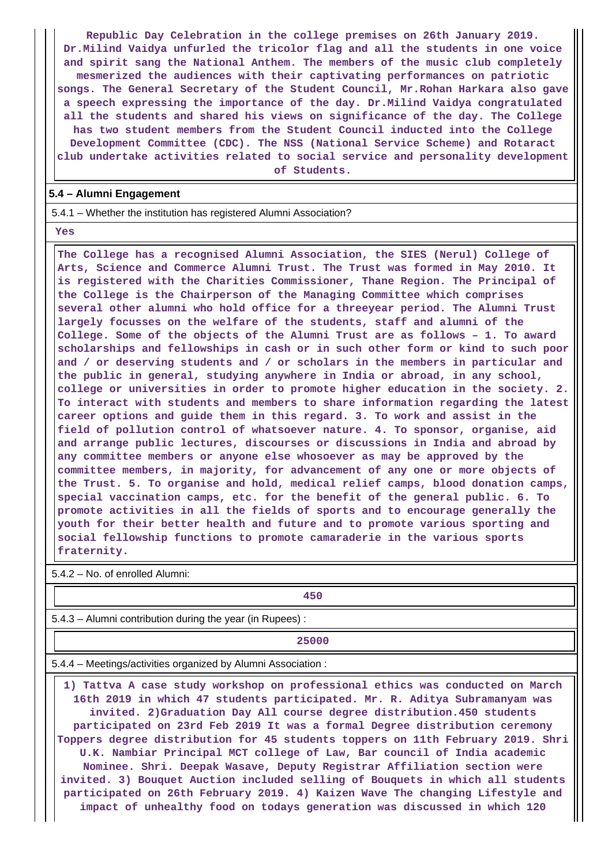**Republic Day Celebration in the college premises on 26th January 2019. Dr.Milind Vaidya unfurled the tricolor flag and all the students in one voice and spirit sang the National Anthem. The members of the music club completely mesmerized the audiences with their captivating performances on patriotic songs. The General Secretary of the Student Council, Mr.Rohan Harkara also gave a speech expressing the importance of the day. Dr.Milind Vaidya congratulated all the students and shared his views on significance of the day. The College has two student members from the Student Council inducted into the College Development Committee (CDC). The NSS (National Service Scheme) and Rotaract club undertake activities related to social service and personality development**

**of Students.**

#### **5.4 – Alumni Engagement**

5.4.1 – Whether the institution has registered Alumni Association?

 **Yes**

 **The College has a recognised Alumni Association, the SIES (Nerul) College of Arts, Science and Commerce Alumni Trust. The Trust was formed in May 2010. It is registered with the Charities Commissioner, Thane Region. The Principal of the College is the Chairperson of the Managing Committee which comprises several other alumni who hold office for a threeyear period. The Alumni Trust largely focusses on the welfare of the students, staff and alumni of the College. Some of the objects of the Alumni Trust are as follows – 1. To award scholarships and fellowships in cash or in such other form or kind to such poor and / or deserving students and / or scholars in the members in particular and the public in general, studying anywhere in India or abroad, in any school, college or universities in order to promote higher education in the society. 2. To interact with students and members to share information regarding the latest career options and guide them in this regard. 3. To work and assist in the field of pollution control of whatsoever nature. 4. To sponsor, organise, aid and arrange public lectures, discourses or discussions in India and abroad by any committee members or anyone else whosoever as may be approved by the committee members, in majority, for advancement of any one or more objects of the Trust. 5. To organise and hold, medical relief camps, blood donation camps, special vaccination camps, etc. for the benefit of the general public. 6. To promote activities in all the fields of sports and to encourage generally the youth for their better health and future and to promote various sporting and social fellowship functions to promote camaraderie in the various sports fraternity.**

5.4.2 – No. of enrolled Alumni:

**450**

5.4.3 – Alumni contribution during the year (in Rupees) :

**25000**

5.4.4 – Meetings/activities organized by Alumni Association :

 **1) Tattva A case study workshop on professional ethics was conducted on March 16th 2019 in which 47 students participated. Mr. R. Aditya Subramanyam was invited. 2)Graduation Day All course degree distribution.450 students participated on 23rd Feb 2019 It was a formal Degree distribution ceremony Toppers degree distribution for 45 students toppers on 11th February 2019. Shri U.K. Nambiar Principal MCT college of Law, Bar council of India academic Nominee. Shri. Deepak Wasave, Deputy Registrar Affiliation section were invited. 3) Bouquet Auction included selling of Bouquets in which all students participated on 26th February 2019. 4) Kaizen Wave The changing Lifestyle and impact of unhealthy food on todays generation was discussed in which 120**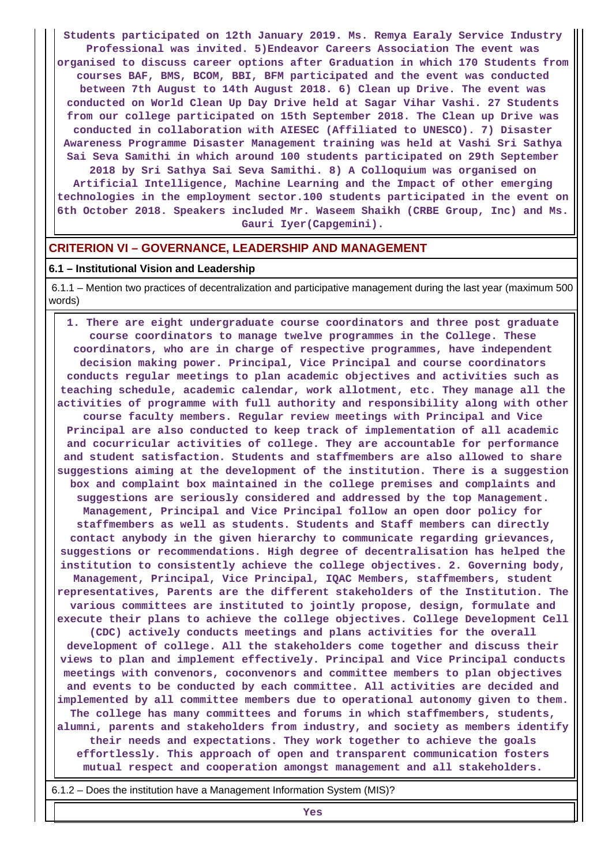**Students participated on 12th January 2019. Ms. Remya Earaly Service Industry Professional was invited. 5)Endeavor Careers Association The event was organised to discuss career options after Graduation in which 170 Students from courses BAF, BMS, BCOM, BBI, BFM participated and the event was conducted between 7th August to 14th August 2018. 6) Clean up Drive. The event was conducted on World Clean Up Day Drive held at Sagar Vihar Vashi. 27 Students from our college participated on 15th September 2018. The Clean up Drive was conducted in collaboration with AIESEC (Affiliated to UNESCO). 7) Disaster Awareness Programme Disaster Management training was held at Vashi Sri Sathya Sai Seva Samithi in which around 100 students participated on 29th September 2018 by Sri Sathya Sai Seva Samithi. 8) A Colloquium was organised on Artificial Intelligence, Machine Learning and the Impact of other emerging technologies in the employment sector.100 students participated in the event on 6th October 2018. Speakers included Mr. Waseem Shaikh (CRBE Group, Inc) and Ms. Gauri Iyer(Capgemini).**

#### **CRITERION VI – GOVERNANCE, LEADERSHIP AND MANAGEMENT**

#### **6.1 – Institutional Vision and Leadership**

 6.1.1 – Mention two practices of decentralization and participative management during the last year (maximum 500 words)

 **1. There are eight undergraduate course coordinators and three post graduate course coordinators to manage twelve programmes in the College. These coordinators, who are in charge of respective programmes, have independent decision making power. Principal, Vice Principal and course coordinators conducts regular meetings to plan academic objectives and activities such as teaching schedule, academic calendar, work allotment, etc. They manage all the activities of programme with full authority and responsibility along with other course faculty members. Regular review meetings with Principal and Vice Principal are also conducted to keep track of implementation of all academic and cocurricular activities of college. They are accountable for performance and student satisfaction. Students and staffmembers are also allowed to share suggestions aiming at the development of the institution. There is a suggestion box and complaint box maintained in the college premises and complaints and suggestions are seriously considered and addressed by the top Management. Management, Principal and Vice Principal follow an open door policy for staffmembers as well as students. Students and Staff members can directly contact anybody in the given hierarchy to communicate regarding grievances, suggestions or recommendations. High degree of decentralisation has helped the institution to consistently achieve the college objectives. 2. Governing body, Management, Principal, Vice Principal, IQAC Members, staffmembers, student representatives, Parents are the different stakeholders of the Institution. The various committees are instituted to jointly propose, design, formulate and execute their plans to achieve the college objectives. College Development Cell (CDC) actively conducts meetings and plans activities for the overall development of college. All the stakeholders come together and discuss their views to plan and implement effectively. Principal and Vice Principal conducts meetings with convenors, coconvenors and committee members to plan objectives and events to be conducted by each committee. All activities are decided and implemented by all committee members due to operational autonomy given to them. The college has many committees and forums in which staffmembers, students, alumni, parents and stakeholders from industry, and society as members identify their needs and expectations. They work together to achieve the goals effortlessly. This approach of open and transparent communication fosters mutual respect and cooperation amongst management and all stakeholders.**

6.1.2 – Does the institution have a Management Information System (MIS)?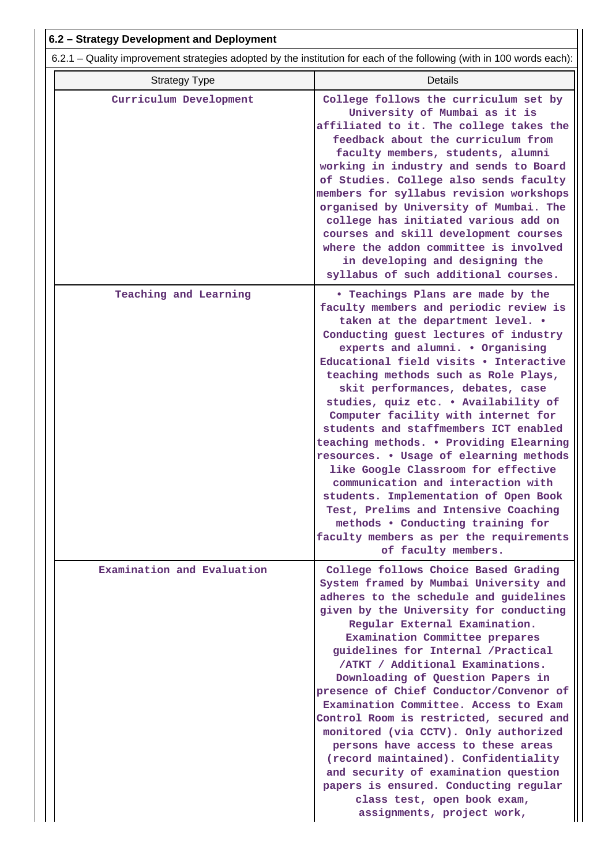| 6.2 - Strategy Development and Deployment                                                                             |                                                                                                                                                                                                                                                                                                                                                                                                                                                                                                                                                                                                                                                                                                                                                                                                       |  |  |  |  |
|-----------------------------------------------------------------------------------------------------------------------|-------------------------------------------------------------------------------------------------------------------------------------------------------------------------------------------------------------------------------------------------------------------------------------------------------------------------------------------------------------------------------------------------------------------------------------------------------------------------------------------------------------------------------------------------------------------------------------------------------------------------------------------------------------------------------------------------------------------------------------------------------------------------------------------------------|--|--|--|--|
| 6.2.1 – Quality improvement strategies adopted by the institution for each of the following (with in 100 words each): |                                                                                                                                                                                                                                                                                                                                                                                                                                                                                                                                                                                                                                                                                                                                                                                                       |  |  |  |  |
| <b>Strategy Type</b>                                                                                                  | <b>Details</b>                                                                                                                                                                                                                                                                                                                                                                                                                                                                                                                                                                                                                                                                                                                                                                                        |  |  |  |  |
| Curriculum Development                                                                                                | College follows the curriculum set by<br>University of Mumbai as it is<br>affiliated to it. The college takes the<br>feedback about the curriculum from<br>faculty members, students, alumni<br>working in industry and sends to Board<br>of Studies. College also sends faculty<br>members for syllabus revision workshops<br>organised by University of Mumbai. The<br>college has initiated various add on<br>courses and skill development courses<br>where the addon committee is involved<br>in developing and designing the<br>syllabus of such additional courses.                                                                                                                                                                                                                            |  |  |  |  |
| Teaching and Learning                                                                                                 | . Teachings Plans are made by the<br>faculty members and periodic review is<br>taken at the department level. .<br>Conducting guest lectures of industry<br>experts and alumni. . Organising<br>Educational field visits . Interactive<br>teaching methods such as Role Plays,<br>skit performances, debates, case<br>studies, quiz etc. . Availability of<br>Computer facility with internet for<br>students and staffmembers ICT enabled<br>teaching methods. . Providing Elearning<br>resources. . Usage of elearning methods<br>like Google Classroom for effective<br>communication and interaction with<br>students. Implementation of Open Book<br>Test, Prelims and Intensive Coaching<br>methods . Conducting training for<br>faculty members as per the requirements<br>of faculty members. |  |  |  |  |
| Examination and Evaluation                                                                                            | College follows Choice Based Grading<br>System framed by Mumbai University and<br>adheres to the schedule and guidelines<br>given by the University for conducting<br>Regular External Examination.<br>Examination Committee prepares<br>guidelines for Internal / Practical<br>/ATKT / Additional Examinations.<br>Downloading of Question Papers in<br>presence of Chief Conductor/Convenor of<br>Examination Committee. Access to Exam<br>Control Room is restricted, secured and<br>monitored (via CCTV). Only authorized<br>persons have access to these areas<br>(record maintained). Confidentiality<br>and security of examination question<br>papers is ensured. Conducting regular<br>class test, open book exam,<br>assignments, project work,                                             |  |  |  |  |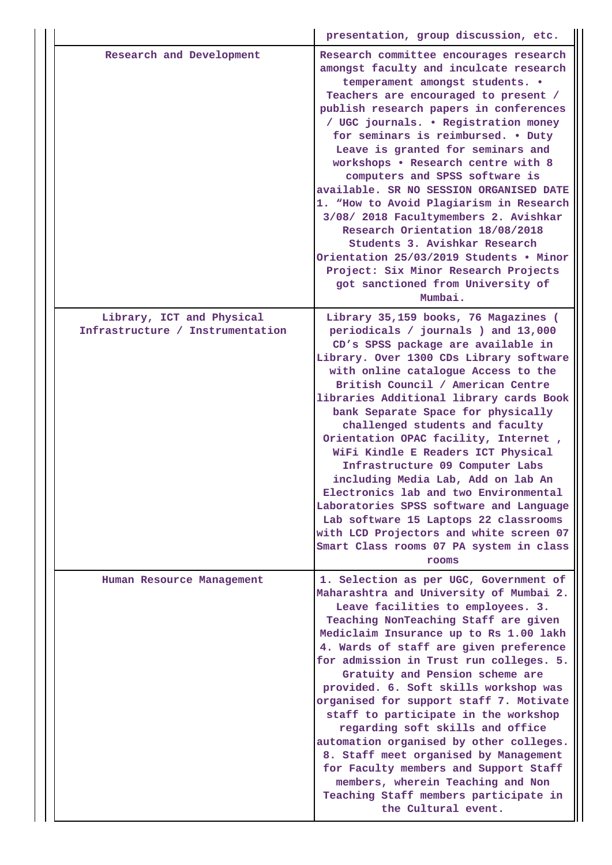|                                                               | presentation, group discussion, etc.                                                                                                                                                                                                                                                                                                                                                                                                                                                                                                                                                                                                                                                                                                            |
|---------------------------------------------------------------|-------------------------------------------------------------------------------------------------------------------------------------------------------------------------------------------------------------------------------------------------------------------------------------------------------------------------------------------------------------------------------------------------------------------------------------------------------------------------------------------------------------------------------------------------------------------------------------------------------------------------------------------------------------------------------------------------------------------------------------------------|
| Research and Development                                      | Research committee encourages research<br>amongst faculty and inculcate research<br>temperament amongst students. .<br>Teachers are encouraged to present /<br>publish research papers in conferences<br>/ UGC journals. . Registration money<br>for seminars is reimbursed. . Duty<br>Leave is granted for seminars and<br>workshops . Research centre with 8<br>computers and SPSS software is<br>available. SR NO SESSION ORGANISED DATE<br>1. "How to Avoid Plagiarism in Research<br>3/08/ 2018 Facultymembers 2. Avishkar<br>Research Orientation 18/08/2018<br>Students 3. Avishkar Research<br>Orientation 25/03/2019 Students . Minor<br>Project: Six Minor Research Projects<br>got sanctioned from University of<br>Mumbai.          |
| Library, ICT and Physical<br>Infrastructure / Instrumentation | Library 35,159 books, 76 Magazines (<br>periodicals / journals ) and 13,000<br>CD's SPSS package are available in<br>Library. Over 1300 CDs Library software<br>with online catalogue Access to the<br>British Council / American Centre<br>libraries Additional library cards Book<br>bank Separate Space for physically<br>challenged students and faculty<br>Orientation OPAC facility, Internet,<br>WiFi Kindle E Readers ICT Physical<br>Infrastructure 09 Computer Labs<br>including Media Lab, Add on lab An<br>Electronics lab and two Environmental<br>Laboratories SPSS software and Language<br>Lab software 15 Laptops 22 classrooms<br>with LCD Projectors and white screen 07<br>Smart Class rooms 07 PA system in class<br>rooms |
| Human Resource Management                                     | 1. Selection as per UGC, Government of<br>Maharashtra and University of Mumbai 2.<br>Leave facilities to employees. 3.<br>Teaching NonTeaching Staff are given<br>Mediclaim Insurance up to Rs 1.00 lakh<br>4. Wards of staff are given preference<br>for admission in Trust run colleges. 5.<br>Gratuity and Pension scheme are<br>provided. 6. Soft skills workshop was<br>organised for support staff 7. Motivate<br>staff to participate in the workshop<br>regarding soft skills and office<br>automation organised by other colleges.<br>8. Staff meet organised by Management<br>for Faculty members and Support Staff<br>members, wherein Teaching and Non<br>Teaching Staff members participate in<br>the Cultural event.              |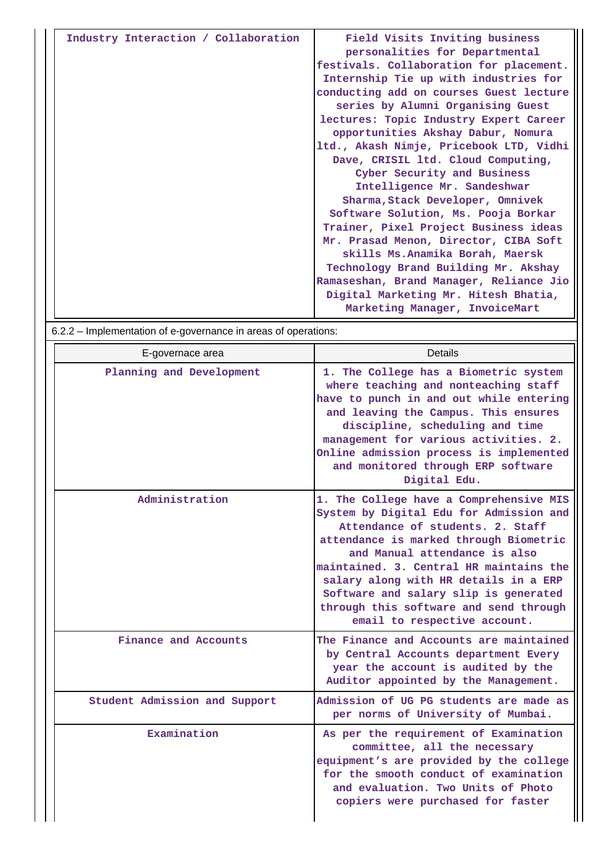| Industry Interaction / Collaboration | Field Visits Inviting business<br>personalities for Departmental<br>festivals. Collaboration for placement.<br>Internship Tie up with industries for<br>conducting add on courses Guest lecture<br>series by Alumni Organising Guest |
|--------------------------------------|--------------------------------------------------------------------------------------------------------------------------------------------------------------------------------------------------------------------------------------|
|                                      | lectures: Topic Industry Expert Career                                                                                                                                                                                               |
|                                      | opportunities Akshay Dabur, Nomura                                                                                                                                                                                                   |
|                                      | ltd., Akash Nimje, Pricebook LTD, Vidhi                                                                                                                                                                                              |
|                                      | Dave, CRISIL 1td. Cloud Computing,                                                                                                                                                                                                   |
|                                      | Cyber Security and Business                                                                                                                                                                                                          |
|                                      | Intelligence Mr. Sandeshwar                                                                                                                                                                                                          |
|                                      | Sharma, Stack Developer, Omnivek                                                                                                                                                                                                     |
|                                      | Software Solution, Ms. Pooja Borkar                                                                                                                                                                                                  |
|                                      | Trainer, Pixel Project Business ideas                                                                                                                                                                                                |
|                                      | Mr. Prasad Menon, Director, CIBA Soft                                                                                                                                                                                                |
|                                      | skills Ms.Anamika Borah, Maersk                                                                                                                                                                                                      |
|                                      | Technology Brand Building Mr. Akshay                                                                                                                                                                                                 |
|                                      | Ramaseshan, Brand Manager, Reliance Jio                                                                                                                                                                                              |
|                                      | Digital Marketing Mr. Hitesh Bhatia,                                                                                                                                                                                                 |
|                                      | Marketing Manager, InvoiceMart                                                                                                                                                                                                       |

|                               | 6.2.2 - Implementation of e-governance in areas of operations:                                                                                                                                                                                                                                                                                                                                           |  |  |  |  |  |
|-------------------------------|----------------------------------------------------------------------------------------------------------------------------------------------------------------------------------------------------------------------------------------------------------------------------------------------------------------------------------------------------------------------------------------------------------|--|--|--|--|--|
| E-governace area              | Details                                                                                                                                                                                                                                                                                                                                                                                                  |  |  |  |  |  |
| Planning and Development      | 1. The College has a Biometric system<br>where teaching and nonteaching staff<br>have to punch in and out while entering<br>and leaving the Campus. This ensures<br>discipline, scheduling and time<br>management for various activities. 2.<br>Online admission process is implemented<br>and monitored through ERP software<br>Digital Edu.                                                            |  |  |  |  |  |
| Administration                | 1. The College have a Comprehensive MIS<br>System by Digital Edu for Admission and<br>Attendance of students, 2. Staff<br>attendance is marked through Biometric<br>and Manual attendance is also<br>maintained. 3. Central HR maintains the<br>salary along with HR details in a ERP<br>Software and salary slip is generated<br>through this software and send through<br>email to respective account. |  |  |  |  |  |
| Finance and Accounts          | The Finance and Accounts are maintained<br>by Central Accounts department Every<br>year the account is audited by the<br>Auditor appointed by the Management.                                                                                                                                                                                                                                            |  |  |  |  |  |
| Student Admission and Support | Admission of UG PG students are made as<br>per norms of University of Mumbai.                                                                                                                                                                                                                                                                                                                            |  |  |  |  |  |
| Examination                   | As per the requirement of Examination<br>committee, all the necessary<br>equipment's are provided by the college<br>for the smooth conduct of examination<br>and evaluation. Two Units of Photo<br>copiers were purchased for faster                                                                                                                                                                     |  |  |  |  |  |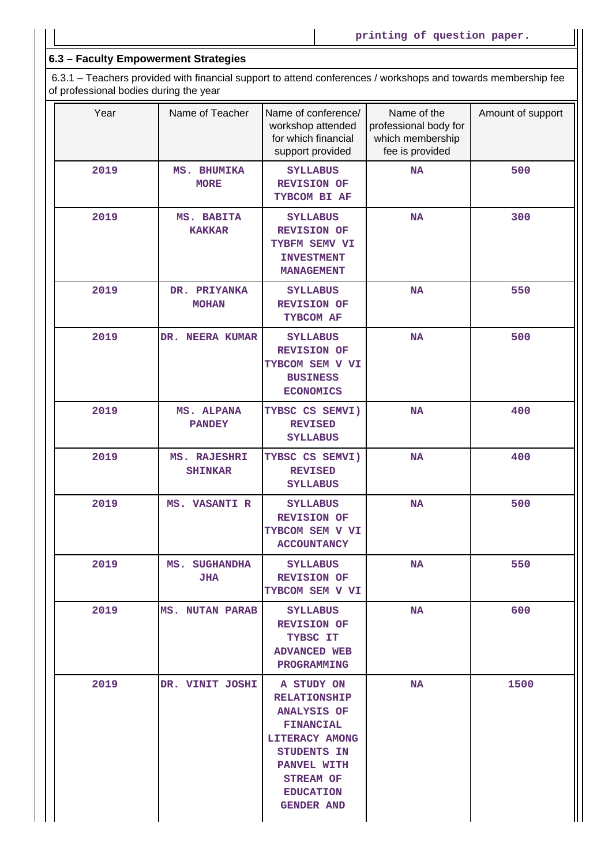# **6.3 – Faculty Empowerment Strategies**

 6.3.1 – Teachers provided with financial support to attend conferences / workshops and towards membership fee of professional bodies during the year

| Year | Name of Teacher                    | Name of conference/<br>workshop attended<br>for which financial<br>support provided                                                                                                      | Name of the<br>professional body for<br>which membership<br>fee is provided | Amount of support |
|------|------------------------------------|------------------------------------------------------------------------------------------------------------------------------------------------------------------------------------------|-----------------------------------------------------------------------------|-------------------|
| 2019 | MS. BHUMIKA<br><b>MORE</b>         | <b>SYLLABUS</b><br><b>REVISION OF</b><br>TYBCOM BI AF                                                                                                                                    | <b>NA</b>                                                                   | 500               |
| 2019 | MS. BABITA<br><b>KAKKAR</b>        | <b>SYLLABUS</b><br><b>REVISION OF</b><br>TYBFM SEMV VI<br><b>INVESTMENT</b><br><b>MANAGEMENT</b>                                                                                         | <b>NA</b>                                                                   | 300               |
| 2019 | DR. PRIYANKA<br><b>MOHAN</b>       | <b>SYLLABUS</b><br><b>REVISION OF</b><br>TYBCOM AF                                                                                                                                       | <b>NA</b>                                                                   | 550               |
| 2019 | DR. NEERA KUMAR                    | <b>SYLLABUS</b><br><b>REVISION OF</b><br>TYBCOM SEM V VI<br><b>BUSINESS</b><br><b>ECONOMICS</b>                                                                                          | <b>NA</b>                                                                   | 500               |
| 2019 | MS. ALPANA<br><b>PANDEY</b>        | TYBSC CS SEMVI)<br><b>REVISED</b><br><b>SYLLABUS</b>                                                                                                                                     | <b>NA</b>                                                                   | 400               |
| 2019 | MS. RAJESHRI<br><b>SHINKAR</b>     | TYBSC CS SEMVI)<br><b>REVISED</b><br><b>SYLLABUS</b>                                                                                                                                     | <b>NA</b>                                                                   | 400               |
| 2019 | MS. VASANTI R                      | <b>SYLLABUS</b><br><b>REVISION OF</b><br>TYBCOM SEM V VI<br><b>ACCOUNTANCY</b>                                                                                                           | <b>NA</b>                                                                   | 500               |
| 2019 | <b>MS. SUGHANDHA</b><br><b>JHA</b> | <b>SYLLABUS</b><br><b>REVISION OF</b><br>TYBCOM SEM V VI                                                                                                                                 | NA                                                                          | 550               |
| 2019 | <b>MS. NUTAN PARAB</b>             | <b>SYLLABUS</b><br><b>REVISION OF</b><br>TYBSC IT<br><b>ADVANCED WEB</b><br>PROGRAMMING                                                                                                  | <b>NA</b>                                                                   | 600               |
| 2019 | DR. VINIT JOSHI                    | A STUDY ON<br><b>RELATIONSHIP</b><br><b>ANALYSIS OF</b><br><b>FINANCIAL</b><br>LITERACY AMONG<br>STUDENTS IN<br>PANVEL WITH<br><b>STREAM OF</b><br><b>EDUCATION</b><br><b>GENDER AND</b> | <b>NA</b>                                                                   | 1500              |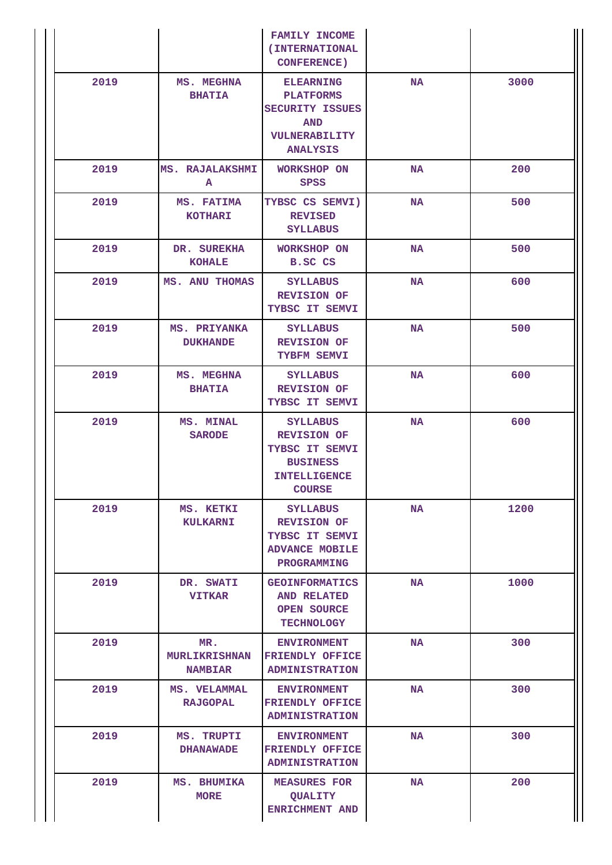|      |                                               | <b>FAMILY INCOME</b><br>(INTERNATIONAL<br><b>CONFERENCE)</b>                                                       |           |      |
|------|-----------------------------------------------|--------------------------------------------------------------------------------------------------------------------|-----------|------|
| 2019 | MS. MEGHNA<br><b>BHATIA</b>                   | <b>ELEARNING</b><br><b>PLATFORMS</b><br><b>SECURITY ISSUES</b><br><b>AND</b><br>VULNERABILITY<br><b>ANALYSIS</b>   | <b>NA</b> | 3000 |
| 2019 | <b>MS. RAJALAKSHMI</b><br>A                   | <b>WORKSHOP ON</b><br><b>SPSS</b>                                                                                  | <b>NA</b> | 200  |
| 2019 | MS. FATIMA<br><b>KOTHARI</b>                  | TYBSC CS SEMVI)<br><b>REVISED</b><br><b>SYLLABUS</b>                                                               | <b>NA</b> | 500  |
| 2019 | DR. SUREKHA<br><b>KOHALE</b>                  | <b>WORKSHOP ON</b><br><b>B.SC CS</b>                                                                               | <b>NA</b> | 500  |
| 2019 | MS. ANU THOMAS                                | <b>SYLLABUS</b><br><b>REVISION OF</b><br>TYBSC IT SEMVI                                                            | <b>NA</b> | 600  |
| 2019 | MS. PRIYANKA<br><b>DUKHANDE</b>               | <b>SYLLABUS</b><br><b>REVISION OF</b><br>TYBFM SEMVI                                                               | <b>NA</b> | 500  |
| 2019 | MS. MEGHNA<br><b>BHATIA</b>                   | <b>SYLLABUS</b><br><b>REVISION OF</b><br>TYBSC IT SEMVI                                                            | <b>NA</b> | 600  |
| 2019 | MS. MINAL<br><b>SARODE</b>                    | <b>SYLLABUS</b><br><b>REVISION OF</b><br>TYBSC IT SEMVI<br><b>BUSINESS</b><br><b>INTELLIGENCE</b><br><b>COURSE</b> | <b>NA</b> | 600  |
| 2019 | MS. KETKI<br><b>KULKARNI</b>                  | <b>SYLLABUS</b><br><b>REVISION OF</b><br>TYBSC IT SEMVI<br><b>ADVANCE MOBILE</b><br>PROGRAMMING                    | <b>NA</b> | 1200 |
| 2019 | DR. SWATI<br><b>VITKAR</b>                    | <b>GEOINFORMATICS</b><br><b>AND RELATED</b><br><b>OPEN SOURCE</b><br><b>TECHNOLOGY</b>                             | <b>NA</b> | 1000 |
| 2019 | MR.<br><b>MURLIKRISHNAN</b><br><b>NAMBIAR</b> | <b>ENVIRONMENT</b><br><b>FRIENDLY OFFICE</b><br><b>ADMINISTRATION</b>                                              | <b>NA</b> | 300  |
| 2019 | MS. VELAMMAL<br><b>RAJGOPAL</b>               | <b>ENVIRONMENT</b><br><b>FRIENDLY OFFICE</b><br><b>ADMINISTRATION</b>                                              | <b>NA</b> | 300  |
| 2019 | MS. TRUPTI<br><b>DHANAWADE</b>                | <b>ENVIRONMENT</b><br>FRIENDLY OFFICE<br><b>ADMINISTRATION</b>                                                     | <b>NA</b> | 300  |
| 2019 | MS. BHUMIKA<br><b>MORE</b>                    | <b>MEASURES FOR</b><br><b>QUALITY</b><br><b>ENRICHMENT AND</b>                                                     | <b>NA</b> | 200  |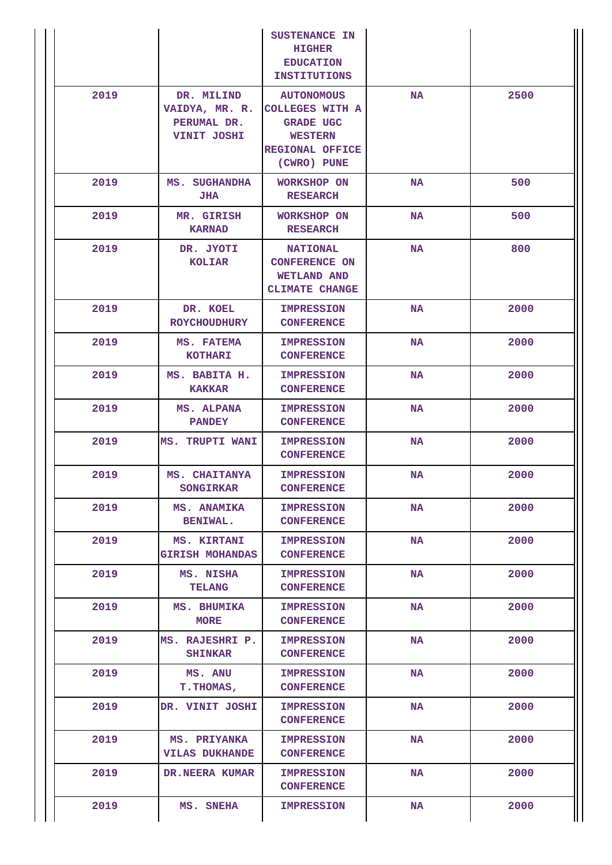|      |                                                            | SUSTENANCE IN<br><b>HIGHER</b><br><b>EDUCATION</b><br><b>INSTITUTIONS</b>                                           |           |      |
|------|------------------------------------------------------------|---------------------------------------------------------------------------------------------------------------------|-----------|------|
| 2019 | DR. MILIND<br>VAIDYA, MR. R.<br>PERUMAL DR.<br>VINIT JOSHI | <b>AUTONOMOUS</b><br><b>COLLEGES WITH A</b><br><b>GRADE UGC</b><br><b>WESTERN</b><br>REGIONAL OFFICE<br>(CWRO) PUNE | NA        | 2500 |
| 2019 | MS. SUGHANDHA<br><b>JHA</b>                                | WORKSHOP ON<br><b>RESEARCH</b>                                                                                      | <b>NA</b> | 500  |
| 2019 | MR. GIRISH<br><b>KARNAD</b>                                | <b>WORKSHOP ON</b><br><b>RESEARCH</b>                                                                               | <b>NA</b> | 500  |
| 2019 | DR. JYOTI<br><b>KOLIAR</b>                                 | <b>NATIONAL</b><br><b>CONFERENCE ON</b><br><b>WETLAND AND</b><br><b>CLIMATE CHANGE</b>                              | <b>NA</b> | 800  |
| 2019 | DR. KOEL<br><b>ROYCHOUDHURY</b>                            | <b>IMPRESSION</b><br><b>CONFERENCE</b>                                                                              | <b>NA</b> | 2000 |
| 2019 | MS. FATEMA<br><b>KOTHARI</b>                               | <b>IMPRESSION</b><br><b>CONFERENCE</b>                                                                              | <b>NA</b> | 2000 |
| 2019 | MS. BABITA H.<br><b>KAKKAR</b>                             | <b>IMPRESSION</b><br><b>CONFERENCE</b>                                                                              | <b>NA</b> | 2000 |
| 2019 | MS. ALPANA<br><b>PANDEY</b>                                | <b>IMPRESSION</b><br><b>CONFERENCE</b>                                                                              | <b>NA</b> | 2000 |
| 2019 | MS. TRUPTI WANI                                            | <b>IMPRESSION</b><br><b>CONFERENCE</b>                                                                              | <b>NA</b> | 2000 |
| 2019 | MS. CHAITANYA<br><b>SONGIRKAR</b>                          | <b>IMPRESSION</b><br><b>CONFERENCE</b>                                                                              | NA        | 2000 |
| 2019 | MS. ANAMIKA<br><b>BENIWAL.</b>                             | <b>IMPRESSION</b><br><b>CONFERENCE</b>                                                                              | NA        | 2000 |
| 2019 | MS. KIRTANI<br><b>GIRISH MOHANDAS</b>                      | <b>IMPRESSION</b><br><b>CONFERENCE</b>                                                                              | <b>NA</b> | 2000 |
| 2019 | MS. NISHA<br><b>TELANG</b>                                 | <b>IMPRESSION</b><br><b>CONFERENCE</b>                                                                              | <b>NA</b> | 2000 |
| 2019 | MS. BHUMIKA<br><b>MORE</b>                                 | <b>IMPRESSION</b><br><b>CONFERENCE</b>                                                                              | NA        | 2000 |
| 2019 | MS. RAJESHRI P.<br><b>SHINKAR</b>                          | <b>IMPRESSION</b><br><b>CONFERENCE</b>                                                                              | <b>NA</b> | 2000 |
| 2019 | MS. ANU<br><b>T.THOMAS,</b>                                | <b>IMPRESSION</b><br><b>CONFERENCE</b>                                                                              | <b>NA</b> | 2000 |
| 2019 | DR. VINIT JOSHI                                            | <b>IMPRESSION</b><br><b>CONFERENCE</b>                                                                              | NA        | 2000 |
| 2019 | MS. PRIYANKA<br><b>VILAS DUKHANDE</b>                      | <b>IMPRESSION</b><br><b>CONFERENCE</b>                                                                              | NA        | 2000 |
| 2019 | DR.NEERA KUMAR                                             | <b>IMPRESSION</b><br><b>CONFERENCE</b>                                                                              | <b>NA</b> | 2000 |
| 2019 | MS. SNEHA                                                  | <b>IMPRESSION</b>                                                                                                   | NA        | 2000 |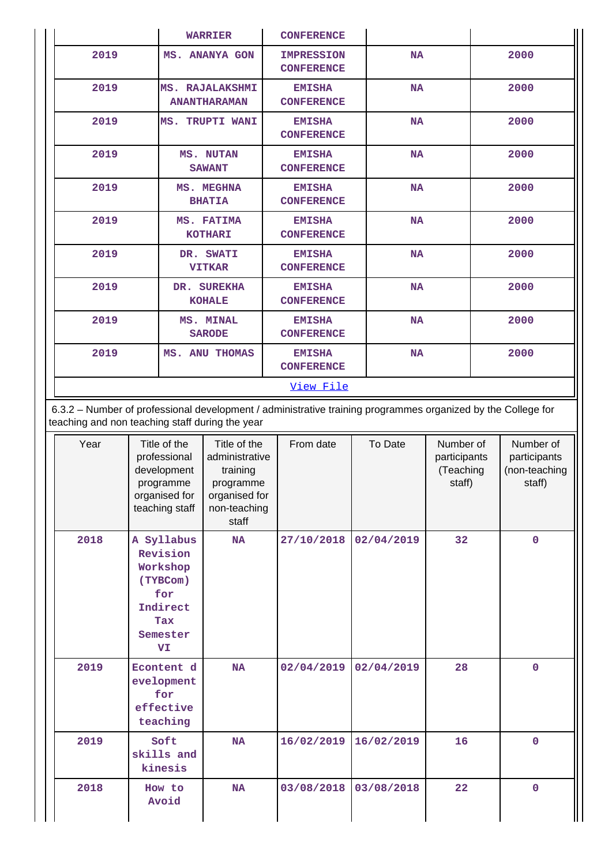|      | <b>WARRIER</b>                                | <b>CONFERENCE</b>                      |           |      |
|------|-----------------------------------------------|----------------------------------------|-----------|------|
| 2019 | MS. ANANYA GON                                | <b>IMPRESSION</b><br><b>CONFERENCE</b> | <b>NA</b> | 2000 |
| 2019 | <b>MS. RAJALAKSHMI</b><br><b>ANANTHARAMAN</b> | <b>EMISHA</b><br><b>CONFERENCE</b>     | <b>NA</b> | 2000 |
| 2019 | MS. TRUPTI WANI                               | <b>EMISHA</b><br><b>CONFERENCE</b>     | <b>NA</b> | 2000 |
| 2019 | MS. NUTAN<br><b>SAWANT</b>                    | <b>EMISHA</b><br><b>CONFERENCE</b>     | <b>NA</b> | 2000 |
| 2019 | MS. MEGHNA<br><b>BHATIA</b>                   | <b>EMISHA</b><br><b>CONFERENCE</b>     | <b>NA</b> | 2000 |
| 2019 | MS. FATIMA<br><b>KOTHARI</b>                  | <b>EMISHA</b><br><b>CONFERENCE</b>     | <b>NA</b> | 2000 |
| 2019 | DR. SWATI<br><b>VITKAR</b>                    | <b>EMISHA</b><br><b>CONFERENCE</b>     | <b>NA</b> | 2000 |
| 2019 | DR. SUREKHA<br><b>KOHALE</b>                  | <b>EMISHA</b><br><b>CONFERENCE</b>     | <b>NA</b> | 2000 |
| 2019 | MS. MINAL<br><b>SARODE</b>                    | <b>EMISHA</b><br><b>CONFERENCE</b>     | <b>NA</b> | 2000 |
| 2019 | MS. ANU THOMAS                                | <b>EMISHA</b><br><b>CONFERENCE</b>     | <b>NA</b> | 2000 |
|      |                                               | View File                              |           |      |

 6.3.2 – Number of professional development / administrative training programmes organized by the College for teaching and non teaching staff during the year

| Year | Title of the<br>professional<br>development<br>programme<br>organised for<br>teaching staff       | Title of the<br>administrative<br>training<br>programme<br>organised for<br>non-teaching<br>staff | From date  | To Date    | Number of<br>participants<br>(Teaching<br>staff) | Number of<br>participants<br>(non-teaching<br>staff) |
|------|---------------------------------------------------------------------------------------------------|---------------------------------------------------------------------------------------------------|------------|------------|--------------------------------------------------|------------------------------------------------------|
| 2018 | A Syllabus<br>Revision<br>Workshop<br>(TYBCom)<br>for<br>Indirect<br><b>Tax</b><br>Semester<br>VI | <b>NA</b>                                                                                         | 27/10/2018 | 02/04/2019 | 32                                               | $\mathbf 0$                                          |
| 2019 | Econtent d<br>evelopment<br>for<br>effective<br>teaching                                          | <b>NA</b>                                                                                         | 02/04/2019 | 02/04/2019 | 28                                               | $\Omega$                                             |
| 2019 | Soft<br>skills and<br>kinesis                                                                     | <b>NA</b>                                                                                         | 16/02/2019 | 16/02/2019 | 16                                               | $\mathbf 0$                                          |
| 2018 | How to<br>Avoid                                                                                   | <b>NA</b>                                                                                         | 03/08/2018 | 03/08/2018 | 22                                               | $\mathbf 0$                                          |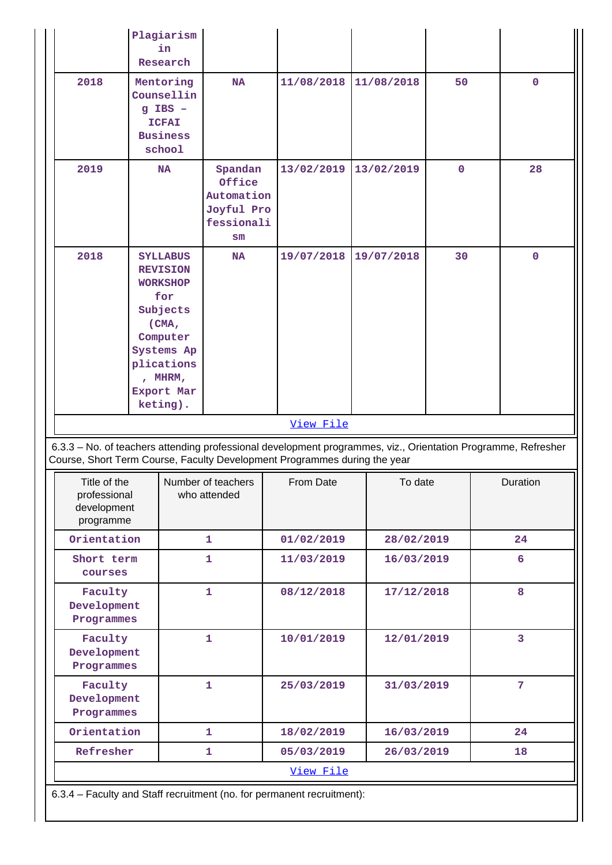|                                                          | Plagiarism<br>in<br>Research                                                                                                                                   |                                                                   |                                                                                                                                                                                            |            |             |                |
|----------------------------------------------------------|----------------------------------------------------------------------------------------------------------------------------------------------------------------|-------------------------------------------------------------------|--------------------------------------------------------------------------------------------------------------------------------------------------------------------------------------------|------------|-------------|----------------|
| 2018                                                     | Mentoring<br>Counsellin<br>$g$ IBS $-$<br><b>ICFAI</b><br><b>Business</b><br>school                                                                            | <b>NA</b>                                                         | 11/08/2018                                                                                                                                                                                 | 11/08/2018 | 50          | $\mathbf 0$    |
| 2019                                                     | <b>NA</b>                                                                                                                                                      | Spandan<br>Office<br>Automation<br>Joyful Pro<br>fessionali<br>sm | 13/02/2019                                                                                                                                                                                 | 13/02/2019 | $\mathbf 0$ | 28             |
| 2018                                                     | <b>SYLLABUS</b><br><b>REVISION</b><br><b>WORKSHOP</b><br>for<br>Subjects<br>(CMA,<br>Computer<br>Systems Ap<br>plications<br>, MHRM,<br>Export Mar<br>keting). | <b>NA</b>                                                         | 19/07/2018<br>View File                                                                                                                                                                    | 19/07/2018 | 30          | $\mathbf 0$    |
|                                                          |                                                                                                                                                                |                                                                   | 6.3.3 - No. of teachers attending professional development programmes, viz., Orientation Programme, Refresher<br>Course, Short Term Course, Faculty Development Programmes during the year |            |             |                |
| Title of the<br>professional<br>development<br>programme |                                                                                                                                                                | Number of teachers<br>who attended                                | From Date                                                                                                                                                                                  | To date    |             | Duration       |
| Orientation                                              |                                                                                                                                                                | $\mathbf{1}$                                                      | 01/02/2019                                                                                                                                                                                 | 28/02/2019 |             | 24             |
| Short term<br>courses                                    |                                                                                                                                                                | $\mathbf{1}$                                                      | 11/03/2019                                                                                                                                                                                 | 16/03/2019 |             | 6              |
| Faculty<br>Development<br>Programmes                     |                                                                                                                                                                | $\mathbf{1}$                                                      | 08/12/2018                                                                                                                                                                                 | 17/12/2018 |             | 8              |
|                                                          |                                                                                                                                                                |                                                                   |                                                                                                                                                                                            |            |             |                |
| Faculty<br>Development<br>Programmes                     |                                                                                                                                                                | $\mathbf{1}$                                                      | 10/01/2019                                                                                                                                                                                 | 12/01/2019 |             | $\overline{3}$ |
| Faculty<br>Development<br>Programmes                     |                                                                                                                                                                | $\mathbf{1}$                                                      | 25/03/2019                                                                                                                                                                                 | 31/03/2019 |             | 7              |
| Orientation                                              |                                                                                                                                                                | $\mathbf{1}$                                                      | 18/02/2019                                                                                                                                                                                 | 16/03/2019 |             | 24             |
| Refresher                                                |                                                                                                                                                                | 1                                                                 | 05/03/2019                                                                                                                                                                                 | 26/03/2019 |             | 18             |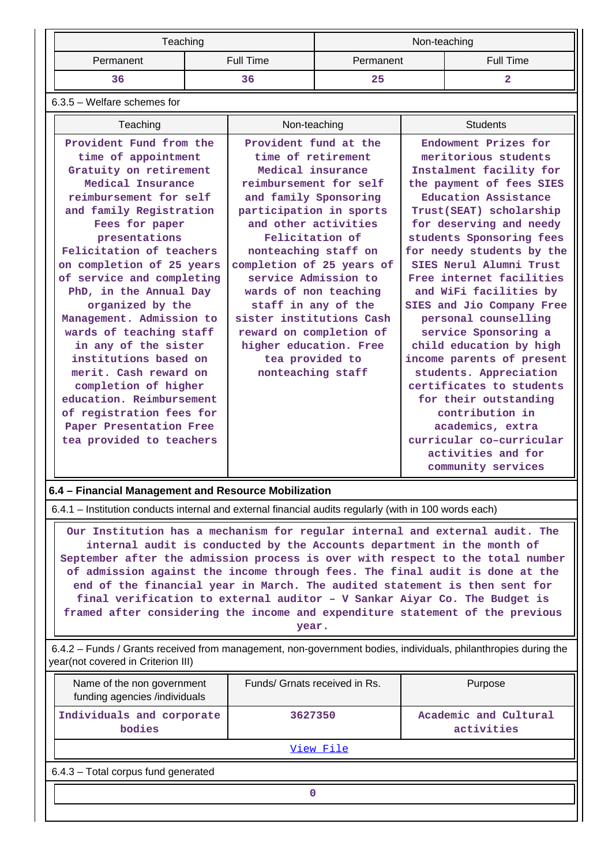|           | Teaching  | Non-teaching |           |  |
|-----------|-----------|--------------|-----------|--|
| Permanent | Full Time | Permanent    | Full Time |  |
| 36        | 36        | 25           |           |  |

6.3.5 – Welfare schemes for

| Teaching                                                                                                                                                                                                                                                                                                                                                                                                                                                   | Non-teaching                                                                                                                                                                                                                                                                                                                                                                                                                                    | <b>Students</b>                                                                                                                                                                                                                                                                                                                                                                                                                                                                            |
|------------------------------------------------------------------------------------------------------------------------------------------------------------------------------------------------------------------------------------------------------------------------------------------------------------------------------------------------------------------------------------------------------------------------------------------------------------|-------------------------------------------------------------------------------------------------------------------------------------------------------------------------------------------------------------------------------------------------------------------------------------------------------------------------------------------------------------------------------------------------------------------------------------------------|--------------------------------------------------------------------------------------------------------------------------------------------------------------------------------------------------------------------------------------------------------------------------------------------------------------------------------------------------------------------------------------------------------------------------------------------------------------------------------------------|
| Provident Fund from the<br>time of appointment<br>Gratuity on retirement<br>Medical Insurance<br>reimbursement for self<br>and family Registration<br>Fees for paper<br>presentations<br>Felicitation of teachers<br>on completion of 25 years<br>of service and completing<br>PhD, in the Annual Day<br>organized by the<br>Management. Admission to<br>wards of teaching staff<br>in any of the sister<br>institutions based on<br>merit. Cash reward on | Provident fund at the<br>time of retirement<br>Medical insurance<br>reimbursement for self<br>and family Sponsoring<br>participation in sports<br>and other activities<br>Felicitation of<br>nonteaching staff on<br>completion of 25 years of<br>service Admission to<br>wards of non teaching<br>staff in any of the<br>sister institutions Cash<br>reward on completion of<br>higher education. Free<br>tea provided to<br>nonteaching staff | Endowment Prizes for<br>meritorious students<br>Instalment facility for<br>the payment of fees SIES<br>Education Assistance<br>Trust(SEAT) scholarship<br>for deserving and needy<br>students Sponsoring fees<br>for needy students by the<br>SIES Nerul Alumni Trust<br>Free internet facilities<br>and WiFi facilities by<br>SIES and Jio Company Free<br>personal counselling<br>service Sponsoring a<br>child education by high<br>income parents of present<br>students. Appreciation |
| completion of higher<br>education, Reimbursement                                                                                                                                                                                                                                                                                                                                                                                                           |                                                                                                                                                                                                                                                                                                                                                                                                                                                 | certificates to students<br>for their outstanding                                                                                                                                                                                                                                                                                                                                                                                                                                          |
| of registration fees for<br>Paper Presentation Free                                                                                                                                                                                                                                                                                                                                                                                                        |                                                                                                                                                                                                                                                                                                                                                                                                                                                 | contribution in<br>academics, extra<br>curricular co-curricular                                                                                                                                                                                                                                                                                                                                                                                                                            |
| tea provided to teachers                                                                                                                                                                                                                                                                                                                                                                                                                                   |                                                                                                                                                                                                                                                                                                                                                                                                                                                 | activities and for<br>community services                                                                                                                                                                                                                                                                                                                                                                                                                                                   |

## **6.4 – Financial Management and Resource Mobilization**

6.4.1 – Institution conducts internal and external financial audits regularly (with in 100 words each)

 **Our Institution has a mechanism for regular internal and external audit. The internal audit is conducted by the Accounts department in the month of September after the admission process is over with respect to the total number of admission against the income through fees. The final audit is done at the end of the financial year in March. The audited statement is then sent for final verification to external auditor – V Sankar Aiyar Co. The Budget is framed after considering the income and expenditure statement of the previous year.**

 6.4.2 – Funds / Grants received from management, non-government bodies, individuals, philanthropies during the year(not covered in Criterion III)

| Name of the non government<br>funding agencies /individuals | Funds/ Grnats received in Rs. | Purpose                             |  |  |  |
|-------------------------------------------------------------|-------------------------------|-------------------------------------|--|--|--|
| Individuals and corporate<br>bodies                         | 3627350                       | Academic and Cultural<br>activities |  |  |  |
|                                                             | View File                     |                                     |  |  |  |
| 6.4.3 - Total corpus fund generated                         |                               |                                     |  |  |  |
|                                                             |                               |                                     |  |  |  |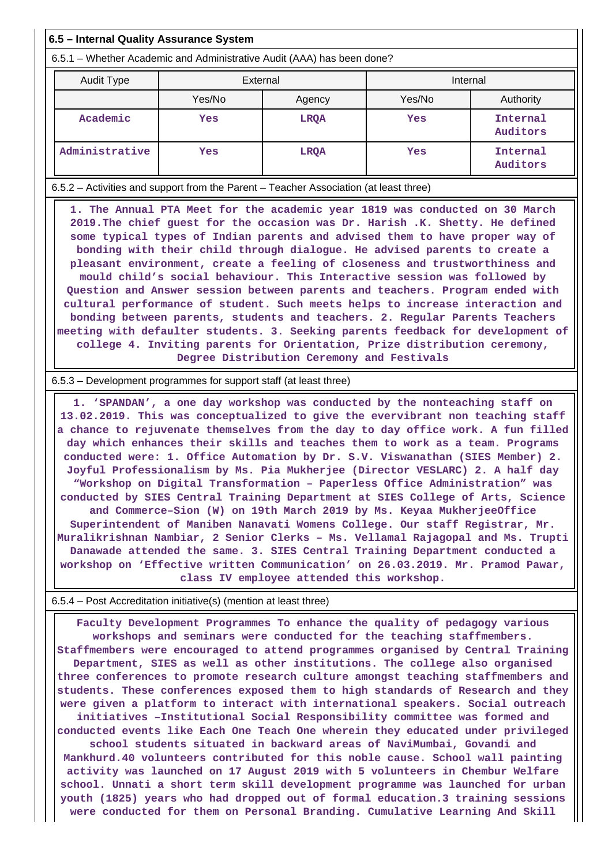### **6.5 – Internal Quality Assurance System**

6.5.1 – Whether Academic and Administrative Audit (AAA) has been done?

| Audit Type     | External         |             | Internal |                      |  |
|----------------|------------------|-------------|----------|----------------------|--|
|                | Yes/No<br>Agency |             | Yes/No   | Authority            |  |
| Academic       | Yes              | <b>LRQA</b> | Yes      | Internal<br>Auditors |  |
| Administrative | Yes              | <b>LRQA</b> | Yes      | Internal<br>Auditors |  |

6.5.2 – Activities and support from the Parent – Teacher Association (at least three)

 **1. The Annual PTA Meet for the academic year 1819 was conducted on 30 March 2019.The chief guest for the occasion was Dr. Harish .K. Shetty. He defined some typical types of Indian parents and advised them to have proper way of bonding with their child through dialogue. He advised parents to create a pleasant environment, create a feeling of closeness and trustworthiness and mould child's social behaviour. This Interactive session was followed by Question and Answer session between parents and teachers. Program ended with cultural performance of student. Such meets helps to increase interaction and bonding between parents, students and teachers. 2. Regular Parents Teachers meeting with defaulter students. 3. Seeking parents feedback for development of college 4. Inviting parents for Orientation, Prize distribution ceremony, Degree Distribution Ceremony and Festivals**

#### 6.5.3 – Development programmes for support staff (at least three)

 **1. 'SPANDAN', a one day workshop was conducted by the nonteaching staff on 13.02.2019. This was conceptualized to give the evervibrant non teaching staff a chance to rejuvenate themselves from the day to day office work. A fun filled day which enhances their skills and teaches them to work as a team. Programs conducted were: 1. Office Automation by Dr. S.V. Viswanathan (SIES Member) 2. Joyful Professionalism by Ms. Pia Mukherjee (Director VESLARC) 2. A half day "Workshop on Digital Transformation – Paperless Office Administration" was conducted by SIES Central Training Department at SIES College of Arts, Science and Commerce–Sion (W) on 19th March 2019 by Ms. Keyaa MukherjeeOffice Superintendent of Maniben Nanavati Womens College. Our staff Registrar, Mr. Muralikrishnan Nambiar, 2 Senior Clerks – Ms. Vellamal Rajagopal and Ms. Trupti Danawade attended the same. 3. SIES Central Training Department conducted a workshop on 'Effective written Communication' on 26.03.2019. Mr. Pramod Pawar, class IV employee attended this workshop.**

#### 6.5.4 – Post Accreditation initiative(s) (mention at least three)

 **Faculty Development Programmes To enhance the quality of pedagogy various workshops and seminars were conducted for the teaching staffmembers. Staffmembers were encouraged to attend programmes organised by Central Training Department, SIES as well as other institutions. The college also organised three conferences to promote research culture amongst teaching staffmembers and students. These conferences exposed them to high standards of Research and they were given a platform to interact with international speakers. Social outreach initiatives –Institutional Social Responsibility committee was formed and conducted events like Each One Teach One wherein they educated under privileged school students situated in backward areas of NaviMumbai, Govandi and Mankhurd.40 volunteers contributed for this noble cause. School wall painting activity was launched on 17 August 2019 with 5 volunteers in Chembur Welfare school. Unnati a short term skill development programme was launched for urban youth (1825) years who had dropped out of formal education.3 training sessions were conducted for them on Personal Branding. Cumulative Learning And Skill**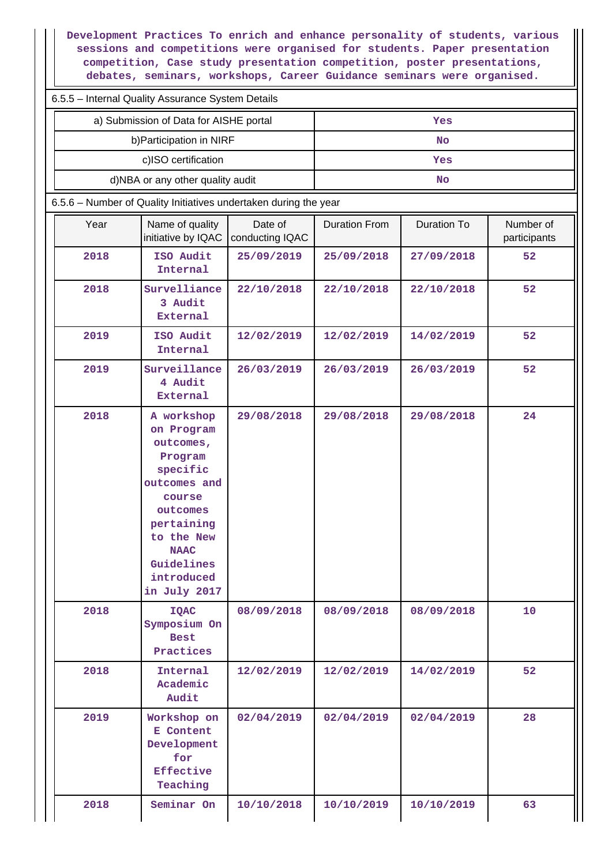**Development Practices To enrich and enhance personality of students, various sessions and competitions were organised for students. Paper presentation competition, Case study presentation competition, poster presentations, debates, seminars, workshops, Career Guidance seminars were organised.**

|  | 6.5.5 - Internal Quality Assurance System Details |  |  |
|--|---------------------------------------------------|--|--|
|  |                                                   |  |  |

| a) Submission of Data for AISHE portal | Yes |
|----------------------------------------|-----|
| b) Participation in NIRF               | No  |
| c)ISO certification                    | Yes |
| d)NBA or any other quality audit       | No  |

6.5.6 – Number of Quality Initiatives undertaken during the year

| Year | Name of quality<br>initiative by IQAC                                                                                                                                                     | Date of<br>conducting IQAC | <b>Duration From</b> | Duration To | Number of<br>participants |
|------|-------------------------------------------------------------------------------------------------------------------------------------------------------------------------------------------|----------------------------|----------------------|-------------|---------------------------|
| 2018 | ISO Audit<br>Internal                                                                                                                                                                     | 25/09/2019                 | 25/09/2018           | 27/09/2018  | 52                        |
| 2018 | Survelliance<br>3 Audit<br><b>External</b>                                                                                                                                                | 22/10/2018                 | 22/10/2018           | 22/10/2018  | 52                        |
| 2019 | ISO Audit<br>Internal                                                                                                                                                                     | 12/02/2019                 | 12/02/2019           | 14/02/2019  | 52                        |
| 2019 | Surveillance<br>4 Audit<br><b>External</b>                                                                                                                                                | 26/03/2019                 | 26/03/2019           | 26/03/2019  | 52                        |
| 2018 | A workshop<br>on Program<br>outcomes,<br>Program<br>specific<br>outcomes and<br>course<br>outcomes<br>pertaining<br>to the New<br><b>NAAC</b><br>Guidelines<br>introduced<br>in July 2017 | 29/08/2018                 | 29/08/2018           | 29/08/2018  | 24                        |
| 2018 | <b>IQAC</b><br>Symposium On<br><b>Best</b><br>Practices                                                                                                                                   | 08/09/2018                 | 08/09/2018           | 08/09/2018  | 10                        |
| 2018 | Internal<br>Academic<br>Audit                                                                                                                                                             | 12/02/2019                 | 12/02/2019           | 14/02/2019  | 52                        |
| 2019 | Workshop on<br>E Content<br>Development<br>for<br><b>Effective</b><br>Teaching                                                                                                            | 02/04/2019                 | 02/04/2019           | 02/04/2019  | 28                        |
| 2018 | Seminar On                                                                                                                                                                                | 10/10/2018                 | 10/10/2019           | 10/10/2019  | 63                        |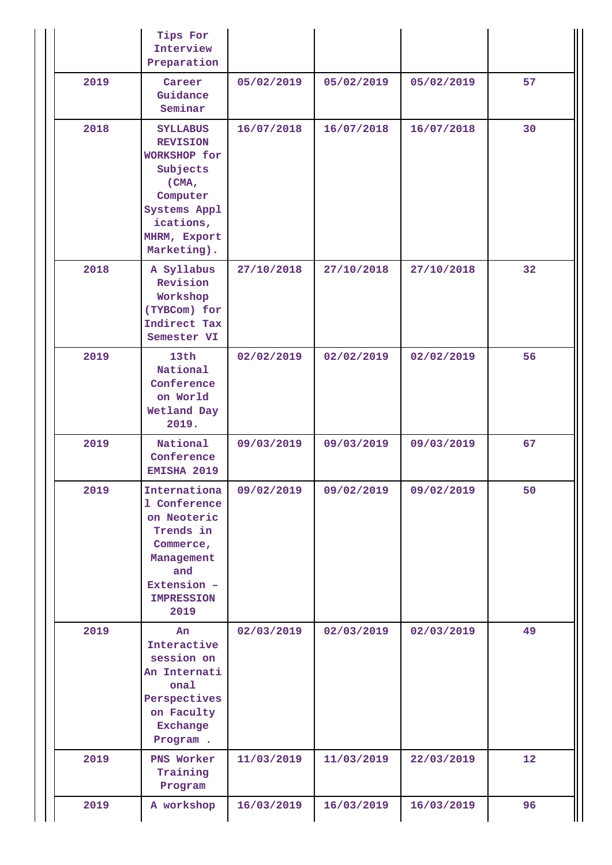|      | Tips For<br>Interview<br>Preparation                                                                                                            |            |            |            |    |
|------|-------------------------------------------------------------------------------------------------------------------------------------------------|------------|------------|------------|----|
| 2019 | Career<br>Guidance<br>Seminar                                                                                                                   | 05/02/2019 | 05/02/2019 | 05/02/2019 | 57 |
| 2018 | <b>SYLLABUS</b><br><b>REVISION</b><br>WORKSHOP for<br>Subjects<br>(CMA,<br>Computer<br>Systems Appl<br>ications,<br>MHRM, Export<br>Marketing). | 16/07/2018 | 16/07/2018 | 16/07/2018 | 30 |
| 2018 | A Syllabus<br>Revision<br>Workshop<br>(TYBCom) for<br>Indirect Tax<br>Semester VI                                                               | 27/10/2018 | 27/10/2018 | 27/10/2018 | 32 |
| 2019 | 13th<br>National<br>Conference<br>on World<br>Wetland Day<br>2019.                                                                              | 02/02/2019 | 02/02/2019 | 02/02/2019 | 56 |
| 2019 | National<br>Conference<br>EMISHA 2019                                                                                                           | 09/03/2019 | 09/03/2019 | 09/03/2019 | 67 |
| 2019 | Internationa<br>1 Conference<br>on Neoteric<br>Trends in<br>Commerce,<br>Management<br>and<br>Extension -<br><b>IMPRESSION</b><br>2019          | 09/02/2019 | 09/02/2019 | 09/02/2019 | 50 |
| 2019 | An<br>Interactive<br>session on<br>An Internati<br>onal<br>Perspectives<br>on Faculty<br>Exchange<br>Program.                                   | 02/03/2019 | 02/03/2019 | 02/03/2019 | 49 |
| 2019 | PNS Worker<br>Training<br>Program                                                                                                               | 11/03/2019 | 11/03/2019 | 22/03/2019 | 12 |
| 2019 | A workshop                                                                                                                                      | 16/03/2019 | 16/03/2019 | 16/03/2019 | 96 |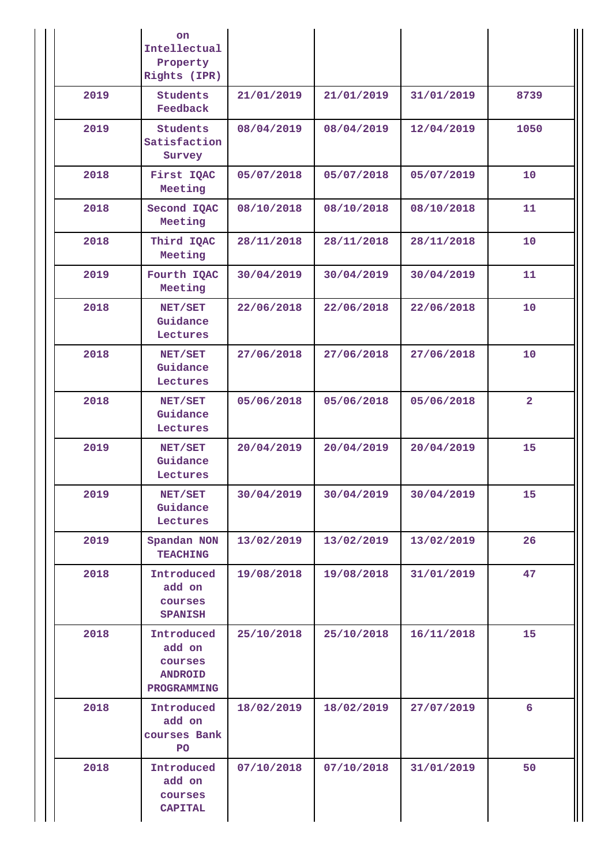|      | on.<br>Intellectual<br>Property<br>Rights (IPR)                  |            |            |            |                |
|------|------------------------------------------------------------------|------------|------------|------------|----------------|
| 2019 | <b>Students</b><br>Feedback                                      | 21/01/2019 | 21/01/2019 | 31/01/2019 | 8739           |
| 2019 | <b>Students</b><br>Satisfaction<br>Survey                        | 08/04/2019 | 08/04/2019 | 12/04/2019 | 1050           |
| 2018 | First IQAC<br>Meeting                                            | 05/07/2018 | 05/07/2018 | 05/07/2019 | 10             |
| 2018 | Second IQAC<br>Meeting                                           | 08/10/2018 | 08/10/2018 | 08/10/2018 | 11             |
| 2018 | Third IQAC<br>Meeting                                            | 28/11/2018 | 28/11/2018 | 28/11/2018 | 10             |
| 2019 | Fourth IQAC<br>Meeting                                           | 30/04/2019 | 30/04/2019 | 30/04/2019 | 11             |
| 2018 | NET/SET<br>Guidance<br>Lectures                                  | 22/06/2018 | 22/06/2018 | 22/06/2018 | 10             |
| 2018 | NET/SET<br>Guidance<br>Lectures                                  | 27/06/2018 | 27/06/2018 | 27/06/2018 | 10             |
| 2018 | NET/SET<br>Guidance<br>Lectures                                  | 05/06/2018 | 05/06/2018 | 05/06/2018 | $\overline{2}$ |
| 2019 | NET/SET<br>Guidance<br>Lectures                                  | 20/04/2019 | 20/04/2019 | 20/04/2019 | 15             |
| 2019 | NET/SET<br>Guidance<br>Lectures                                  | 30/04/2019 | 30/04/2019 | 30/04/2019 | 15             |
| 2019 | Spandan NON<br><b>TEACHING</b>                                   | 13/02/2019 | 13/02/2019 | 13/02/2019 | 26             |
| 2018 | Introduced<br>add on<br>courses<br><b>SPANISH</b>                | 19/08/2018 | 19/08/2018 | 31/01/2019 | 47             |
| 2018 | Introduced<br>add on<br>courses<br><b>ANDROID</b><br>PROGRAMMING | 25/10/2018 | 25/10/2018 | 16/11/2018 | 15             |
| 2018 | Introduced<br>add on<br>courses Bank<br><b>PO</b>                | 18/02/2019 | 18/02/2019 | 27/07/2019 | 6              |
| 2018 | Introduced<br>add on<br>courses<br><b>CAPITAL</b>                | 07/10/2018 | 07/10/2018 | 31/01/2019 | 50             |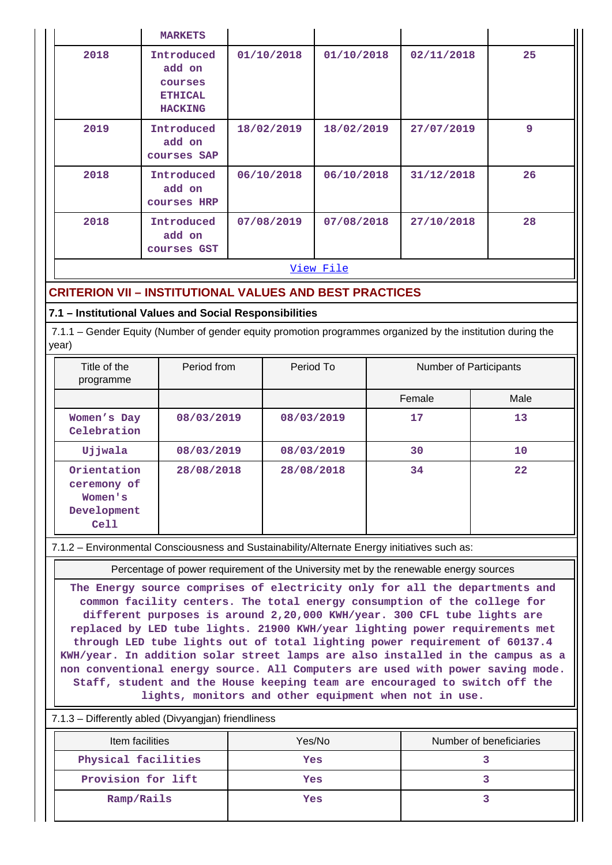|                                  | <b>MARKETS</b>                                                      |            |            |            |    |  |  |
|----------------------------------|---------------------------------------------------------------------|------------|------------|------------|----|--|--|
| 2018                             | Introduced<br>add on<br>courses<br><b>ETHICAL</b><br><b>HACKING</b> | 01/10/2018 | 01/10/2018 | 02/11/2018 | 25 |  |  |
| 2019                             | Introduced<br>add on<br>courses SAP                                 | 18/02/2019 | 18/02/2019 | 27/07/2019 | 9  |  |  |
| 2018                             | Introduced<br>add on<br>courses HRP                                 | 06/10/2018 | 06/10/2018 | 31/12/2018 | 26 |  |  |
| 2018                             | Introduced<br>add on<br>courses GST                                 | 07/08/2019 | 07/08/2018 | 27/10/2018 | 28 |  |  |
| <b>Service</b> Construction<br>. |                                                                     |            |            |            |    |  |  |

#### [View File](https://assessmentonline.naac.gov.in/public/Postacc/Quality_Initiatives_B/1533_Quality_Initiatives_B_1577420785.xlsx)

# **CRITERION VII – INSTITUTIONAL VALUES AND BEST PRACTICES**

## **7.1 – Institutional Values and Social Responsibilities**

 7.1.1 – Gender Equity (Number of gender equity promotion programmes organized by the institution during the year)

| Title of the<br>programme                                    | Period from | Period To  | Number of Participants |      |
|--------------------------------------------------------------|-------------|------------|------------------------|------|
|                                                              |             |            | Female                 | Male |
| Women's Day<br>Celebration                                   | 08/03/2019  | 08/03/2019 | 17                     | 13   |
| Ujjwala                                                      | 08/03/2019  | 08/03/2019 | 30                     | 10   |
| Orientation<br>ceremony of<br>Women's<br>Development<br>Cell | 28/08/2018  | 28/08/2018 | 34                     | 22   |

#### 7.1.2 – Environmental Consciousness and Sustainability/Alternate Energy initiatives such as:

Percentage of power requirement of the University met by the renewable energy sources

**The Energy source comprises of electricity only for all the departments and common facility centers. The total energy consumption of the college for different purposes is around 2,20,000 KWH/year. 300 CFL tube lights are replaced by LED tube lights. 21900 KWH/year lighting power requirements met through LED tube lights out of total lighting power requirement of 60137.4 KWH/year. In addition solar street lamps are also installed in the campus as a non conventional energy source. All Computers are used with power saving mode. Staff, student and the House keeping team are encouraged to switch off the lights, monitors and other equipment when not in use.**

### 7.1.3 – Differently abled (Divyangjan) friendliness

| Item facilities     | Yes/No | Number of beneficiaries |
|---------------------|--------|-------------------------|
| Physical facilities | Yes    |                         |
| Provision for lift  | Yes    |                         |
| Ramp/Rails          | Yes    |                         |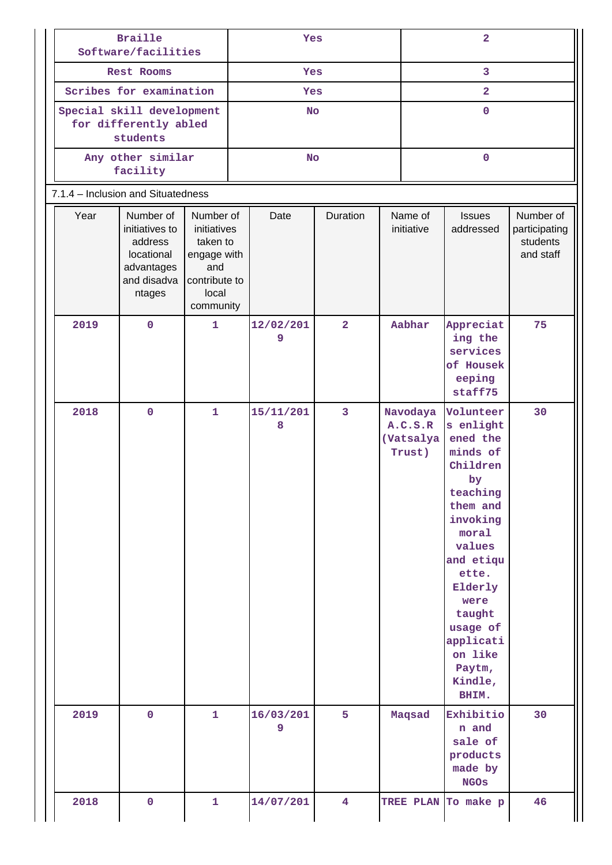| <b>Braille</b><br>Software/facilities                          |                                                                                             | Yes                                                                                               |  |                | $\overline{2}$          |  |                                            |                                                                                                                                                                                                                                              |                                                     |
|----------------------------------------------------------------|---------------------------------------------------------------------------------------------|---------------------------------------------------------------------------------------------------|--|----------------|-------------------------|--|--------------------------------------------|----------------------------------------------------------------------------------------------------------------------------------------------------------------------------------------------------------------------------------------------|-----------------------------------------------------|
| Rest Rooms                                                     |                                                                                             | Yes                                                                                               |  |                | 3                       |  |                                            |                                                                                                                                                                                                                                              |                                                     |
| Scribes for examination                                        |                                                                                             |                                                                                                   |  | Yes            |                         |  | $\overline{a}$                             |                                                                                                                                                                                                                                              |                                                     |
| Special skill development<br>for differently abled<br>students |                                                                                             |                                                                                                   |  | <b>No</b>      |                         |  |                                            | $\mathbf{O}$                                                                                                                                                                                                                                 |                                                     |
|                                                                | Any other similar<br>facility                                                               |                                                                                                   |  | <b>No</b>      |                         |  |                                            | $\mathbf{O}$                                                                                                                                                                                                                                 |                                                     |
| 7.1.4 - Inclusion and Situatedness                             |                                                                                             |                                                                                                   |  |                |                         |  |                                            |                                                                                                                                                                                                                                              |                                                     |
| Year                                                           | Number of<br>initiatives to<br>address<br>locational<br>advantages<br>and disadva<br>ntages | Number of<br>initiatives<br>taken to<br>engage with<br>and<br>contribute to<br>local<br>community |  | Date           | Duration                |  | Name of<br>initiative                      | <b>Issues</b><br>addressed                                                                                                                                                                                                                   | Number of<br>participating<br>students<br>and staff |
| 2019                                                           | $\mathbf 0$                                                                                 | $\mathbf{1}$                                                                                      |  | 12/02/201<br>9 | $\overline{2}$          |  | Aabhar                                     | Appreciat<br>ing the<br>services<br>of Housek<br>eeping<br>staff75                                                                                                                                                                           | 75                                                  |
| 2018                                                           | $\mathbf{O}$                                                                                | 1                                                                                                 |  | 15/11/201<br>8 | $\overline{\mathbf{3}}$ |  | Navodaya<br>A.C.S.R<br>(Vatsalya<br>Trust) | Volunteer<br>s enlight<br>ened the<br>minds of<br>Children<br>by<br>teaching<br>them and<br>invoking<br>moral<br>values<br>and etiqu<br>ette.<br>Elderly<br>were<br>taught<br>usage of<br>applicati<br>on like<br>Paytm,<br>Kindle,<br>BHIM. | 30                                                  |
| 2019                                                           | $\mathbf 0$                                                                                 | $\mathbf{1}$                                                                                      |  | 16/03/201<br>9 | 5                       |  | Maqsad                                     | Exhibitio<br>n and<br>sale of<br>products<br>made by<br><b>NGOS</b>                                                                                                                                                                          | 30                                                  |
| 2018                                                           | $\mathbf 0$                                                                                 | 1                                                                                                 |  | 14/07/201      | $\overline{\mathbf{4}}$ |  |                                            | TREE PLAN To make p                                                                                                                                                                                                                          | 46                                                  |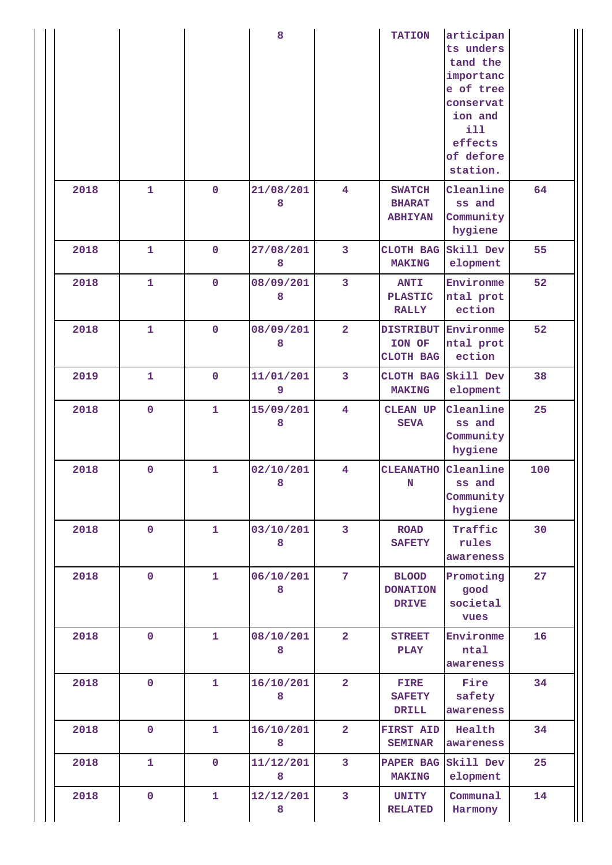|      |              |                | 8              |                         | <b>TATION</b>                                     | articipan<br>ts unders<br>tand the<br>importanc<br>e of tree<br>conservat<br>ion and<br>i11<br>effects<br>of defore<br>station. |     |
|------|--------------|----------------|----------------|-------------------------|---------------------------------------------------|---------------------------------------------------------------------------------------------------------------------------------|-----|
| 2018 | $\mathbf{1}$ | $\mathbf 0$    | 21/08/201<br>8 | $\overline{\mathbf{4}}$ | <b>SWATCH</b><br><b>BHARAT</b><br><b>ABHIYAN</b>  | Cleanline<br>ss and<br>Community<br>hygiene                                                                                     | 64  |
| 2018 | $\mathbf{1}$ | $\mathbf 0$    | 27/08/201<br>8 | 3                       | CLOTH BAG<br><b>MAKING</b>                        | Skill Dev<br>elopment                                                                                                           | 55  |
| 2018 | $\mathbf{1}$ | 0              | 08/09/201<br>8 | 3                       | <b>ANTI</b><br><b>PLASTIC</b><br><b>RALLY</b>     | Environme<br>ntal prot<br>ection                                                                                                | 52  |
| 2018 | $\mathbf{1}$ | $\mathbf 0$    | 08/09/201<br>8 | $\overline{2}$          | <b>DISTRIBUT Environme</b><br>ION OF<br>CLOTH BAG | ntal prot<br>ection                                                                                                             | 52  |
| 2019 | $\mathbf{1}$ | 0              | 11/01/201<br>9 | 3                       | CLOTH BAG<br><b>MAKING</b>                        | Skill Dev<br>elopment                                                                                                           | 38  |
| 2018 | $\mathbf 0$  | $\mathbf{1}$   | 15/09/201<br>8 | $\overline{\mathbf{4}}$ | <b>CLEAN UP</b><br><b>SEVA</b>                    | Cleanline<br>ss and<br>Community<br>hygiene                                                                                     | 25  |
| 2018 | $\pmb{0}$    | 1              | 02/10/201<br>8 | $\overline{\mathbf{4}}$ | <b>CLEANATHO</b><br>$\mathbf N$                   | Cleanline<br>ss and<br>Community<br>hygiene                                                                                     | 100 |
| 2018 | $\mathbf 0$  | 1              | 03/10/201<br>8 | $\mathbf{3}$            | <b>ROAD</b><br><b>SAFETY</b>                      | Traffic<br>rules<br>awareness                                                                                                   | 30  |
| 2018 | $\mathbf 0$  | $\mathbf{1}$   | 06/10/201<br>8 | 7 <sup>7</sup>          | <b>BLOOD</b><br><b>DONATION</b><br><b>DRIVE</b>   | Promoting<br>good<br>societal<br>vues                                                                                           | 27  |
| 2018 | $\mathbf 0$  | 1              | 08/10/201<br>8 | $\overline{2}$          | <b>STREET</b><br><b>PLAY</b>                      | Environme<br>ntal<br>awareness                                                                                                  | 16  |
| 2018 | $\mathbf 0$  | 1              | 16/10/201<br>8 | $\overline{2}$          | <b>FIRE</b><br><b>SAFETY</b><br><b>DRILL</b>      | Fire<br>safety<br>awareness                                                                                                     | 34  |
| 2018 | $\mathbf 0$  | $\mathbf{1}$   | 16/10/201<br>8 | $\overline{2}$          | <b>FIRST AID</b><br><b>SEMINAR</b>                | Health<br>awareness                                                                                                             | 34  |
| 2018 | $\mathbf{1}$ | $\overline{0}$ | 11/12/201<br>8 | 3                       | <b>PAPER BAG</b><br><b>MAKING</b>                 | Skill Dev<br>elopment                                                                                                           | 25  |
| 2018 | $\pmb{0}$    | 1              | 12/12/201<br>8 | 3                       | <b>UNITY</b><br><b>RELATED</b>                    | Communal<br>Harmony                                                                                                             | 14  |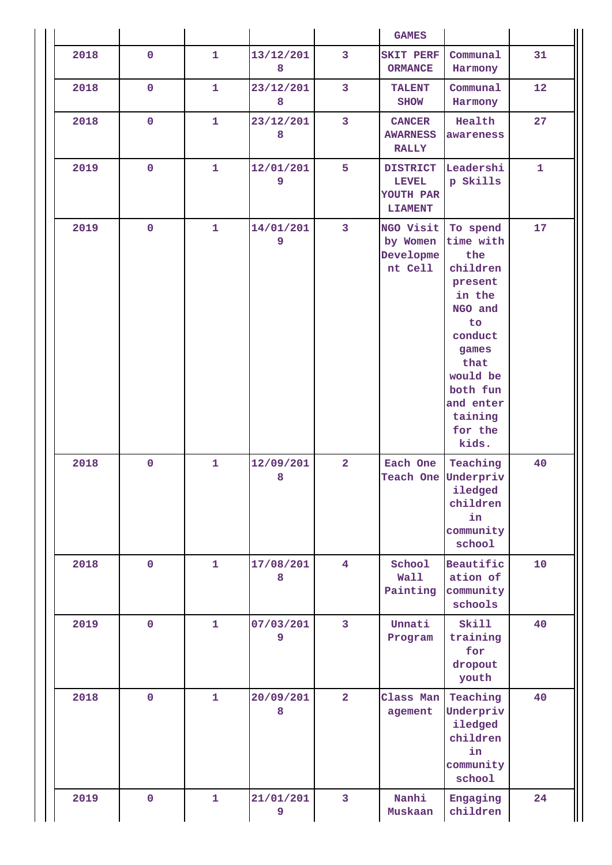|      |             |              |                |                                         | <b>GAMES</b>                                                   |                                                                                                                                                                                |              |
|------|-------------|--------------|----------------|-----------------------------------------|----------------------------------------------------------------|--------------------------------------------------------------------------------------------------------------------------------------------------------------------------------|--------------|
| 2018 | $\mathbf 0$ | 1            | 13/12/201<br>8 | 3<br><b>SKIT PERF</b><br><b>ORMANCE</b> |                                                                | Communal<br>Harmony                                                                                                                                                            | 31           |
| 2018 | $\mathbf 0$ | 1            | 23/12/201<br>8 | 3                                       | <b>TALENT</b><br><b>SHOW</b>                                   | Communal<br>Harmony                                                                                                                                                            | 12           |
| 2018 | $\mathbf 0$ | $\mathbf{1}$ | 23/12/201<br>8 | $\overline{\mathbf{3}}$                 | <b>CANCER</b><br><b>AWARNESS</b><br><b>RALLY</b>               | Health<br>awareness                                                                                                                                                            | 27           |
| 2019 | $\mathbf 0$ | $\mathbf{1}$ | 12/01/201<br>9 | 5                                       | <b>DISTRICT</b><br><b>LEVEL</b><br>YOUTH PAR<br><b>LIAMENT</b> | Leadershi<br>p Skills                                                                                                                                                          | $\mathbf{1}$ |
| 2019 | $\mathbf 0$ | 1            | 14/01/201<br>9 | $\overline{3}$                          | NGO Visit<br>by Women<br>Developme<br>nt Cell                  | To spend<br>time with<br>the<br>children<br>present<br>in the<br>NGO and<br>to<br>conduct<br>games<br>that<br>would be<br>both fun<br>and enter<br>taining<br>for the<br>kids. | 17           |
| 2018 | $\mathbf 0$ | $\mathbf{1}$ | 12/09/201<br>8 | $\overline{2}$                          | Each One<br>Teach One                                          | Teaching<br>Underpriv<br>iledged<br>children<br>in<br>community<br>school                                                                                                      | 40           |
| 2018 | $\mathbf 0$ | 1            | 17/08/201<br>8 | $\overline{4}$                          | School<br>Wall<br>Painting                                     | Beautific<br>ation of<br>community<br>schools                                                                                                                                  | 10           |
| 2019 | $\mathbf 0$ | $\mathbf{1}$ | 07/03/201<br>9 | 3                                       | Unnati<br>Program                                              | Skill<br>training<br>for<br>dropout<br>youth                                                                                                                                   | 40           |
| 2018 | $\mathbf 0$ | $\mathbf{1}$ | 20/09/201<br>8 | $\overline{2}$                          | Class Man<br>agement                                           | Teaching<br>Underpriv<br>iledged<br>children<br>in<br>community<br>school                                                                                                      | 40           |
| 2019 | $\mathbf 0$ | 1            | 21/01/201<br>9 | 3                                       | Nanhi<br>Muskaan                                               | Engaging<br>children                                                                                                                                                           | 24           |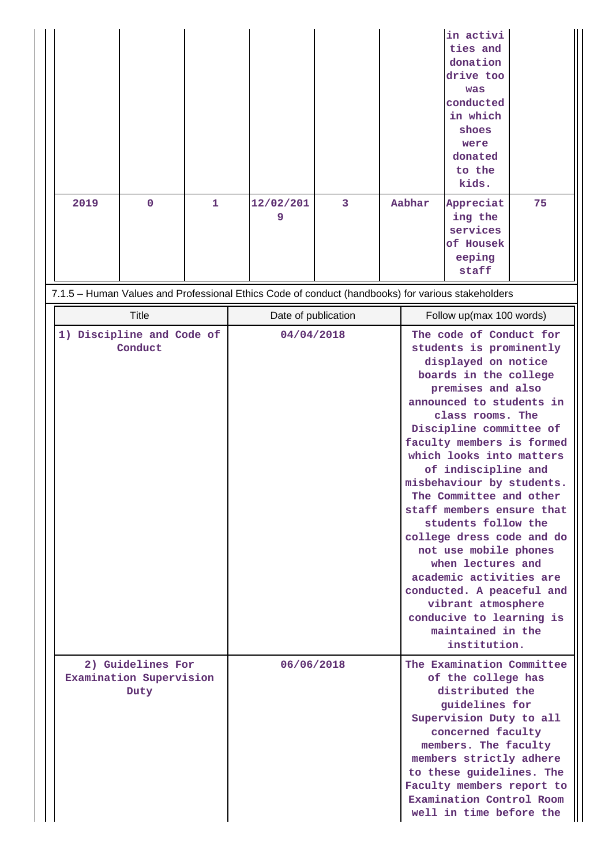|      |                                                      |              |                     |   |        | in activi<br>ties and<br>donation<br>drive too<br>was<br>conducted<br>in which<br>shoes<br>were<br>donated<br>to the<br>kids.                                                                                                                                                                                                                                                                                                                                                                                                                                                                                            |    |
|------|------------------------------------------------------|--------------|---------------------|---|--------|--------------------------------------------------------------------------------------------------------------------------------------------------------------------------------------------------------------------------------------------------------------------------------------------------------------------------------------------------------------------------------------------------------------------------------------------------------------------------------------------------------------------------------------------------------------------------------------------------------------------------|----|
| 2019 | $\mathbf 0$                                          | $\mathbf{1}$ | 12/02/201<br>9      | 3 | Aabhar | Appreciat<br>ing the<br>services<br>of Housek<br>eeping<br>staff                                                                                                                                                                                                                                                                                                                                                                                                                                                                                                                                                         | 75 |
|      |                                                      |              |                     |   |        | 7.1.5 - Human Values and Professional Ethics Code of conduct (handbooks) for various stakeholders                                                                                                                                                                                                                                                                                                                                                                                                                                                                                                                        |    |
|      | Title                                                |              | Date of publication |   |        | Follow up(max 100 words)                                                                                                                                                                                                                                                                                                                                                                                                                                                                                                                                                                                                 |    |
|      | 1) Discipline and Code of<br>Conduct                 |              | 04/04/2018          |   |        | The code of Conduct for<br>students is prominently<br>displayed on notice<br>boards in the college<br>premises and also<br>announced to students in<br>class rooms. The<br>Discipline committee of<br>faculty members is formed<br>which looks into matters<br>of indiscipline and<br>misbehaviour by students.<br>The Committee and other<br>staff members ensure that<br>students follow the<br>college dress code and do<br>not use mobile phones<br>when lectures and<br>academic activities are<br>conducted. A peaceful and<br>vibrant atmosphere<br>conducive to learning is<br>maintained in the<br>institution. |    |
|      | 2) Guidelines For<br>Examination Supervision<br>Duty |              | 06/06/2018          |   |        | The Examination Committee<br>of the college has<br>distributed the<br>guidelines for<br>Supervision Duty to all<br>concerned faculty<br>members. The faculty<br>members strictly adhere<br>to these guidelines. The<br>Faculty members report to<br>Examination Control Room<br>well in time before the                                                                                                                                                                                                                                                                                                                  |    |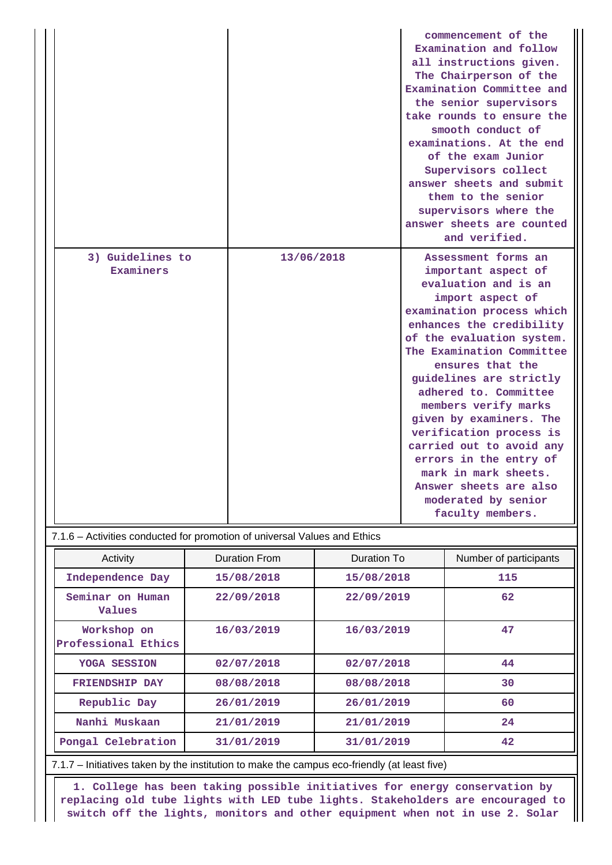|                               |            | commencement of the<br>Examination and follow<br>all instructions given.<br>The Chairperson of the<br>Examination Committee and<br>the senior supervisors<br>take rounds to ensure the<br>smooth conduct of<br>examinations. At the end<br>of the exam Junior<br>Supervisors collect<br>answer sheets and submit<br>them to the senior<br>supervisors where the<br>answer sheets are counted<br>and verified.                                                                                                      |
|-------------------------------|------------|--------------------------------------------------------------------------------------------------------------------------------------------------------------------------------------------------------------------------------------------------------------------------------------------------------------------------------------------------------------------------------------------------------------------------------------------------------------------------------------------------------------------|
| 3) Guidelines to<br>Examiners | 13/06/2018 | Assessment forms an<br>important aspect of<br>evaluation and is an<br>import aspect of<br>examination process which<br>enhances the credibility<br>of the evaluation system.<br>The Examination Committee<br>ensures that the<br>guidelines are strictly<br>adhered to. Committee<br>members verify marks<br>given by examiners. The<br>verification process is<br>carried out to avoid any<br>errors in the entry of<br>mark in mark sheets.<br>Answer sheets are also<br>moderated by senior<br>faculty members. |

|  | 7.1.6 – Activities conducted for promotion of universal Values and Ethics |
|--|---------------------------------------------------------------------------|
|--|---------------------------------------------------------------------------|

| Activity                           | <b>Duration From</b> | Duration To | Number of participants |
|------------------------------------|----------------------|-------------|------------------------|
| Independence Day                   | 15/08/2018           | 15/08/2018  | 115                    |
| Seminar on Human<br><b>Values</b>  | 22/09/2018           | 22/09/2019  | 62                     |
| Workshop on<br>Professional Ethics | 16/03/2019           | 16/03/2019  | 47                     |
| YOGA SESSION                       | 02/07/2018           | 02/07/2018  | 44                     |
| <b>FRIENDSHIP DAY</b>              | 08/08/2018           | 08/08/2018  | 30                     |
| Republic Day                       | 26/01/2019           | 26/01/2019  | 60                     |
| Nanhi Muskaan                      | 21/01/2019           | 21/01/2019  | 24                     |
| Pongal Celebration                 | 31/01/2019           | 31/01/2019  | 42                     |

7.1.7 – Initiatives taken by the institution to make the campus eco-friendly (at least five)

 **1. College has been taking possible initiatives for energy conservation by replacing old tube lights with LED tube lights. Stakeholders are encouraged to switch off the lights, monitors and other equipment when not in use 2. Solar**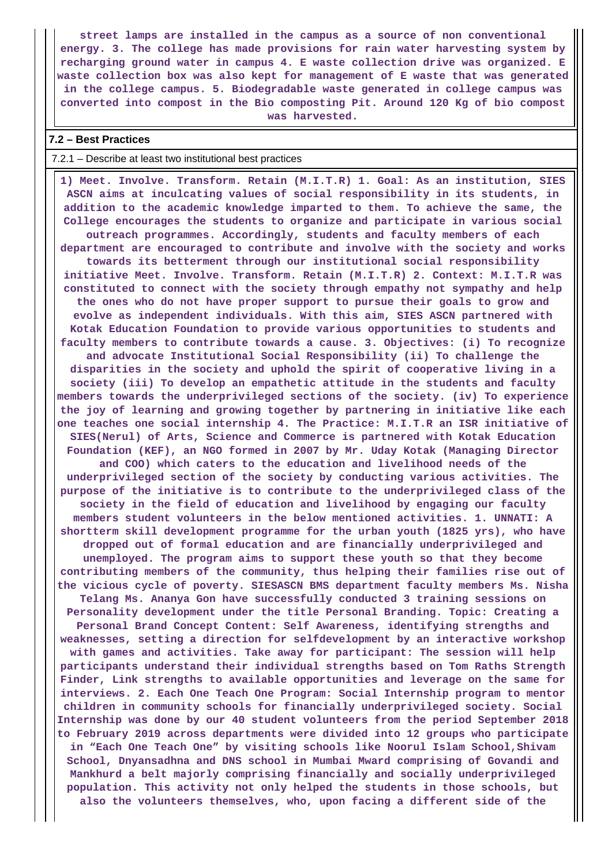**street lamps are installed in the campus as a source of non conventional energy. 3. The college has made provisions for rain water harvesting system by recharging ground water in campus 4. E waste collection drive was organized. E waste collection box was also kept for management of E waste that was generated in the college campus. 5. Biodegradable waste generated in college campus was converted into compost in the Bio composting Pit. Around 120 Kg of bio compost was harvested.**

#### **7.2 – Best Practices**

#### 7.2.1 – Describe at least two institutional best practices

 **1) Meet. Involve. Transform. Retain (M.I.T.R) 1. Goal: As an institution, SIES ASCN aims at inculcating values of social responsibility in its students, in addition to the academic knowledge imparted to them. To achieve the same, the College encourages the students to organize and participate in various social outreach programmes. Accordingly, students and faculty members of each department are encouraged to contribute and involve with the society and works towards its betterment through our institutional social responsibility initiative Meet. Involve. Transform. Retain (M.I.T.R) 2. Context: M.I.T.R was constituted to connect with the society through empathy not sympathy and help the ones who do not have proper support to pursue their goals to grow and evolve as independent individuals. With this aim, SIES ASCN partnered with Kotak Education Foundation to provide various opportunities to students and faculty members to contribute towards a cause. 3. Objectives: (i) To recognize and advocate Institutional Social Responsibility (ii) To challenge the disparities in the society and uphold the spirit of cooperative living in a society (iii) To develop an empathetic attitude in the students and faculty members towards the underprivileged sections of the society. (iv) To experience the joy of learning and growing together by partnering in initiative like each one teaches one social internship 4. The Practice: M.I.T.R an ISR initiative of SIES(Nerul) of Arts, Science and Commerce is partnered with Kotak Education Foundation (KEF), an NGO formed in 2007 by Mr. Uday Kotak (Managing Director and COO) which caters to the education and livelihood needs of the underprivileged section of the society by conducting various activities. The purpose of the initiative is to contribute to the underprivileged class of the society in the field of education and livelihood by engaging our faculty members student volunteers in the below mentioned activities. 1. UNNATI: A shortterm skill development programme for the urban youth (1825 yrs), who have dropped out of formal education and are financially underprivileged and unemployed. The program aims to support these youth so that they become contributing members of the community, thus helping their families rise out of the vicious cycle of poverty. SIESASCN BMS department faculty members Ms. Nisha Telang Ms. Ananya Gon have successfully conducted 3 training sessions on Personality development under the title Personal Branding. Topic: Creating a Personal Brand Concept Content: Self Awareness, identifying strengths and weaknesses, setting a direction for selfdevelopment by an interactive workshop with games and activities. Take away for participant: The session will help participants understand their individual strengths based on Tom Raths Strength Finder, Link strengths to available opportunities and leverage on the same for interviews. 2. Each One Teach One Program: Social Internship program to mentor children in community schools for financially underprivileged society. Social Internship was done by our 40 student volunteers from the period September 2018 to February 2019 across departments were divided into 12 groups who participate in "Each One Teach One" by visiting schools like Noorul Islam School,Shivam School, Dnyansadhna and DNS school in Mumbai Mward comprising of Govandi and Mankhurd a belt majorly comprising financially and socially underprivileged population. This activity not only helped the students in those schools, but also the volunteers themselves, who, upon facing a different side of the**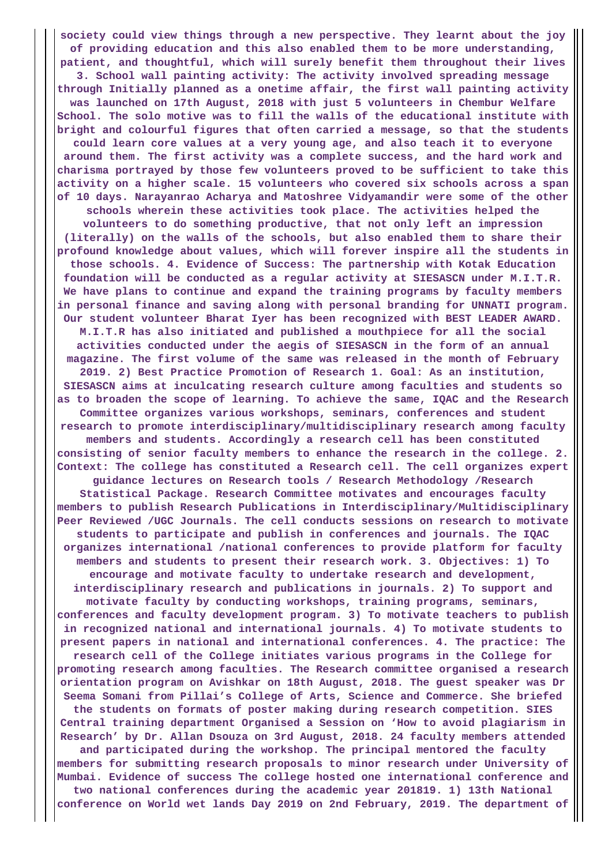**society could view things through a new perspective. They learnt about the joy of providing education and this also enabled them to be more understanding, patient, and thoughtful, which will surely benefit them throughout their lives 3. School wall painting activity: The activity involved spreading message through Initially planned as a onetime affair, the first wall painting activity was launched on 17th August, 2018 with just 5 volunteers in Chembur Welfare School. The solo motive was to fill the walls of the educational institute with bright and colourful figures that often carried a message, so that the students could learn core values at a very young age, and also teach it to everyone around them. The first activity was a complete success, and the hard work and charisma portrayed by those few volunteers proved to be sufficient to take this activity on a higher scale. 15 volunteers who covered six schools across a span of 10 days. Narayanrao Acharya and Matoshree Vidyamandir were some of the other schools wherein these activities took place. The activities helped the volunteers to do something productive, that not only left an impression (literally) on the walls of the schools, but also enabled them to share their profound knowledge about values, which will forever inspire all the students in those schools. 4. Evidence of Success: The partnership with Kotak Education foundation will be conducted as a regular activity at SIESASCN under M.I.T.R. We have plans to continue and expand the training programs by faculty members in personal finance and saving along with personal branding for UNNATI program. Our student volunteer Bharat Iyer has been recognized with BEST LEADER AWARD. M.I.T.R has also initiated and published a mouthpiece for all the social activities conducted under the aegis of SIESASCN in the form of an annual magazine. The first volume of the same was released in the month of February 2019. 2) Best Practice Promotion of Research 1. Goal: As an institution, SIESASCN aims at inculcating research culture among faculties and students so as to broaden the scope of learning. To achieve the same, IQAC and the Research Committee organizes various workshops, seminars, conferences and student research to promote interdisciplinary/multidisciplinary research among faculty members and students. Accordingly a research cell has been constituted consisting of senior faculty members to enhance the research in the college. 2. Context: The college has constituted a Research cell. The cell organizes expert guidance lectures on Research tools / Research Methodology /Research Statistical Package. Research Committee motivates and encourages faculty members to publish Research Publications in Interdisciplinary/Multidisciplinary Peer Reviewed /UGC Journals. The cell conducts sessions on research to motivate students to participate and publish in conferences and journals. The IQAC organizes international /national conferences to provide platform for faculty members and students to present their research work. 3. Objectives: 1) To encourage and motivate faculty to undertake research and development, interdisciplinary research and publications in journals. 2) To support and motivate faculty by conducting workshops, training programs, seminars, conferences and faculty development program. 3) To motivate teachers to publish in recognized national and international journals. 4) To motivate students to present papers in national and international conferences. 4. The practice: The research cell of the College initiates various programs in the College for promoting research among faculties. The Research committee organised a research orientation program on Avishkar on 18th August, 2018. The guest speaker was Dr Seema Somani from Pillai's College of Arts, Science and Commerce. She briefed the students on formats of poster making during research competition. SIES Central training department Organised a Session on 'How to avoid plagiarism in Research' by Dr. Allan Dsouza on 3rd August, 2018. 24 faculty members attended and participated during the workshop. The principal mentored the faculty members for submitting research proposals to minor research under University of Mumbai. Evidence of success The college hosted one international conference and two national conferences during the academic year 201819. 1) 13th National conference on World wet lands Day 2019 on 2nd February, 2019. The department of**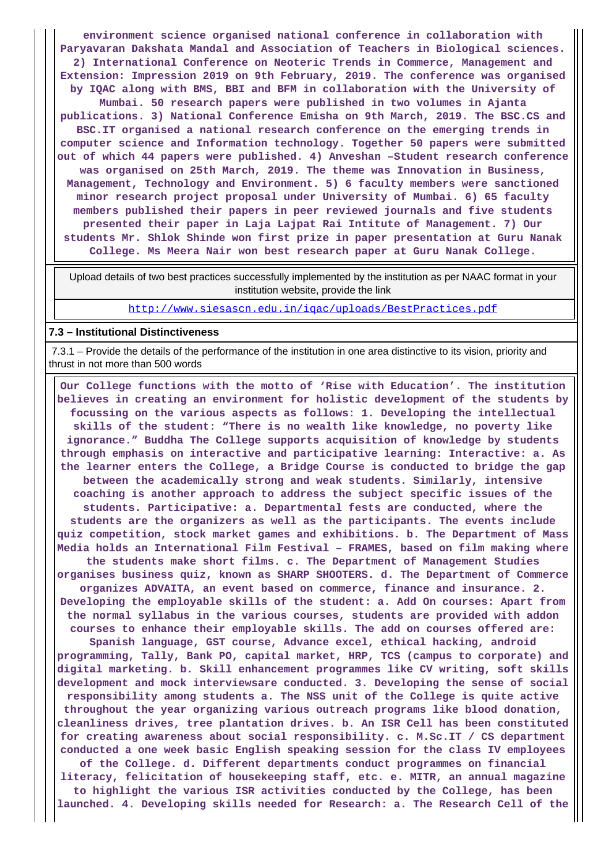**environment science organised national conference in collaboration with Paryavaran Dakshata Mandal and Association of Teachers in Biological sciences. 2) International Conference on Neoteric Trends in Commerce, Management and Extension: Impression 2019 on 9th February, 2019. The conference was organised by IQAC along with BMS, BBI and BFM in collaboration with the University of Mumbai. 50 research papers were published in two volumes in Ajanta publications. 3) National Conference Emisha on 9th March, 2019. The BSC.CS and BSC.IT organised a national research conference on the emerging trends in computer science and Information technology. Together 50 papers were submitted out of which 44 papers were published. 4) Anveshan –Student research conference was organised on 25th March, 2019. The theme was Innovation in Business, Management, Technology and Environment. 5) 6 faculty members were sanctioned minor research project proposal under University of Mumbai. 6) 65 faculty members published their papers in peer reviewed journals and five students presented their paper in Laja Lajpat Rai Intitute of Management. 7) Our students Mr. Shlok Shinde won first prize in paper presentation at Guru Nanak College. Ms Meera Nair won best research paper at Guru Nanak College.**

 Upload details of two best practices successfully implemented by the institution as per NAAC format in your institution website, provide the link

<http://www.siesascn.edu.in/iqac/uploads/BestPractices.pdf>

#### **7.3 – Institutional Distinctiveness**

 7.3.1 – Provide the details of the performance of the institution in one area distinctive to its vision, priority and thrust in not more than 500 words

 **Our College functions with the motto of 'Rise with Education'. The institution believes in creating an environment for holistic development of the students by focussing on the various aspects as follows: 1. Developing the intellectual skills of the student: "There is no wealth like knowledge, no poverty like ignorance." Buddha The College supports acquisition of knowledge by students through emphasis on interactive and participative learning: Interactive: a. As the learner enters the College, a Bridge Course is conducted to bridge the gap between the academically strong and weak students. Similarly, intensive coaching is another approach to address the subject specific issues of the students. Participative: a. Departmental fests are conducted, where the students are the organizers as well as the participants. The events include quiz competition, stock market games and exhibitions. b. The Department of Mass Media holds an International Film Festival – FRAMES, based on film making where the students make short films. c. The Department of Management Studies organises business quiz, known as SHARP SHOOTERS. d. The Department of Commerce organizes ADVAITA, an event based on commerce, finance and insurance. 2. Developing the employable skills of the student: a. Add On courses: Apart from the normal syllabus in the various courses, students are provided with addon courses to enhance their employable skills. The add on courses offered are: Spanish language, GST course, Advance excel, ethical hacking, android programming, Tally, Bank PO, capital market, HRP, TCS (campus to corporate) and digital marketing. b. Skill enhancement programmes like CV writing, soft skills development and mock interviewsare conducted. 3. Developing the sense of social responsibility among students a. The NSS unit of the College is quite active throughout the year organizing various outreach programs like blood donation, cleanliness drives, tree plantation drives. b. An ISR Cell has been constituted for creating awareness about social responsibility. c. M.Sc.IT / CS department conducted a one week basic English speaking session for the class IV employees of the College. d. Different departments conduct programmes on financial literacy, felicitation of housekeeping staff, etc. e. MITR, an annual magazine to highlight the various ISR activities conducted by the College, has been launched. 4. Developing skills needed for Research: a. The Research Cell of the**